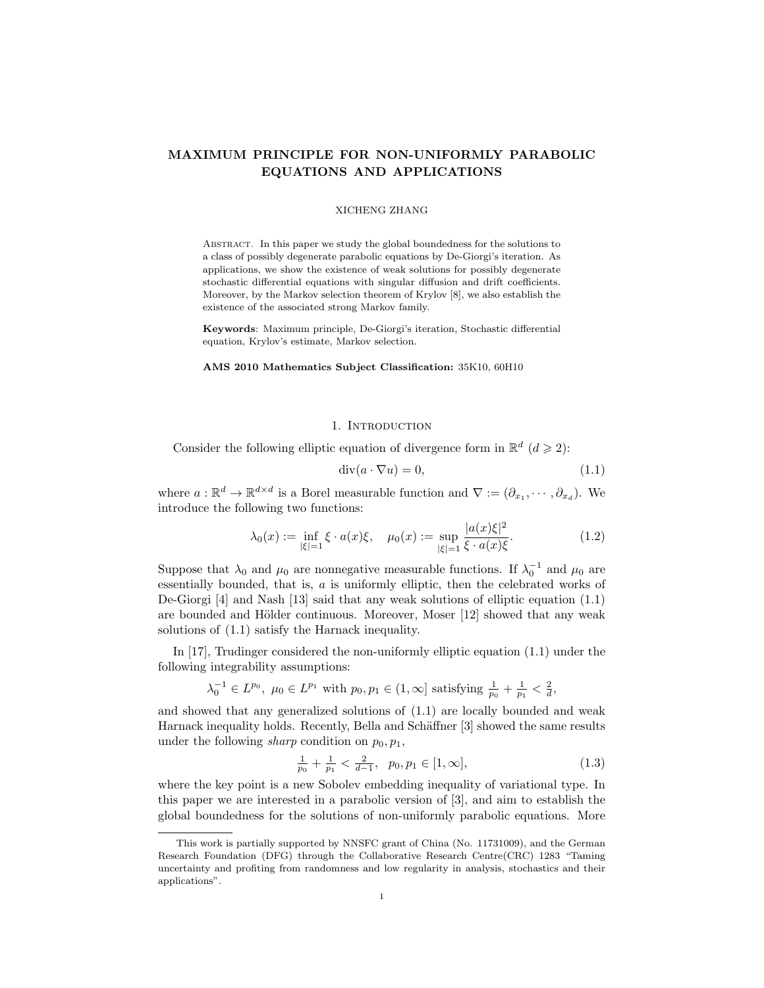# MAXIMUM PRINCIPLE FOR NON-UNIFORMLY PARABOLIC EQUATIONS AND APPLICATIONS

#### XICHENG ZHANG

Abstract. In this paper we study the global boundedness for the solutions to a class of possibly degenerate parabolic equations by De-Giorgi's iteration. As applications, we show the existence of weak solutions for possibly degenerate stochastic differential equations with singular diffusion and drift coefficients. Moreover, by the Markov selection theorem of Krylov [8], we also establish the existence of the associated strong Markov family.

Keywords: Maximum principle, De-Giorgi's iteration, Stochastic differential equation, Krylov's estimate, Markov selection.

#### AMS 2010 Mathematics Subject Classification: 35K10, 60H10

### 1. INTRODUCTION

Consider the following elliptic equation of divergence form in  $\mathbb{R}^d$  ( $d \geq 2$ ):

$$
\operatorname{div}(a \cdot \nabla u) = 0,\tag{1.1}
$$

where  $a: \mathbb{R}^d \to \mathbb{R}^{d \times d}$  is a Borel measurable function and  $\nabla := (\partial_{x_1}, \dots, \partial_{x_d})$ . We introduce the following two functions:

$$
\lambda_0(x) := \inf_{|\xi|=1} \xi \cdot a(x)\xi, \quad \mu_0(x) := \sup_{|\xi|=1} \frac{|a(x)\xi|^2}{\xi \cdot a(x)\xi}.
$$
 (1.2)

Suppose that  $\lambda_0$  and  $\mu_0$  are nonnegative measurable functions. If  $\lambda_0^{-1}$  and  $\mu_0$  are essentially bounded, that is, a is uniformly elliptic, then the celebrated works of De-Giorgi [4] and Nash [13] said that any weak solutions of elliptic equation (1.1) are bounded and Hölder continuous. Moreover, Moser  $[12]$  showed that any weak solutions of (1.1) satisfy the Harnack inequality.

In [17], Trudinger considered the non-uniformly elliptic equation (1.1) under the following integrability assumptions:

$$
\lambda_0^{-1} \in L^{p_0}, \ \mu_0 \in L^{p_1}
$$
 with  $p_0, p_1 \in (1, \infty]$  satisfying  $\frac{1}{p_0} + \frac{1}{p_1} < \frac{2}{d}$ ,

and showed that any generalized solutions of (1.1) are locally bounded and weak Harnack inequality holds. Recently, Bella and Schäffner [3] showed the same results under the following *sharp* condition on  $p_0, p_1$ ,

$$
\frac{1}{p_0} + \frac{1}{p_1} < \frac{2}{d-1}, \quad p_0, p_1 \in [1, \infty], \tag{1.3}
$$

where the key point is a new Sobolev embedding inequality of variational type. In this paper we are interested in a parabolic version of [3], and aim to establish the global boundedness for the solutions of non-uniformly parabolic equations. More

This work is partially supported by NNSFC grant of China (No. 11731009), and the German Research Foundation (DFG) through the Collaborative Research Centre(CRC) 1283 "Taming uncertainty and profiting from randomness and low regularity in analysis, stochastics and their applications".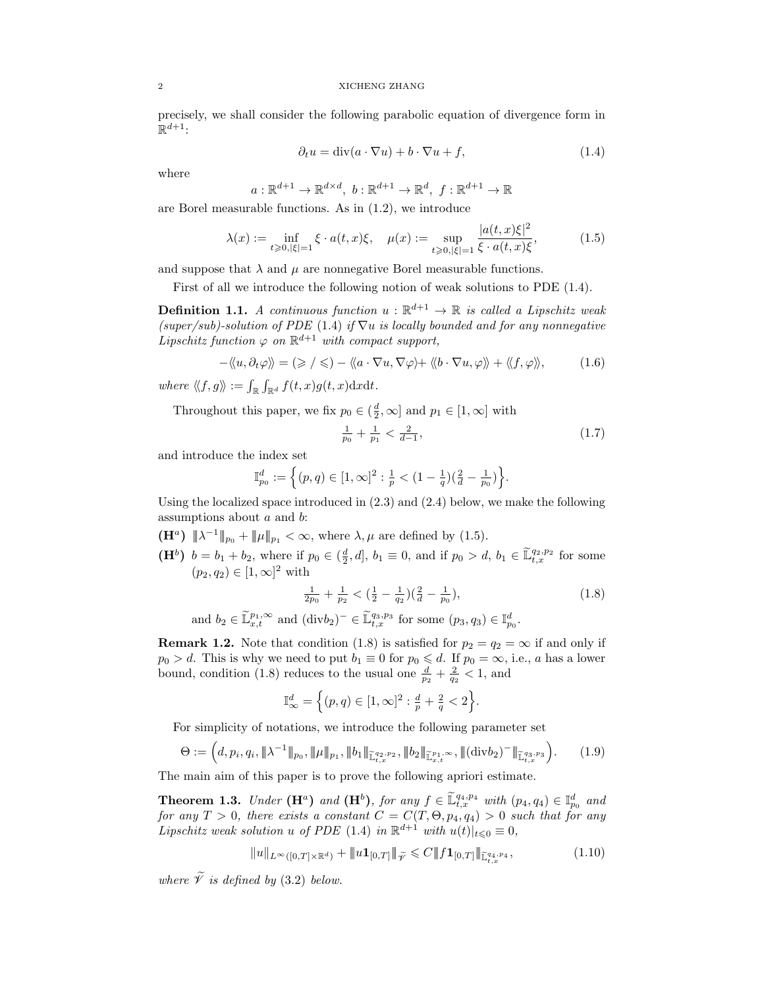precisely, we shall consider the following parabolic equation of divergence form in  $\mathbb{R}^{d+1}$ :

$$
\partial_t u = \text{div}(a \cdot \nabla u) + b \cdot \nabla u + f,\tag{1.4}
$$

where

$$
a: \mathbb{R}^{d+1} \to \mathbb{R}^{d \times d}, b: \mathbb{R}^{d+1} \to \mathbb{R}^d, f: \mathbb{R}^{d+1} \to \mathbb{R}
$$

are Borel measurable functions. As in (1.2), we introduce

$$
\lambda(x) := \inf_{t \ge 0, |\xi| = 1} \xi \cdot a(t, x)\xi, \quad \mu(x) := \sup_{t \ge 0, |\xi| = 1} \frac{|a(t, x)\xi|^2}{\xi \cdot a(t, x)\xi},\tag{1.5}
$$

and suppose that  $\lambda$  and  $\mu$  are nonnegative Borel measurable functions.

First of all we introduce the following notion of weak solutions to PDE (1.4).

**Definition 1.1.** A continuous function  $u : \mathbb{R}^{d+1} \to \mathbb{R}$  is called a Lipschitz weak (super/sub)-solution of PDE (1.4) if  $\nabla u$  is locally bounded and for any nonnegative Lipschitz function  $\varphi$  on  $\mathbb{R}^{d+1}$  with compact support,

$$
-\langle\langle u,\partial_t\varphi\rangle\rangle=(\geqslant/\leqslant)-\langle\langle a\cdot\nabla u,\nabla\varphi\rangle+\langle\langle b\cdot\nabla u,\varphi\rangle\rangle+\langle\langle f,\varphi\rangle\rangle,\tag{1.6}
$$

where  $\langle\!\langle f, g \rangle\!\rangle := \int_{\mathbb{R}} \int_{\mathbb{R}^d} f(t, x) g(t, x) \mathrm{d}x \mathrm{d}t.$ 

Throughout this paper, we fix  $p_0 \in (\frac{d}{2}, \infty]$  and  $p_1 \in [1, \infty]$  with

$$
\frac{1}{p_0} + \frac{1}{p_1} < \frac{2}{d-1},\tag{1.7}
$$

and introduce the index set

$$
\mathbb{I}_{p_0}^d := \left\{ (p, q) \in [1, \infty]^2 : \frac{1}{p} < (1 - \frac{1}{q})(\frac{2}{d} - \frac{1}{p_0}) \right\}.
$$

Using the localized space introduced in (2.3) and (2.4) below, we make the following assumptions about a and b:

- $(\mathbf{H}^a)$   $\|\lambda^{-1}\|_{p_0} + \|\mu\|_{p_1} < \infty$ , where  $\lambda, \mu$  are defined by (1.5).
- $(\mathbf{H}^b)$   $b = b_1 + b_2$ , where if  $p_0 \in (\frac{d}{2}, d]$ ,  $b_1 \equiv 0$ , and if  $p_0 > d$ ,  $b_1 \in \tilde{\mathbb{L}}_{t,x}^{q_2, p_2}$  for some  $(p_2, q_2) \in [1, \infty]^2$  with

$$
\frac{1}{2p_0} + \frac{1}{p_2} < \left(\frac{1}{2} - \frac{1}{q_2}\right)\left(\frac{2}{d} - \frac{1}{p_0}\right),\tag{1.8}
$$
\n
$$
L^{1,\infty} \text{ and } (\text{div } L) = \mathcal{L} \tilde{\mathbb{1}}^{q_3, p_3} \text{ for some } (p, q) \in \mathbb{I}^d
$$

and  $b_2 \in \widetilde{\mathbb{L}}_{x,t}^{p_1,\infty}$  and  $(\text{div}b_2)^-\in \widetilde{\mathbb{L}}_{t,x}^{q_3,p_3}$  for some  $(p_3,q_3) \in \mathbb{I}_{p_0}^d$ .

**Remark 1.2.** Note that condition (1.8) is satisfied for  $p_2 = q_2 = \infty$  if and only if  $p_0 > d$ . This is why we need to put  $b_1 \equiv 0$  for  $p_0 \le d$ . If  $p_0 = \infty$ , i.e., a has a lower bound, condition (1.8) reduces to the usual one  $\frac{d}{p_2} + \frac{2}{q_2} < 1$ , and

$$
\mathbb{I}_{\infty}^{d} = \left\{ (p, q) \in [1, \infty]^2 : \frac{d}{p} + \frac{2}{q} < 2 \right\}.
$$

For simplicity of notations, we introduce the following parameter set

$$
\Theta := \left(d, p_i, q_i, \|\lambda^{-1}\|_{p_0}, \|\mu\|_{p_1}, \|\phi_1\|_{\widetilde{\mathbb{L}}_{t,x}^{q_2, p_2}}, \|\phi_2\|_{\widetilde{\mathbb{L}}_{x,t}^{p_1,\infty}}, \|\text{(div} \, b_2)^-\|_{\widetilde{\mathbb{L}}_{t,x}^{q_3, p_3}}\right). \tag{1.9}
$$

The main aim of this paper is to prove the following apriori estimate.

**Theorem 1.3.** Under  $(\mathbf{H}^a)$  and  $(\mathbf{H}^b)$ , for any  $f \in \widetilde{\mathbb{L}}_{t,x}^{q_4,p_4}$  with  $(p_4, q_4) \in \mathbb{I}_{p_0}^d$  and for any  $T > 0$ , there exists a constant  $C = C(T, \Theta, p_4, q_4) > 0$  such that for any Lipschitz weak solution u of PDE (1.4) in  $\mathbb{R}^{d+1}$  with  $u(t)|_{t\leq0}\equiv0$ ,

$$
||u||_{L^{\infty}([0,T]\times\mathbb{R}^d)} + ||u\mathbf{1}_{[0,T]}||_{\widetilde{\mathscr{V}}} \leq C||f\mathbf{1}_{[0,T]}||_{\widetilde{\mathbb{L}}_{t,x}^{q_1,p_4}},\tag{1.10}
$$

where  $\widetilde{\mathcal{V}}$  is defined by (3.2) below.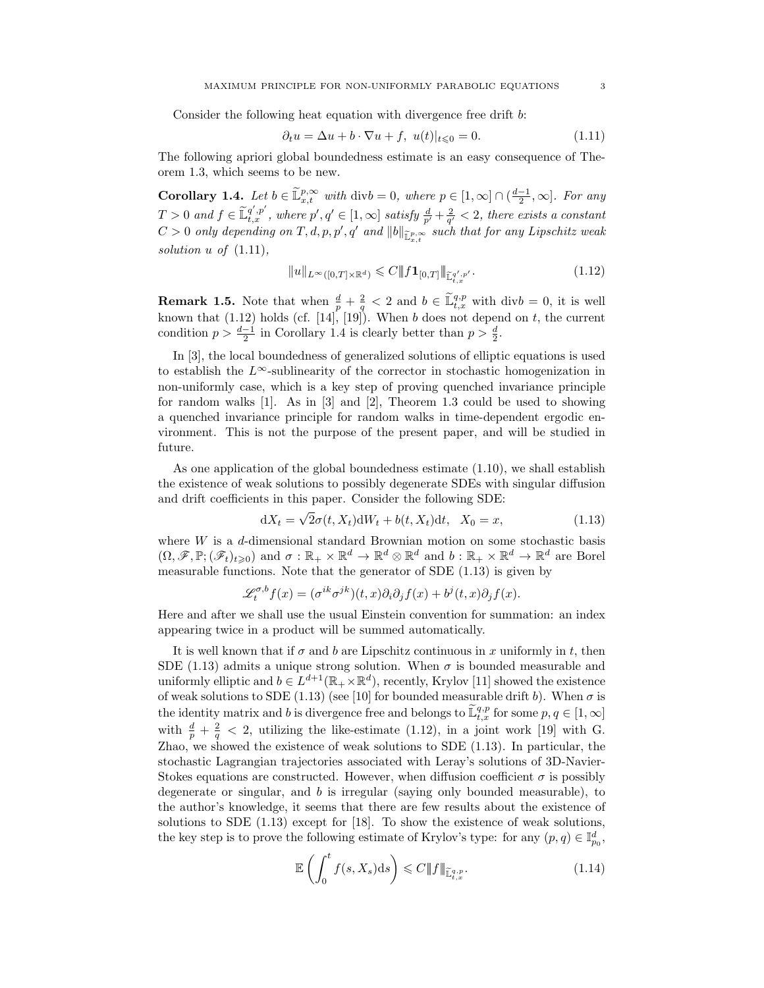Consider the following heat equation with divergence free drift b:

$$
\partial_t u = \Delta u + b \cdot \nabla u + f, \ u(t)|_{t \leq 0} = 0. \tag{1.11}
$$

The following apriori global boundedness estimate is an easy consequence of Theorem 1.3, which seems to be new.

**Corollary 1.4.** Let  $b \in \tilde{\mathbb{L}}_{x,t}^{p,\infty}$  with div $b = 0$ , where  $p \in [1,\infty] \cap (\frac{d-1}{2},\infty]$ . For any  $T > 0$  and  $f \in \tilde{\mathbb{L}}_{t,x}^{q',p'}$ , where  $p', q' \in [1,\infty]$  satisfy  $\frac{d}{p'} + \frac{2}{q'} < 2$ , there exists a constant  $C > 0$  only depending on  $T, d, p, p', q'$  and  $||b||_{\mathbb{L}^{p,\infty}_{x,t}}$  such that for any Lipschitz weak solution u of  $(1.11)$ ,

$$
||u||_{L^{\infty}([0,T]\times\mathbb{R}^d)} \leq C||f\mathbf{1}_{[0,T]}\|_{\widetilde{\mathbb{L}}_{t,x}^{q',p'}}.
$$
\n(1.12)

**Remark 1.5.** Note that when  $\frac{d}{p} + \frac{2}{g} < 2$  and  $b \in \tilde{\mathbb{L}}_{t,x}^{q,p}$  with div $b = 0$ , it is well known that  $(1.12)$  holds (cf. [14], [19]). When b does not depend on t, the current condition  $p > \frac{d-1}{2}$  in Corollary 1.4 is clearly better than  $p > \frac{d}{2}$ .

In [3], the local boundedness of generalized solutions of elliptic equations is used to establish the  $L^{\infty}$ -sublinearity of the corrector in stochastic homogenization in non-uniformly case, which is a key step of proving quenched invariance principle for random walks [1]. As in [3] and [2], Theorem 1.3 could be used to showing a quenched invariance principle for random walks in time-dependent ergodic environment. This is not the purpose of the present paper, and will be studied in future.

As one application of the global boundedness estimate (1.10), we shall establish the existence of weak solutions to possibly degenerate SDEs with singular diffusion and drift coefficients in this paper. Consider the following SDE: √

$$
dX_t = \sqrt{2\sigma(t, X_t)}dW_t + b(t, X_t)dt, \quad X_0 = x,
$$
\n(1.13)

where  $W$  is a  $d$ -dimensional standard Brownian motion on some stochastic basis  $(\Omega, \mathscr{F}, \mathbb{P}; (\mathscr{F}_t)_{t \geq 0})$  and  $\sigma : \mathbb{R}_+ \times \mathbb{R}^d \to \mathbb{R}^d \otimes \mathbb{R}^d$  and  $b : \mathbb{R}_+ \times \mathbb{R}^d \to \mathbb{R}^d$  are Borel measurable functions. Note that the generator of SDE (1.13) is given by

$$
\mathscr{L}_t^{\sigma,b} f(x) = (\sigma^{ik} \sigma^{jk})(t,x) \partial_i \partial_j f(x) + b^j(t,x) \partial_j f(x).
$$

Here and after we shall use the usual Einstein convention for summation: an index appearing twice in a product will be summed automatically.

It is well known that if  $\sigma$  and  $b$  are Lipschitz continuous in x uniformly in t, then SDE (1.13) admits a unique strong solution. When  $\sigma$  is bounded measurable and uniformly elliptic and  $b \in L^{d+1}(\mathbb{R}_+ \times \mathbb{R}^d)$ , recently, Krylov [11] showed the existence of weak solutions to SDE (1.13) (see [10] for bounded measurable drift b). When  $\sigma$  is the identity matrix and b is divergence free and belongs to  $\widetilde{\mathbb{L}}_{t,x}^{q,p}$  for some  $p, q \in [1, \infty]$ with  $\frac{d}{p} + \frac{2}{q} < 2$ , utilizing the like-estimate (1.12), in a joint work [19] with G. Zhao, we showed the existence of weak solutions to SDE (1.13). In particular, the stochastic Lagrangian trajectories associated with Leray's solutions of 3D-Navier-Stokes equations are constructed. However, when diffusion coefficient  $\sigma$  is possibly degenerate or singular, and b is irregular (saying only bounded measurable), to the author's knowledge, it seems that there are few results about the existence of solutions to SDE (1.13) except for [18]. To show the existence of weak solutions, the key step is to prove the following estimate of Krylov's type: for any  $(p, q) \in \mathbb{I}_{p_0}^d$ ,

$$
\mathbb{E}\left(\int_{0}^{t} f(s, X_{s}) \, \mathrm{d}s\right) \leqslant C \|f\|_{\widetilde{\mathbb{L}}_{t,x}^{q,p}}.\tag{1.14}
$$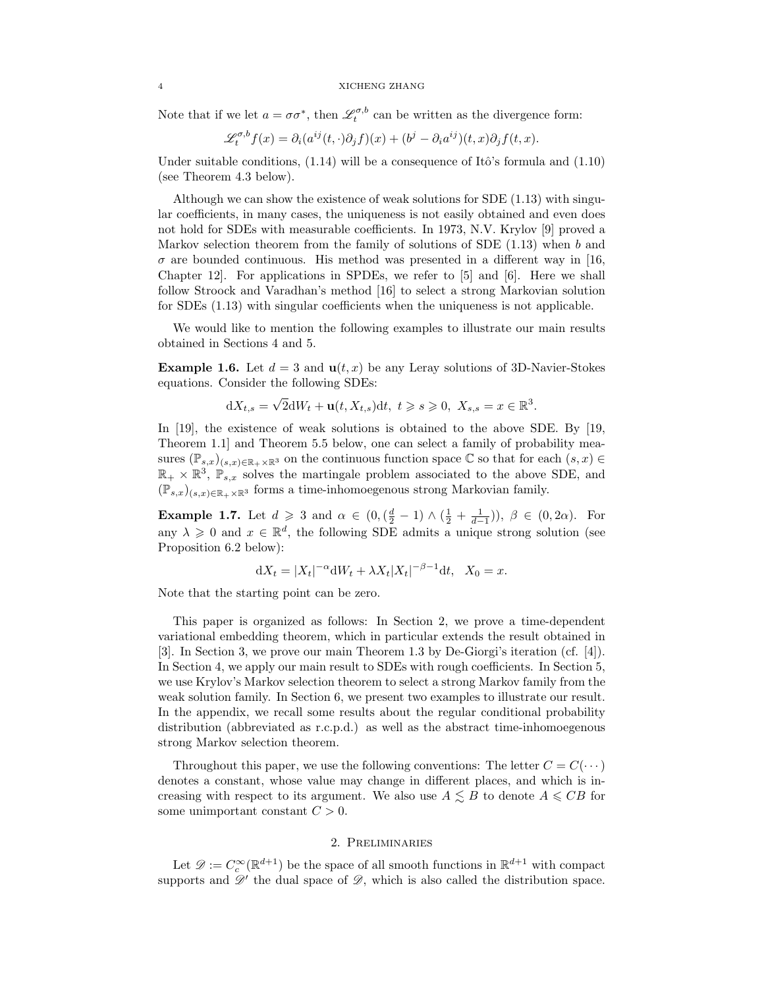Note that if we let  $a = \sigma \sigma^*$ , then  $\mathscr{L}_t^{\sigma,b}$  can be written as the divergence form:

$$
\mathscr{L}_t^{\sigma,b} f(x) = \partial_i (a^{ij}(t,\cdot)\partial_j f)(x) + (b^j - \partial_i a^{ij})(t,x)\partial_j f(t,x).
$$

Under suitable conditions,  $(1.14)$  will be a consequence of Itô's formula and  $(1.10)$ (see Theorem 4.3 below).

Although we can show the existence of weak solutions for SDE (1.13) with singular coefficients, in many cases, the uniqueness is not easily obtained and even does not hold for SDEs with measurable coefficients. In 1973, N.V. Krylov [9] proved a Markov selection theorem from the family of solutions of SDE  $(1.13)$  when b and  $\sigma$  are bounded continuous. His method was presented in a different way in [16, Chapter 12]. For applications in SPDEs, we refer to [5] and [6]. Here we shall follow Stroock and Varadhan's method [16] to select a strong Markovian solution for SDEs (1.13) with singular coefficients when the uniqueness is not applicable.

We would like to mention the following examples to illustrate our main results obtained in Sections 4 and 5.

**Example 1.6.** Let  $d = 3$  and  $\mathbf{u}(t, x)$  be any Leray solutions of 3D-Navier-Stokes equations. Consider the following SDEs:

$$
dX_{t,s} = \sqrt{2}dW_t + \mathbf{u}(t, X_{t,s})dt, \ t \geq s \geq 0, \ X_{s,s} = x \in \mathbb{R}^3.
$$

In [19], the existence of weak solutions is obtained to the above SDE. By [19, Theorem 1.1] and Theorem 5.5 below, one can select a family of probability measures  $(\mathbb{P}_{s,x})_{(s,x)\in\mathbb{R}_+\times\mathbb{R}^3}$  on the continuous function space  $\mathbb C$  so that for each  $(s,x)\in\mathbb R$  $\mathbb{R}_+ \times \mathbb{R}^3$ ,  $\mathbb{P}_{s,x}$  solves the martingale problem associated to the above SDE, and  $(\mathbb{P}_{s,x})_{(s,x)\in\mathbb{R}_+\times\mathbb{R}^3}$  forms a time-inhomoegenous strong Markovian family.

**Example 1.7.** Let  $d \ge 3$  and  $\alpha \in (0, (\frac{d}{2} - 1) \wedge (\frac{1}{2} + \frac{1}{d-1}))$ ,  $\beta \in (0, 2\alpha)$ . For any  $\lambda \geq 0$  and  $x \in \mathbb{R}^d$ , the following SDE admits a unique strong solution (see Proposition 6.2 below):

$$
dX_t = |X_t|^{-\alpha} dW_t + \lambda X_t |X_t|^{-\beta - 1} dt, \quad X_0 = x.
$$

Note that the starting point can be zero.

This paper is organized as follows: In Section 2, we prove a time-dependent variational embedding theorem, which in particular extends the result obtained in [3]. In Section 3, we prove our main Theorem 1.3 by De-Giorgi's iteration (cf. [4]). In Section 4, we apply our main result to SDEs with rough coefficients. In Section 5, we use Krylov's Markov selection theorem to select a strong Markov family from the weak solution family. In Section 6, we present two examples to illustrate our result. In the appendix, we recall some results about the regular conditional probability distribution (abbreviated as r.c.p.d.) as well as the abstract time-inhomoegenous strong Markov selection theorem.

Throughout this paper, we use the following conventions: The letter  $C = C(\cdots)$ denotes a constant, whose value may change in different places, and which is increasing with respect to its argument. We also use  $A \leq B$  to denote  $A \leq CB$  for some unimportant constant  $C > 0$ .

## 2. Preliminaries

Let  $\mathscr{D} := C_c^{\infty}(\mathbb{R}^{d+1})$  be the space of all smooth functions in  $\mathbb{R}^{d+1}$  with compact supports and  $\mathscr{D}'$  the dual space of  $\mathscr{D}$ , which is also called the distribution space.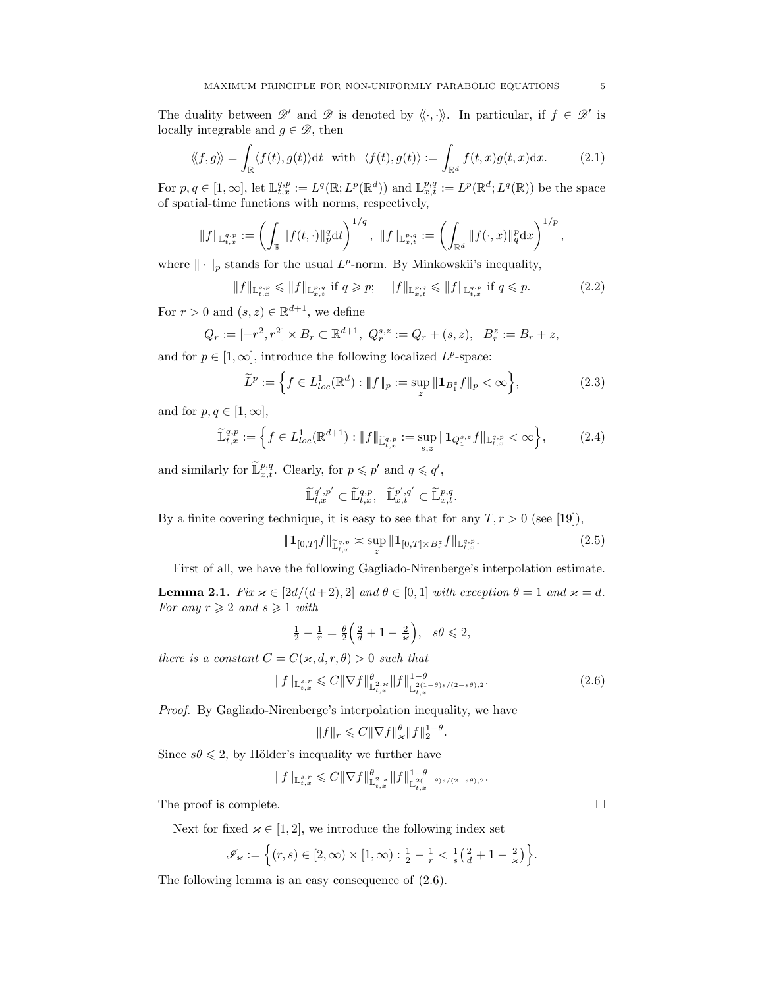The duality between  $\mathscr{D}'$  and  $\mathscr{D}$  is denoted by  $\langle \langle \cdot, \cdot \rangle \rangle$ . In particular, if  $f \in \mathscr{D}'$  is locally integrable and  $g \in \mathscr{D}$ , then

$$
\langle\!\langle f, g \rangle\!\rangle = \int_{\mathbb{R}} \langle f(t), g(t) \rangle \mathrm{d}t \quad \text{with} \quad \langle f(t), g(t) \rangle := \int_{\mathbb{R}^d} f(t, x) g(t, x) \mathrm{d}x. \tag{2.1}
$$

For  $p, q \in [1, \infty]$ , let  $\mathbb{L}^{q,p}_{t,x} := L^q(\mathbb{R}; L^p(\mathbb{R}^d))$  and  $\mathbb{L}^{p,q}_{x,t} := L^p(\mathbb{R}^d; L^q(\mathbb{R}))$  be the space of spatial-time functions with norms, respectively,

$$
||f||_{\mathbb{L}_{t,x}^{q,p}} := \left(\int_{\mathbb{R}} ||f(t, \cdot)||_p^q dt\right)^{1/q}, \ ||f||_{\mathbb{L}_{x,t}^{p,q}} := \left(\int_{\mathbb{R}^d} ||f(\cdot, x)||_q^p dx\right)^{1/p},
$$

where  $\|\cdot\|_p$  stands for the usual  $L^p$ -norm. By Minkowskii's inequality,

$$
||f||_{\mathbb{L}_{t,x}^{q,p}} \le ||f||_{\mathbb{L}_{x,t}^{p,q}} \text{ if } q \ge p; \quad ||f||_{\mathbb{L}_{x,t}^{p,q}} \le ||f||_{\mathbb{L}_{t,x}^{q,p}} \text{ if } q \le p. \tag{2.2}
$$

For  $r > 0$  and  $(s, z) \in \mathbb{R}^{d+1}$ , we define

$$
Q_r := [-r^2, r^2] \times B_r \subset \mathbb{R}^{d+1}, \ Q_r^{s,z} := Q_r + (s, z), \ B_r^z := B_r + z,
$$

and for  $p \in [1,\infty]$ , introduce the following localized  $L^p$ -space:

$$
\widetilde{L}^p := \left\{ f \in L^1_{loc}(\mathbb{R}^d) : \|f\|_p := \sup_z \|1_{B_1^z} f\|_p < \infty \right\},\tag{2.3}
$$

and for  $p, q \in [1, \infty]$ ,

$$
\widetilde{\mathbb{L}}_{t,x}^{q,p} := \left\{ f \in L_{loc}^1(\mathbb{R}^{d+1}) : \|f\|_{\widetilde{\mathbb{L}}_{t,x}^{q,p}} := \sup_{s,z} \|1_{Q_1^{s,z}} f\|_{\mathbb{L}_{t,x}^{q,p}} < \infty \right\},\tag{2.4}
$$

and similarly for  $\widetilde{\mathbb{L}}^{p,q}_{x,t}$ . Clearly, for  $p \leqslant p'$  and  $q \leqslant q'$ ,

$$
\widetilde{\mathbb L}_{t,x}^{q',p'} \subset \widetilde{\mathbb L}_{t,x}^{q,p},\ \ \widetilde{\mathbb L}_{x,t}^{p',q'} \subset \widetilde{\mathbb L}_{x,t}^{p,q}.
$$

By a finite covering technique, it is easy to see that for any  $T, r > 0$  (see [19]),

$$
\|\mathbf{1}_{[0,T]}f\|_{\widetilde{\mathbb{L}}_{t,x}^{q,p}} \asymp \sup_{z} \|\mathbf{1}_{[0,T]\times B_r^z}f\|_{\mathbb{L}_{t,x}^{q,p}}.\tag{2.5}
$$

First of all, we have the following Gagliado-Nirenberge's interpolation estimate.

**Lemma 2.1.** Fix  $\varkappa \in [2d/(d+2), 2]$  and  $\theta \in [0, 1]$  with exception  $\theta = 1$  and  $\varkappa = d$ . For any  $r \geqslant 2$  and  $s \geqslant 1$  with

$$
\frac{1}{2} - \frac{1}{r} = \frac{\theta}{2} \left( \frac{2}{d} + 1 - \frac{2}{\varkappa} \right), \quad s\theta \leq 2,
$$

there is a constant  $C = C(\varkappa, d, r, \theta) > 0$  such that

$$
||f||_{\mathbb{L}_{t,x}^{s,r}} \leq C||\nabla f||_{\mathbb{L}_{t,x}^{2,\varkappa}}^{\theta} ||f||_{\mathbb{L}_{t,x}^{2(1-\theta)s/(2-s\theta),2}}^{1-\theta}.
$$
\n(2.6)

.

Proof. By Gagliado-Nirenberge's interpolation inequality, we have

$$
||f||_r \leqslant C||\nabla f||_{\infty}^{\theta} ||f||_2^{1-\theta}
$$

Since  $s\theta \leq 2$ , by Hölder's inequality we further have

$$
||f||_{\mathbb{L}_{t,x}^{s,r}} \leqslant C||\nabla f||_{\mathbb{L}_{t,x}^{2,\times}}^{\theta} ||f||_{\mathbb{L}_{t,x}^{2(1-\theta)s/(2-s\theta),2}}^{1-\theta}.
$$

The proof is complete.

Next for fixed  $\varkappa \in [1,2]$ , we introduce the following index set

$$
\mathscr{I}_{\varkappa} := \left\{ (r,s) \in [2,\infty) \times [1,\infty) : \frac{1}{2} - \frac{1}{r} < \frac{1}{s} \left( \frac{2}{d} + 1 - \frac{2}{\varkappa} \right) \right\}.
$$

The following lemma is an easy consequence of (2.6).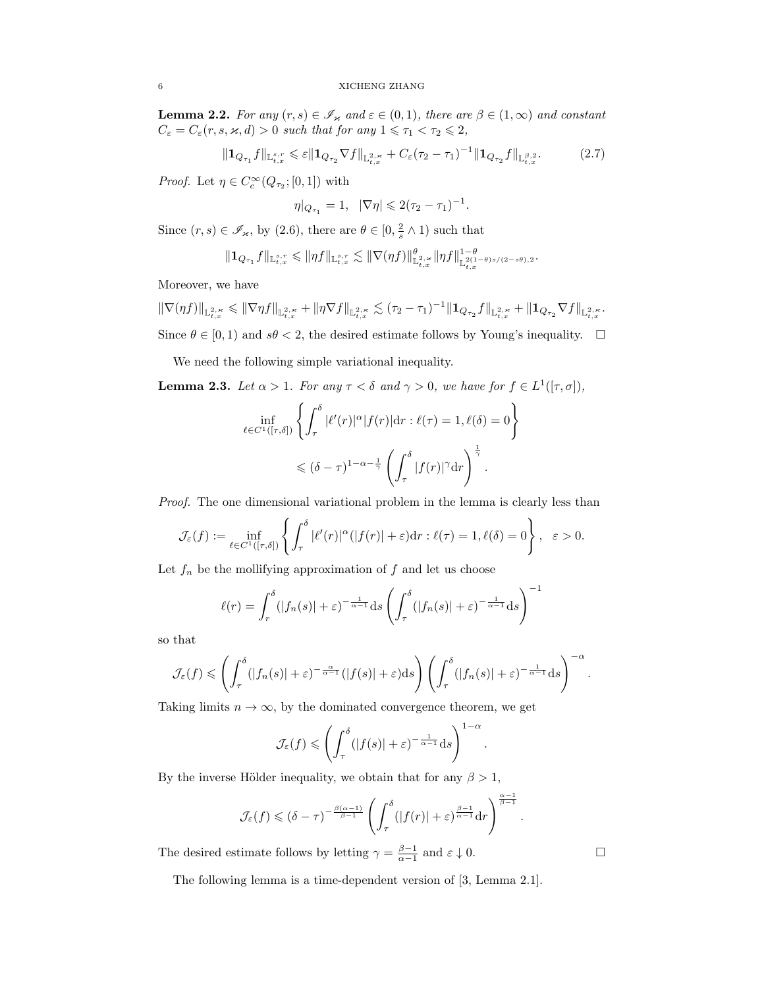**Lemma 2.2.** For any  $(r, s) \in \mathscr{I}_{\varkappa}$  and  $\varepsilon \in (0, 1)$ , there are  $\beta \in (1, \infty)$  and constant  $C_{\varepsilon} = C_{\varepsilon}(r, s, \varkappa, d) > 0$  such that for any  $1 \leq \tau_1 < \tau_2 \leq 2$ ,

$$
\|\mathbf{1}_{Q_{\tau_1}}f\|_{\mathbb{L}_{t,x}^{s,r}} \leq \varepsilon \|\mathbf{1}_{Q_{\tau_2}}\nabla f\|_{\mathbb{L}_{t,x}^{2,\varkappa}} + C_{\varepsilon}(\tau_2-\tau_1)^{-1} \|\mathbf{1}_{Q_{\tau_2}}f\|_{\mathbb{L}_{t,x}^{\beta,2}}.\tag{2.7}
$$

*Proof.* Let  $\eta \in C_c^{\infty}(Q_{\tau_2}; [0, 1])$  with

$$
\eta|_{Q_{\tau_1}} = 1, \ \ |\nabla \eta| \leq 2(\tau_2 - \tau_1)^{-1}.
$$

Since  $(r, s) \in \mathscr{I}_{\varkappa}$ , by  $(2.6)$ , there are  $\theta \in [0, \frac{2}{s} \wedge 1)$  such that

$$
\|{\bf 1}_{Q_{\tau_1}}f\|_{{\mathbb L}^{s,r}_{t,x}}\leqslant \|\eta f\|_{{\mathbb L}^{s,r}_{t,x}}\lesssim \|\nabla (\eta f)\|_{\mathbb{L}^{2,\varkappa}_{t,x}}^\theta \|\eta f\|^{1-\theta}_{{\mathbb L}^{2(1-\theta)s/(2-s\theta),2}}.
$$

Moreover, we have

 $\|\nabla(\eta f)\|_{\mathbb{L}^{2,\varkappa}_{t,x}}\leqslant \|\nabla \eta f\|_{\mathbb{L}^{2,\varkappa}_{t,x}}+\|\eta\nabla f\|_{\mathbb{L}^{2,\varkappa}_{t,x}}\lesssim (\tau_2-\tau_1)^{-1}\|\mathbf{1}_{Q_{\tau_2}}f\|_{\mathbb{L}^{2,\varkappa}_{t,x}}+\|\mathbf{1}_{Q_{\tau_2}}\nabla f\|_{\mathbb{L}^{2,\varkappa}_{t,x}}.$ Since  $\theta \in [0, 1)$  and  $s\theta < 2$ , the desired estimate follows by Young's inequality.  $\Box$ 

We need the following simple variational inequality.

**Lemma 2.3.** Let  $\alpha > 1$ . For any  $\tau < \delta$  and  $\gamma > 0$ , we have for  $f \in L^1([\tau, \sigma]),$ 

$$
\inf_{\ell \in C^{1}([\tau,\delta])} \left\{ \int_{\tau}^{\delta} |\ell'(r)|^{\alpha} |f(r)| dr : \ell(\tau) = 1, \ell(\delta) = 0 \right\}
$$

$$
\leq (\delta - \tau)^{1-\alpha-\frac{1}{\gamma}} \left( \int_{\tau}^{\delta} |f(r)|^{\gamma} dr \right)^{\frac{1}{\gamma}}.
$$

Proof. The one dimensional variational problem in the lemma is clearly less than

$$
\mathcal{J}_{\varepsilon}(f) := \inf_{\ell \in C^{1}([ \tau, \delta])} \left\{ \int_{\tau}^{\delta} |\ell'(r)|^{\alpha} (|f(r)| + \varepsilon) dr : \ell(\tau) = 1, \ell(\delta) = 0 \right\}, \quad \varepsilon > 0.
$$

Let  $f_n$  be the mollifying approximation of f and let us choose

$$
\ell(r) = \int_r^{\delta} (|f_n(s)| + \varepsilon)^{-\frac{1}{\alpha - 1}} ds \left( \int_\tau^{\delta} (|f_n(s)| + \varepsilon)^{-\frac{1}{\alpha - 1}} ds \right)^{-1}
$$

so that

$$
\mathcal{J}_{\varepsilon}(f) \leqslant \left(\int_{\tau}^{\delta} (|f_n(s)|+\varepsilon)^{-\frac{\alpha}{\alpha-1}} (|f(s)|+\varepsilon) ds\right) \left(\int_{\tau}^{\delta} (|f_n(s)|+\varepsilon)^{-\frac{1}{\alpha-1}} ds\right)^{-\alpha}.
$$

Taking limits  $n \to \infty$ , by the dominated convergence theorem, we get

$$
\mathcal{J}_{\varepsilon}(f) \leqslant \left(\int_{\tau}^{\delta} (|f(s)| + \varepsilon)^{-\frac{1}{\alpha-1}} ds\right)^{1-\alpha}.
$$

By the inverse Hölder inequality, we obtain that for any  $\beta > 1$ ,

$$
\mathcal{J}_{\varepsilon}(f) \leqslant (\delta - \tau)^{-\frac{\beta(\alpha-1)}{\beta-1}} \left( \int_{\tau}^{\delta} (|f(r)| + \varepsilon)^{\frac{\beta-1}{\alpha-1}} dr \right)^{\frac{\alpha-1}{\beta-1}}.
$$

The desired estimate follows by letting  $\gamma = \frac{\beta - 1}{\alpha - 1}$  and  $\varepsilon \downarrow 0$ .

The following lemma is a time-dependent version of [3, Lemma 2.1].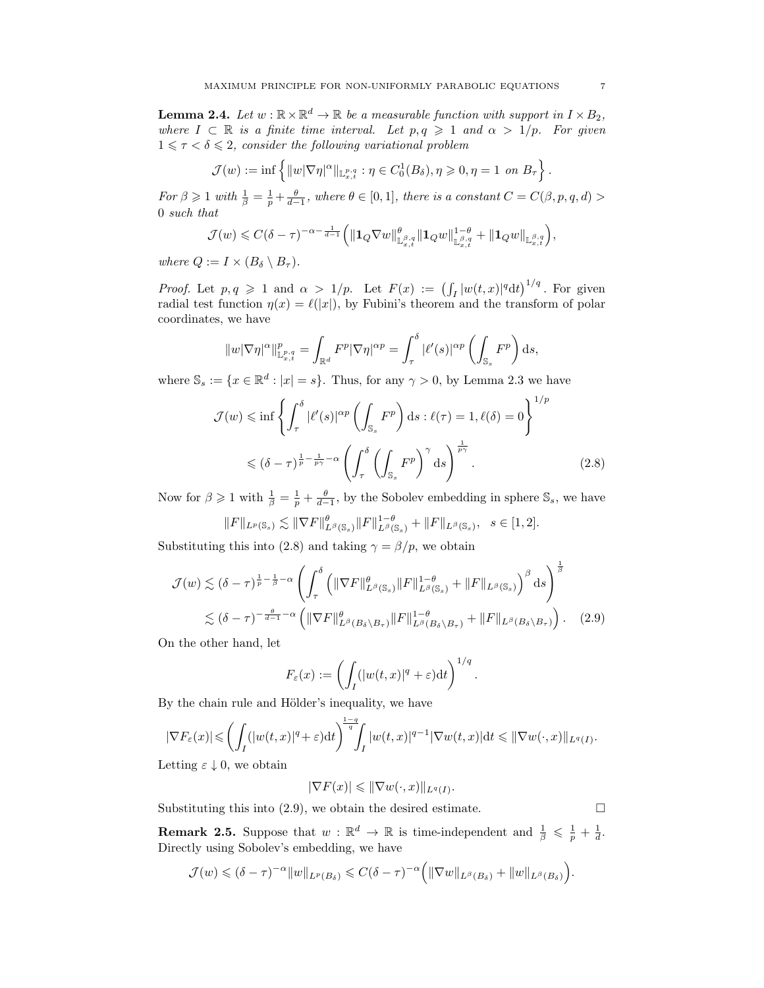**Lemma 2.4.** Let  $w : \mathbb{R} \times \mathbb{R}^d \to \mathbb{R}$  be a measurable function with support in  $I \times B_2$ , where  $I \subset \mathbb{R}$  is a finite time interval. Let  $p, q \geq 1$  and  $\alpha > 1/p$ . For given  $1 \leq \tau < \delta \leq 2$ , consider the following variational problem

$$
\mathcal{J}(w) := \inf \left\{ ||w| \nabla \eta|^{\alpha} ||_{\mathbb{L}^{p,q}_{x,t}} : \eta \in C_0^1(B_\delta), \eta \geq 0, \eta = 1 \text{ on } B_\tau \right\}
$$

For  $\beta \geqslant 1$  with  $\frac{1}{\beta} = \frac{1}{p} + \frac{\theta}{d-1}$ , where  $\theta \in [0,1]$ , there is a constant  $C = C(\beta, p, q, d)$ 0 such that

$$
\mathcal{J}(w) \leqslant C(\delta-\tau)^{-\alpha-\frac{1}{d-1}} \Big( \| {\bf 1}_Q \nabla w \|_{\mathbb{L}^{\beta,q}_{x,t}}^\theta \| {\bf 1}_Q w \|_{\mathbb{L}^{\beta,q}_{x,t}}^{1-\theta} + \| {\bf 1}_Q w \|_{\mathbb{L}^{\beta,q}_{x,t}} \Big),
$$

where  $Q := I \times (B_{\delta} \setminus B_{\tau}).$ 

*Proof.* Let  $p, q \geq 1$  and  $\alpha > 1/p$ . Let  $F(x) := (\int_I |w(t,x)|^q dt)^{1/q}$ . For given radial test function  $\eta(x) = \ell(|x|)$ , by Fubini's theorem and the transform of polar coordinates, we have

$$
||w|\nabla\eta|^{\alpha}||_{\mathbb{L}^{p,q}_{x,t}}^p = \int_{\mathbb{R}^d} F^p |\nabla\eta|^{\alpha p} = \int_{\tau}^{\delta} |\ell'(s)|^{\alpha p} \left( \int_{\mathbb{S}_s} F^p \right) ds,
$$

where  $\mathbb{S}_s := \{x \in \mathbb{R}^d : |x| = s\}$ . Thus, for any  $\gamma > 0$ , by Lemma 2.3 we have

$$
\mathcal{J}(w) \leq \inf \left\{ \int_{\tau}^{\delta} |\ell'(s)|^{\alpha p} \left( \int_{\mathbb{S}_s} F^p \right) ds : \ell(\tau) = 1, \ell(\delta) = 0 \right\}^{1/p}
$$

$$
\leq (\delta - \tau)^{\frac{1}{p} - \frac{1}{p\gamma} - \alpha} \left( \int_{\tau}^{\delta} \left( \int_{\mathbb{S}_s} F^p \right)^{\gamma} ds \right)^{\frac{1}{p\gamma}}.
$$
(2.8)

Now for  $\beta \geq 1$  with  $\frac{1}{\beta} = \frac{1}{p} + \frac{\theta}{d-1}$ , by the Sobolev embedding in sphere  $\mathbb{S}_s$ , we have

$$
||F||_{L^p(\mathbb{S}_s)} \lesssim ||\nabla F||_{L^{\beta}(\mathbb{S}_s)}^{\theta} ||F||_{L^{\beta}(\mathbb{S}_s)}^{1-\theta} + ||F||_{L^{\beta}(\mathbb{S}_s)}, \quad s \in [1,2].
$$

Substituting this into (2.8) and taking  $\gamma = \beta/p$ , we obtain

$$
\mathcal{J}(w) \lesssim (\delta - \tau)^{\frac{1}{p} - \frac{1}{\beta} - \alpha} \left( \int_{\tau}^{\delta} \left( \|\nabla F\|_{L^{\beta}(\mathbb{S}_s)}^{\theta} \|F\|_{L^{\beta}(\mathbb{S}_s)}^{1-\theta} + \|F\|_{L^{\beta}(\mathbb{S}_s)} \right)^{\beta} ds \right)^{\frac{1}{\beta}}
$$
  

$$
\lesssim (\delta - \tau)^{-\frac{\theta}{d-1} - \alpha} \left( \|\nabla F\|_{L^{\beta}(B_{\delta} \setminus B_{\tau})}^{\theta} \|F\|_{L^{\beta}(B_{\delta} \setminus B_{\tau})}^{1-\theta} + \|F\|_{L^{\beta}(B_{\delta} \setminus B_{\tau})} \right). \tag{2.9}
$$

On the other hand, let

$$
F_{\varepsilon}(x) := \left(\int_{I} (|w(t,x)|^{q} + \varepsilon) dt\right)^{1/q}
$$

.

By the chain rule and Hölder's inequality, we have

$$
|\nabla F_{\varepsilon}(x)| \leqslant \left(\int_{I} (|w(t,x)|^{q} + \varepsilon) dt\right)^{\frac{1-q}{q}} \int_{I} |w(t,x)|^{q-1} |\nabla w(t,x)| dt \leqslant ||\nabla w(\cdot,x)||_{L^{q}(I)}.
$$

Letting  $\varepsilon \downarrow 0$ , we obtain

$$
|\nabla F(x)| \leqslant ||\nabla w(\cdot, x)||_{L^q(I)}.
$$

Substituting this into  $(2.9)$ , we obtain the desired estimate.

**Remark 2.5.** Suppose that  $w : \mathbb{R}^d \to \mathbb{R}$  is time-independent and  $\frac{1}{\beta} \leq \frac{1}{p} + \frac{1}{d}$ . Directly using Sobolev's embedding, we have

$$
\mathcal{J}(w) \leqslant (\delta - \tau)^{-\alpha} \|w\|_{L^p(B_\delta)} \leqslant C(\delta - \tau)^{-\alpha} \Big( \|\nabla w\|_{L^\beta(B_\delta)} + \|w\|_{L^\beta(B_\delta)} \Big).
$$

.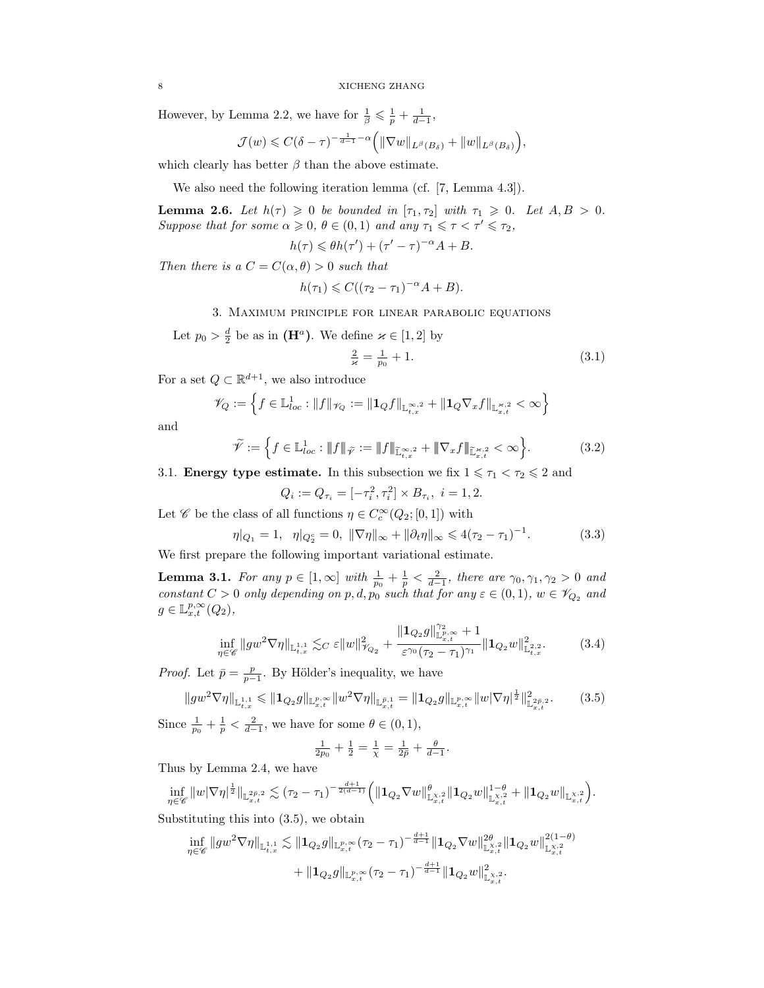However, by Lemma 2.2, we have for  $\frac{1}{\beta} \leq \frac{1}{p} + \frac{1}{d-1}$ ,

$$
\mathcal{J}(w) \leqslant C(\delta - \tau)^{-\frac{1}{d-1} - \alpha} \Big( \|\nabla w\|_{L^{\beta}(B_{\delta})} + \|w\|_{L^{\beta}(B_{\delta})} \Big),
$$

which clearly has better  $\beta$  than the above estimate.

We also need the following iteration lemma (cf. [7, Lemma 4.3]).

**Lemma 2.6.** Let  $h(\tau) \geq 0$  be bounded in  $[\tau_1, \tau_2]$  with  $\tau_1 \geq 0$ . Let  $A, B > 0$ . Suppose that for some  $\alpha \geq 0$ ,  $\theta \in (0,1)$  and any  $\tau_1 \leq \tau \leq \tau' \leq \tau_2$ ,

$$
h(\tau) \leq \theta h(\tau') + (\tau' - \tau)^{-\alpha} A + B.
$$

Then there is a  $C = C(\alpha, \theta) > 0$  such that

$$
h(\tau_1) \leqslant C((\tau_2 - \tau_1)^{-\alpha}A + B).
$$

3. Maximum principle for linear parabolic equations

Let  $p_0 > \frac{d}{2}$  be as in  $(\mathbf{H}^a)$ . We define  $\varkappa \in [1,2]$  by

$$
\frac{2}{\varkappa} = \frac{1}{p_0} + 1. \tag{3.1}
$$

For a set  $Q \subset \mathbb{R}^{d+1}$ , we also introduce

$$
\mathscr{V}_Q := \left\{ f \in \mathbb{L}^1_{loc} : \|f\|_{\mathscr{V}_Q} := \|1_Q f\|_{\mathbb{L}^{\infty,2}_{t,x}} + \|1_Q \nabla_x f\|_{\mathbb{L}^{\infty,2}_{x,t}} < \infty \right\}
$$

and

$$
\widetilde{\mathcal{V}} := \left\{ f \in \mathbb{L}^1_{loc} : \|f\|_{\widetilde{\mathcal{V}}} := \|f\|_{\widetilde{\mathbb{L}}^{\infty,2}_{t,x}} + \|\nabla_x f\|_{\widetilde{\mathbb{L}}^{\infty,2}_{x,t}} < \infty \right\}.
$$
\n(3.2)

3.1. **Energy type estimate.** In this subsection we fix  $1 \leq \tau_1 < \tau_2 \leq 2$  and

$$
Q_i := Q_{\tau_i} = [-\tau_i^2, \tau_i^2] \times B_{\tau_i}, \ i = 1, 2.
$$

Let  $\mathscr C$  be the class of all functions  $\eta \in C_c^\infty(Q_2;[0,1])$  with

$$
\eta|_{Q_1} = 1, \quad \eta|_{Q_2^c} = 0, \ \|\nabla \eta\|_{\infty} + \|\partial_t \eta\|_{\infty} \leq 4(\tau_2 - \tau_1)^{-1}.
$$
 (3.3)

We first prepare the following important variational estimate.

**Lemma 3.1.** For any  $p \in [1, \infty]$  with  $\frac{1}{p_0} + \frac{1}{p} < \frac{2}{d-1}$ , there are  $\gamma_0, \gamma_1, \gamma_2 > 0$  and constant  $C > 0$  only depending on p, d,  $p_0$  such that for any  $\varepsilon \in (0,1)$ ,  $w \in \mathscr{V}_{Q_2}$  and  $g \in \mathbb{L}_{x,t}^{p,\infty}(Q_2),$ 

$$
\inf_{\eta \in \mathscr{C}} \|gw^2 \nabla \eta\|_{\mathbb{L}^{1,1}_{t,x}} \lesssim_C \varepsilon \|w\|_{\mathscr{V}_{Q_2}}^2 + \frac{\|\mathbf{1}_{Q_2}g\|_{\mathbb{L}^{p,\infty}_{x,t}}^{\gamma_2} + 1}{\varepsilon^{\gamma_0}(\tau_2 - \tau_1)^{\gamma_1}} \|\mathbf{1}_{Q_2}w\|_{\mathbb{L}^{2,2}_{t,x}}^2. \tag{3.4}
$$

*Proof.* Let  $\bar{p} = \frac{p}{p-1}$ . By Hölder's inequality, we have

$$
||gw^{2}\nabla\eta||_{\mathbb{L}_{t,x}^{1,1}} \leq ||\mathbf{1}_{Q_{2}}g||_{\mathbb{L}_{x,t}^{p,\infty}}||w^{2}\nabla\eta||_{\mathbb{L}_{x,t}^{\bar{p},1}} = ||\mathbf{1}_{Q_{2}}g||_{\mathbb{L}_{x,t}^{p,\infty}}||w|\nabla\eta|^{\frac{1}{2}}||_{\mathbb{L}_{x,t}^{2\bar{p},2}}^{2}.
$$
 (3.5)

Since  $\frac{1}{p_0} + \frac{1}{p} < \frac{2}{d-1}$ , we have for some  $\theta \in (0,1)$ ,

$$
\frac{1}{2p_0} + \frac{1}{2} = \frac{1}{\chi} = \frac{1}{2\bar{p}} + \frac{\theta}{d-1}.
$$

Thus by Lemma 2.4, we have

 $\inf_{\eta\in\mathscr{C}}\|w|\nabla\eta|^{\frac{1}{2}}\|_{\mathbb{L}^{2\bar{p},2}_{x,t}}\lesssim(\tau_2-\tau_1)^{-\frac{d+1}{2(d-1)}}\Big(\|\mathbf{1}_{Q_2}\nabla w\|_{\mathbb{L}^{X,2}_{x,t}}^{\theta}\|\mathbf{1}_{Q_2}w\|_{\mathbb{L}^{X,2}_{x,t}}^{1-\theta}+\|\mathbf{1}_{Q_2}w\|_{\mathbb{L}^{X,2}_{x,t}}\Big).$ 

Substituting this into (3.5), we obtain

$$
\begin{aligned} \inf_{\eta \in \mathscr{C}} \|gw^2 \nabla \eta\|_{\mathbb{L}^{1,1}_{t,x}} &\lesssim \| \mathbf{1}_{Q_2} g \|_{\mathbb{L}^{p,\infty}_{x,t}} (\tau_2 - \tau_1)^{-\frac{d+1}{d-1}} \| \mathbf{1}_{Q_2} \nabla w \|_{\mathbb{L}^{X,2}_{x,t}}^{2 \theta} \| \mathbf{1}_{Q_2} w \|_{\mathbb{L}^{X,2}_{x,t}}^{2(1-\theta)} \\ &\quad + \| \mathbf{1}_{Q_2} g \|_{\mathbb{L}^{p,\infty}_{x,t}} (\tau_2 - \tau_1)^{-\frac{d+1}{d-1}} \| \mathbf{1}_{Q_2} w \|_{\mathbb{L}^{X,2}_{x,t}}^2. \end{aligned}
$$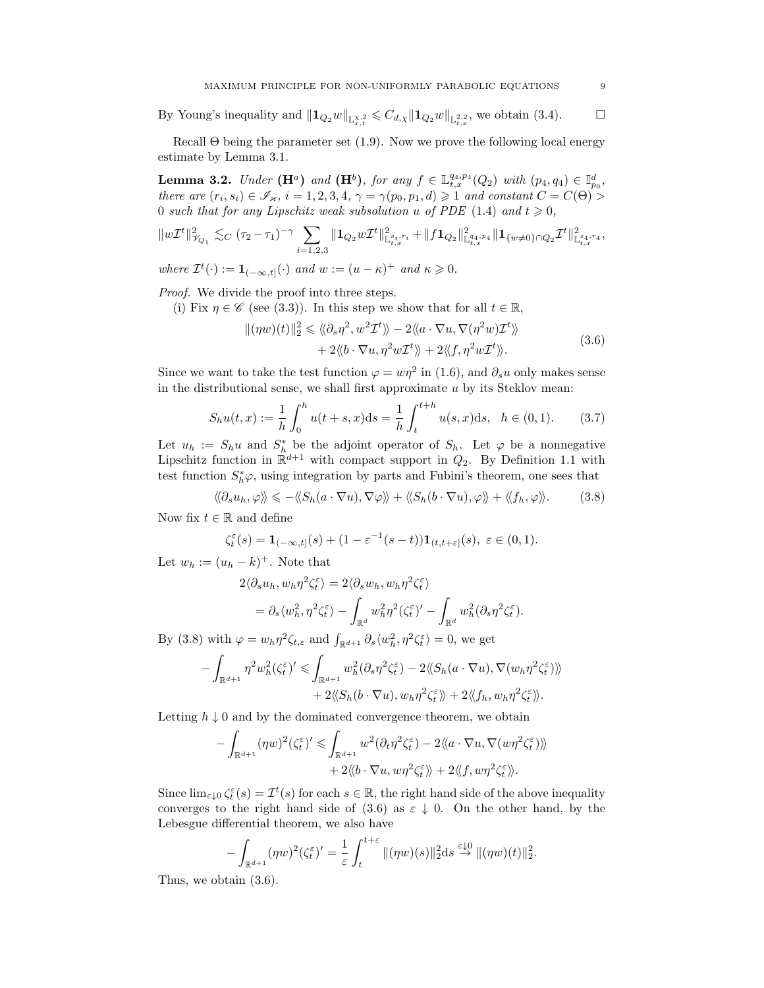By Young's inequality and  $||\mathbf{1}_{Q_2}w||_{\mathbb{L}^{X,2}_{x,t}} \leqslant C_{d,\chi}||\mathbf{1}_{Q_2}w||_{\mathbb{L}^{2,2}_{t,x}}$ , we obtain (3.4).

Recall  $\Theta$  being the parameter set (1.9). Now we prove the following local energy estimate by Lemma 3.1.

**Lemma 3.2.** Under  $(\mathbf{H}^a)$  and  $(\mathbf{H}^b)$ , for any  $f \in \mathbb{L}_{t,x}^{q_4,p_4}(Q_2)$  with  $(p_4,q_4) \in \mathbb{I}_{p_0}^d$ , there are  $(r_i, s_i) \in \mathscr{I}_{\varkappa}, i = 1, 2, 3, 4, \gamma = \gamma(p_0, p_1, d) \geq 1$  and constant  $C = C(\Theta)$ 0 such that for any Lipschitz weak subsolution u of PDE (1.4) and  $t \geq 0$ ,

$$
\|w\mathcal{I}^t\|_{\mathcal{V}_{Q_1}}^2 \lesssim_C (\tau_2 - \tau_1)^{-\gamma} \sum_{i=1,2,3} \|1_{Q_2} w\mathcal{I}^t\|_{\mathbb{L}^{s_i,r_i}_{t,x}}^2 + \|f 1_{Q_2}\|_{\mathbb{L}^{q_4,p_4}_{t,x}}^2 \|1_{\{w \neq 0\} \cap Q_2} \mathcal{I}^t\|_{\mathbb{L}^{s_4,r_4}_{t,x}},
$$
  
where  $\mathcal{I}^t(\cdot) := 1_{(-\infty,t]}(\cdot)$  and  $w := (u - \kappa)^+$  and  $\kappa \geq 0$ .

Proof. We divide the proof into three steps.

(i) Fix  $\eta \in \mathscr{C}$  (see (3.3)). In this step we show that for all  $t \in \mathbb{R}$ ,

$$
\begin{aligned} ||(\eta w)(t)||_2^2 &\leq \langle \langle \partial_s \eta^2, w^2 \mathcal{I}^t \rangle \rangle - 2 \langle \langle a \cdot \nabla u, \nabla (\eta^2 w) \mathcal{I}^t \rangle \rangle \\ &+ 2 \langle \langle b \cdot \nabla u, \eta^2 w \mathcal{I}^t \rangle \rangle + 2 \langle \langle f, \eta^2 w \mathcal{I}^t \rangle \rangle. \end{aligned} \tag{3.6}
$$

Since we want to take the test function  $\varphi = w\eta^2$  in (1.6), and  $\partial_s u$  only makes sense in the distributional sense, we shall first approximate  $u$  by its Steklov mean:

$$
S_h u(t, x) := \frac{1}{h} \int_0^h u(t + s, x) ds = \frac{1}{h} \int_t^{t + h} u(s, x) ds, \quad h \in (0, 1).
$$
 (3.7)

Let  $u_h := S_h u$  and  $S_h^*$  be the adjoint operator of  $S_h$ . Let  $\varphi$  be a nonnegative Lipschitz function in  $\mathbb{R}^{d+1}$  with compact support in  $Q_2$ . By Definition 1.1 with test function  $S_h^* \varphi$ , using integration by parts and Fubini's theorem, one sees that

$$
\langle \langle \partial_s u_h, \varphi \rangle \rangle \leq -\langle \langle S_h(a \cdot \nabla u), \nabla \varphi \rangle \rangle + \langle \langle S_h(b \cdot \nabla u), \varphi \rangle \rangle + \langle \langle f_h, \varphi \rangle \rangle. \tag{3.8}
$$

Now fix  $t \in \mathbb{R}$  and define

$$
\zeta_t^{\varepsilon}(s) = \mathbf{1}_{(-\infty,t]}(s) + (1 - \varepsilon^{-1}(s-t))\mathbf{1}_{(t,t+\varepsilon]}(s), \ \varepsilon \in (0,1).
$$

Let  $w_h := (u_h - k)^+$ . Note that

$$
2\langle \partial_s u_h, w_h \eta^2 \zeta_t^{\varepsilon} \rangle = 2 \langle \partial_s w_h, w_h \eta^2 \zeta_t^{\varepsilon} \rangle
$$
  
=  $\partial_s \langle w_h^2, \eta^2 \zeta_t^{\varepsilon} \rangle - \int_{\mathbb{R}^d} w_h^2 \eta^2 (\zeta_t^{\varepsilon})' - \int_{\mathbb{R}^d} w_h^2 (\partial_s \eta^2 \zeta_t^{\varepsilon}).$ 

By (3.8) with  $\varphi = w_h \eta^2 \zeta_{t,\varepsilon}$  and  $\int_{\mathbb{R}^{d+1}} \partial_s \langle w_h^2, \eta^2 \zeta_t^{\varepsilon} \rangle = 0$ , we get

$$
-\int_{\mathbb{R}^{d+1}} \eta^2 w_h^2(\zeta_t^{\varepsilon})' \leq \int_{\mathbb{R}^{d+1}} w_h^2(\partial_s \eta^2 \zeta_t^{\varepsilon}) - 2 \langle \langle S_h(a \cdot \nabla u), \nabla (w_h \eta^2 \zeta_t^{\varepsilon}) \rangle \rangle + 2 \langle \langle S_h(b \cdot \nabla u), w_h \eta^2 \zeta_t^{\varepsilon} \rangle \rangle + 2 \langle \langle f_h, w_h \eta^2 \zeta_t^{\varepsilon} \rangle \rangle.
$$

Letting  $h \downarrow 0$  and by the dominated convergence theorem, we obtain

$$
- \int_{\mathbb{R}^{d+1}} (\eta w)^2 (\zeta_t^{\varepsilon})' \leq \int_{\mathbb{R}^{d+1}} w^2 (\partial_t \eta^2 \zeta_t^{\varepsilon}) - 2 \langle \langle a \cdot \nabla u, \nabla (w \eta^2 \zeta_t^{\varepsilon}) \rangle \rangle + 2 \langle \langle b \cdot \nabla u, w \eta^2 \zeta_t^{\varepsilon} \rangle \rangle + 2 \langle \langle f, w \eta^2 \zeta_t^{\varepsilon} \rangle \rangle.
$$

Since  $\lim_{\varepsilon \downarrow 0} \zeta_t^{\varepsilon}(s) = \mathcal{I}^t(s)$  for each  $s \in \mathbb{R}$ , the right hand side of the above inequality converges to the right hand side of (3.6) as  $\varepsilon \downarrow 0$ . On the other hand, by the Lebesgue differential theorem, we also have

$$
-\int_{\mathbb{R}^{d+1}} (\eta w)^2 (\zeta_t^{\varepsilon})' = \frac{1}{\varepsilon} \int_t^{t+\varepsilon} \|(\eta w)(s)\|_2^2 ds \stackrel{\varepsilon \downarrow 0}{\to} \|(\eta w)(t)\|_2^2.
$$

Thus, we obtain (3.6).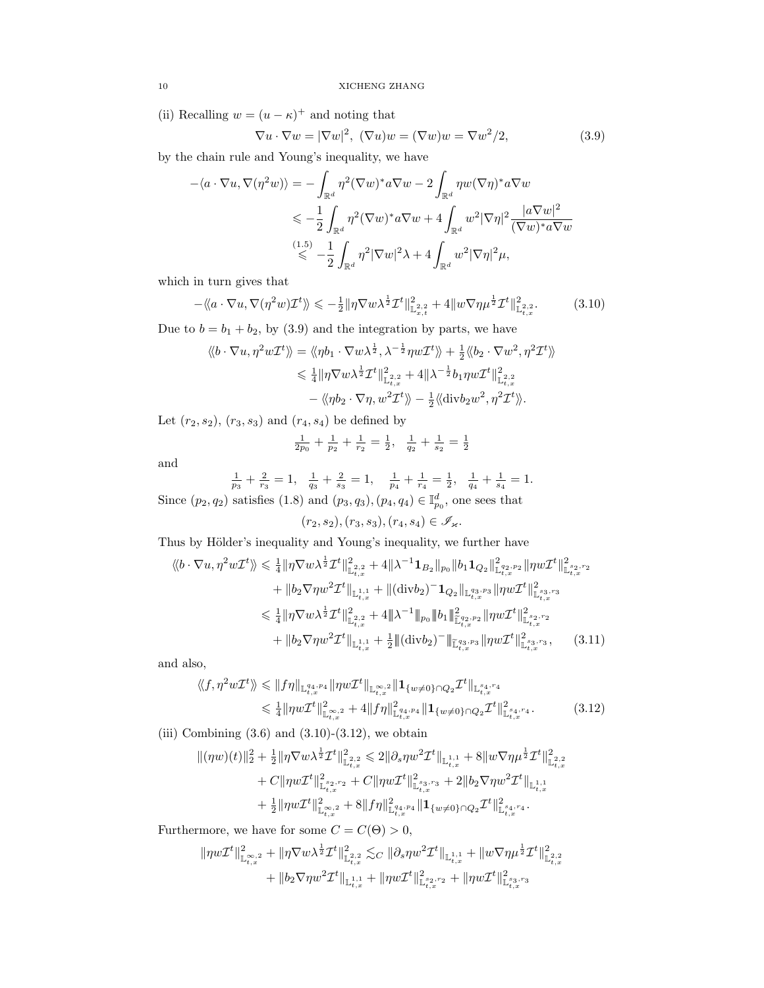(ii) Recalling  $w = (u - \kappa)^+$  and noting that

$$
\nabla u \cdot \nabla w = |\nabla w|^2, \ (\nabla u)w = (\nabla w)w = \nabla w^2/2, \tag{3.9}
$$

by the chain rule and Young's inequality, we have

$$
-\langle a \cdot \nabla u, \nabla (\eta^2 w) \rangle = -\int_{\mathbb{R}^d} \eta^2 (\nabla w)^* a \nabla w - 2 \int_{\mathbb{R}^d} \eta w (\nabla \eta)^* a \nabla w
$$
  

$$
\leqslant -\frac{1}{2} \int_{\mathbb{R}^d} \eta^2 (\nabla w)^* a \nabla w + 4 \int_{\mathbb{R}^d} w^2 |\nabla \eta|^2 \frac{|a \nabla w|^2}{(\nabla w)^* a \nabla w}
$$
  

$$
\stackrel{(1.5)}{\leqslant} -\frac{1}{2} \int_{\mathbb{R}^d} \eta^2 |\nabla w|^2 \lambda + 4 \int_{\mathbb{R}^d} w^2 |\nabla \eta|^2 \mu,
$$

which in turn gives that

$$
-\langle \langle a \cdot \nabla u, \nabla (\eta^2 w) \mathcal{I}^t \rangle \rangle \leq -\frac{1}{2} \|\eta \nabla w \lambda^{\frac{1}{2}} \mathcal{I}^t\|_{\mathbb{L}^{2,2}_{x,t}}^2 + 4 \|w \nabla \eta \mu^{\frac{1}{2}} \mathcal{I}^t\|_{\mathbb{L}^{2,2}_{t,x}}^2. \tag{3.10}
$$

Due to  $b = b_1 + b_2$ , by (3.9) and the integration by parts, we have

$$
\langle b \cdot \nabla u, \eta^2 w \mathcal{I}^t \rangle = \langle \langle \eta b_1 \cdot \nabla w \lambda^{\frac{1}{2}}, \lambda^{-\frac{1}{2}} \eta w \mathcal{I}^t \rangle \rangle + \frac{1}{2} \langle \langle b_2 \cdot \nabla w^2, \eta^2 \mathcal{I}^t \rangle \rangle
$$
  

$$
\leq \frac{1}{4} ||\eta \nabla w \lambda^{\frac{1}{2}} \mathcal{I}^t ||_{\mathbb{L}^2_{t,x}}^2 + 4 ||\lambda^{-\frac{1}{2}} b_1 \eta w \mathcal{I}^t ||_{\mathbb{L}^2_{t,x}}^2
$$

$$
- \langle \langle \eta b_2 \cdot \nabla \eta, w^2 \mathcal{I}^t \rangle \rangle - \frac{1}{2} \langle \langle \text{div} b_2 w^2, \eta^2 \mathcal{I}^t \rangle \rangle.
$$

Let  $(r_2, s_2)$ ,  $(r_3, s_3)$  and  $(r_4, s_4)$  be defined by

$$
\frac{1}{2p_0} + \frac{1}{p_2} + \frac{1}{r_2} = \frac{1}{2}, \quad \frac{1}{q_2} + \frac{1}{s_2} = \frac{1}{2}
$$

and

1 p3 + 2 r3 = 1, 1 q3 + 2 s3 = 1, 1 p4 + 1 r4 = 1 2 , 1 q4 + 1 s4 = 1.

Since  $(p_2, q_2)$  satisfies  $(1.8)$  and  $(p_3, q_3), (p_4, q_4) \in \mathbb{I}_{p_0}^d$ , one sees that

 $(r_2, s_2), (r_3, s_3), (r_4, s_4) \in \mathscr{I}_{\varkappa}.$ 

Thus by Hölder's inequality and Young's inequality, we further have

$$
\langle b \cdot \nabla u, \eta^2 w \mathcal{I}^t \rangle \rangle \leq \frac{1}{4} \|\eta \nabla w \lambda^{\frac{1}{2}} \mathcal{I}^t\|_{\mathbb{L}^{2,2}_{t,x}}^2 + 4 \|\lambda^{-1} \mathbf{1}_{B_2}\|_{p_0} \|b_1 \mathbf{1}_{Q_2}\|_{\mathbb{L}^{q_2,p_2}_{t,x}}^2 \|\eta w \mathcal{I}^t\|_{\mathbb{L}^{s_2,r_2}_{t,x}}^2 + \|b_2 \nabla \eta w^2 \mathcal{I}^t\|_{\mathbb{L}^{1,1}_{t,x}} + \|(\text{div} b_2)^{-} \mathbf{1}_{Q_2}\|_{\mathbb{L}^{q_3,p_3}_{t,x}} \|\eta w \mathcal{I}^t\|_{\mathbb{L}^{s_3,r_3}_{t,x}}^2 \leq \frac{1}{4} \|\eta \nabla w \lambda^{\frac{1}{2}} \mathcal{I}^t\|_{\mathbb{L}^{2,2}_{t,x}}^2 + 4 \|\lambda^{-1}\|_{p_0} \|b_1\|_{\mathbb{L}^{q_2,p_2}_{t,x}}^2 \|\eta w \mathcal{I}^t\|_{\mathbb{L}^{s_2,r_2}_{t,x}}^2 + \|b_2 \nabla \eta w^2 \mathcal{I}^t\|_{\mathbb{L}^{1,1}_{t,x}} + \frac{1}{2} \|(\text{div} b_2)^{-} \|\mathbb{L}^{s_3,p_3}_{t,x}} \|\eta w \mathcal{I}^t\|_{\mathbb{L}^{s_3,r_3}_{t,x}}, \qquad (3.11)
$$

and also,

$$
\langle f, \eta^2 w \mathcal{I}^t \rangle \rangle \leq \|f\eta\|_{\mathbb{L}_{t,x}^{q_4, p_4}} \|\eta w \mathcal{I}^t\|_{\mathbb{L}_{t,x}^{\infty,2}} \|1_{\{w \neq 0\} \cap Q_2} \mathcal{I}^t\|_{\mathbb{L}_{t,x}^{s_4, r_4}} \leq \frac{1}{4} \|\eta w \mathcal{I}^t\|_{\mathbb{L}_{t,x}^{\infty,2}}^2 + 4 \|f\eta\|_{\mathbb{L}_{t,x}^{q_4, p_4}}^2 \|1_{\{w \neq 0\} \cap Q_2} \mathcal{I}^t\|_{\mathbb{L}_{t,x}^{s_4, r_4}}^2.
$$
\n(3.12)

(iii) Combining  $(3.6)$  and  $(3.10)-(3.12)$ , we obtain

$$
\begin{aligned} \|(\eta w)(t)\|_2^2+\tfrac{1}{2}\|\eta \nabla w\lambda^{\frac{1}{2}}\mathcal{I}^t\|_{\mathbb{L}^2_{t,x}}^2 &\leqslant 2\|\partial_s\eta w^2\mathcal{I}^t\|_{\mathbb{L}^{1,1}_{t,x}}+8\|w\nabla\eta\mu^{\frac{1}{2}}\mathcal{I}^t\|_{\mathbb{L}^2_{t,x}}^2\\ &+C\|\eta w\mathcal{I}^t\|_{\mathbb{L}^2_{t,x}}^2+C\|\eta w\mathcal{I}^t\|_{\mathbb{L}^2_{t,x}}^2+2\|b_2\nabla\eta w^2\mathcal{I}^t\|_{\mathbb{L}^{1,1}_{t,x}}\\ &+\tfrac{1}{2}\|\eta w\mathcal{I}^t\|_{\mathbb{L}^{\infty,2}_{t,x}}^2+8\|f\eta\|_{\mathbb{L}^{4,q,q}_{t,x}}^2\|\mathbf{1}_{\{w\neq 0\}\cap Q_2}\mathcal{I}^t\|_{\mathbb{L}^{s_{4},r_{4}}_{t,x}}^2. \end{aligned}
$$

Furthermore, we have for some  $C = C(\Theta) > 0$ ,

$$
\begin{aligned}\|\eta w\mathcal{I}^{t}\|^{2}_{\mathbb{L}^{\infty,2}_{t,x}}+\|\eta \nabla w\lambda^{\frac{1}{2}}\mathcal{I}^{t}\|^{2}_{\mathbb{L}^{2,2}_{t,x}} \lesssim_{C}\|\partial_{s}\eta w^{2}\mathcal{I}^{t}\|_{\mathbb{L}^{1,1}_{t,x}}+\|w\nabla \eta\mu^{\frac{1}{2}}\mathcal{I}^{t}\|^{2}_{\mathbb{L}^{2,2}_{t,x}}\\+\|b_{2}\nabla\eta w^{2}\mathcal{I}^{t}\|_{\mathbb{L}^{1,1}_{t,x}}+\|\eta w\mathcal{I}^{t}\|^{2}_{\mathbb{L}^{2,2,\gamma_{2}}_{t,x}}+\|\eta w\mathcal{I}^{t}\|^{2}_{\mathbb{L}^{s_{3},\gamma_{3}}_{t,x}}\end{aligned}
$$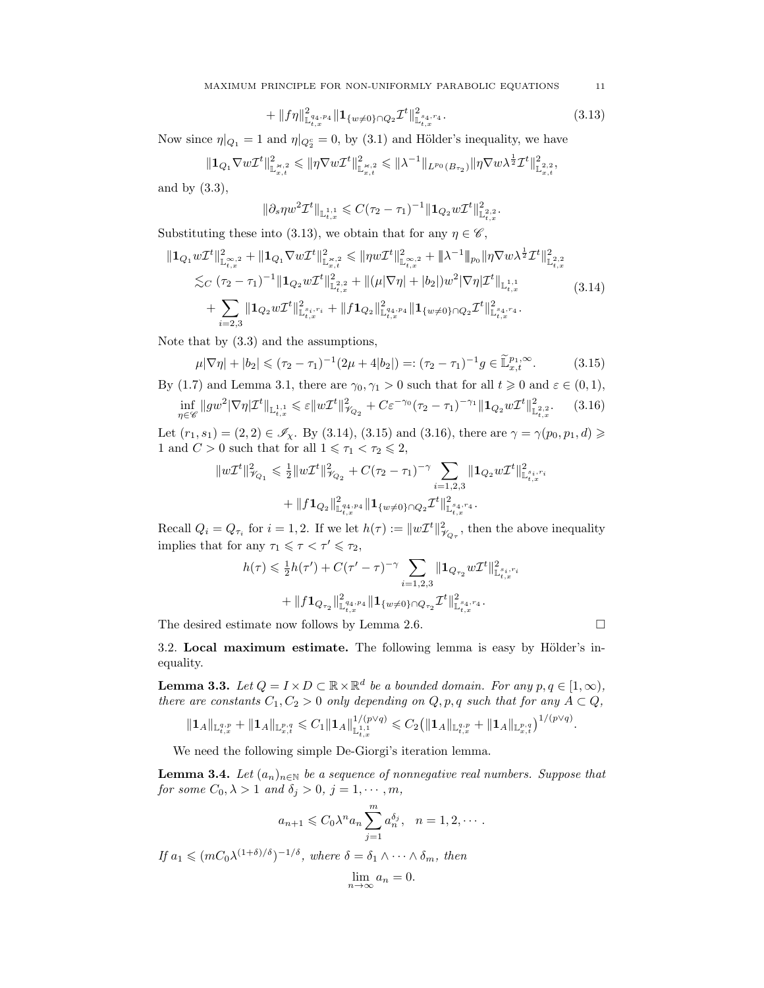$$
+ \|f\eta\|_{\mathbb{L}^{q_4,p_4}_{t,x}}^2 \|1_{\{w\neq 0\}\cap Q_2} \mathcal{I}^t\|_{\mathbb{L}^{s_4,r_4}_{t,x}}^2. \tag{3.13}
$$

Now since  $\eta|_{Q_1} = 1$  and  $\eta|_{Q_2^c} = 0$ , by (3.1) and Hölder's inequality, we have

$$
\|\mathbf{1}_{Q_1}\nabla w\mathcal{I}^t\|^2_{\mathbb{L}^{\varkappa,2}_{x,t}}\leqslant \|\eta\nabla w\mathcal{I}^t\|^2_{\mathbb{L}^{\varkappa,2}_{x,t}}\leqslant \|\lambda^{-1}\|_{L^{p_0}(B_{\tau_2})}\|\eta\nabla w\lambda^{\frac{1}{2}}\mathcal{I}^t\|^2_{\mathbb{L}^{2,2}_{x,t}},
$$

and by (3.3),

$$
\|\partial_s\eta w^2\mathcal{I}^t\|_{{\mathbb L}^{1,1}_{t,x}}\leqslant C(\tau_2-\tau_1)^{-1}\|\mathbf{1}_{Q_2}w\mathcal{I}^t\|^2_{{\mathbb L}^{2,2}_{t,x}}.
$$

Substituting these into (3.13), we obtain that for any  $\eta \in \mathscr{C}$ ,

$$
\| \mathbf{1}_{Q_1} w \mathcal{I}^t \|_{\mathbb{L}^{\infty,2}_{t,x}}^2 + \| \mathbf{1}_{Q_1} \nabla w \mathcal{I}^t \|_{\mathbb{L}^{\infty,2}_{x,t}}^2 \leq \| \eta w \mathcal{I}^t \|_{\mathbb{L}^{\infty,2}_{t,x}}^2 + \| \lambda^{-1} \|_{p_0} \| \eta \nabla w \lambda^{\frac{1}{2}} \mathcal{I}^t \|_{\mathbb{L}^{2,2}_{t,x}}^2 \n\lesssim_C (\tau_2 - \tau_1)^{-1} \| \mathbf{1}_{Q_2} w \mathcal{I}^t \|_{\mathbb{L}^{2,2}_{t,x}}^2 + \| (\mu |\nabla \eta| + |b_2|) w^2 |\nabla \eta| \mathcal{I}^t \|_{\mathbb{L}^{1,1}_{t,x}} \n+ \sum_{i=2,3} \| \mathbf{1}_{Q_2} w \mathcal{I}^t \|_{\mathbb{L}^{s_i,r_i}_{t,x}}^2 + \| f \mathbf{1}_{Q_2} \|_{\mathbb{L}^{q_4,p_4}_{t,x}}^2 \| \mathbf{1}_{\{w \neq 0\} \cap Q_2} \mathcal{I}^t \|_{\mathbb{L}^{s_4,r_4}_{t,x}}^2.
$$
\n(3.14)

Note that by (3.3) and the assumptions,

$$
\mu|\nabla\eta| + |b_2| \le (\tau_2 - \tau_1)^{-1}(2\mu + 4|b_2|) =: (\tau_2 - \tau_1)^{-1}g \in \widetilde{\mathbb{L}}_{x,t}^{p_1,\infty}.
$$
 (3.15)

By (1.7) and Lemma 3.1, there are  $\gamma_0, \gamma_1 > 0$  such that for all  $t \geq 0$  and  $\varepsilon \in (0,1)$ ,

$$
\inf_{\eta \in \mathscr{C}} \|gw^2 |\nabla \eta| \mathcal{I}^t\|_{\mathbb{L}^{1,1}_{t,x}} \leqslant \varepsilon \|w\mathcal{I}^t\|_{\mathscr{V}_{Q_2}}^2 + C\varepsilon^{-\gamma_0} (\tau_2 - \tau_1)^{-\gamma_1} \|1_{Q_2} w\mathcal{I}^t\|_{\mathbb{L}^{2,2}_{t,x}}^2. \tag{3.16}
$$

Let  $(r_1, s_1) = (2, 2) \in \mathscr{I}_{\chi}$ . By (3.14), (3.15) and (3.16), there are  $\gamma = \gamma(p_0, p_1, d) \geq$ 1 and  $C > 0$  such that for all  $1 \leq \tau_1 < \tau_2 \leq 2$ ,

$$
\begin{aligned}\|w\mathcal{I}^t\|^2_{\mathscr{V}_{Q_1}} &\leqslant \tfrac{1}{2}\|w\mathcal{I}^t\|^2_{\mathscr{V}_{Q_2}}+C(\tau_2-\tau_1)^{-\gamma}\sum_{i=1,2,3}\|\mathbf{1}_{Q_2}w\mathcal{I}^t\|^2_{\mathbb{L}^{s_i,r_i}_{t,x}}\\&+\|f\mathbf{1}_{Q_2}\|^2_{\mathbb{L}^{q_4,p_4}_{t,x}}\|\mathbf{1}_{\{w\neq 0\}\cap Q_2}\mathcal{I}^t\|^2_{\mathbb{L}^{s_4,r_4}_{t,x}}.\end{aligned}
$$

Recall  $Q_i = Q_{\tau_i}$  for  $i = 1, 2$ . If we let  $h(\tau) := ||w\mathcal{I}^t||^2_{\mathcal{V}_{Q_{\tau}}}$ , then the above inequality implies that for any  $\tau_1 \leq \tau < \tau' \leq \tau_2$ ,

$$
\begin{aligned} h(\tau) &\leqslant \tfrac{1}{2} h(\tau') + C (\tau'-\tau)^{-\gamma}\sum_{i=1,2,3}\|{\bf 1}_{Q_{\tau_2}} w \mathcal{I}^t\|_{\mathbb{L}^{s_i,r_i}_{t,x}}^2\\ &\qquad\qquad + \|f {\bf 1}_{Q_{\tau_2}}\|_{\mathbb{L}^{4, p_4}_{t,x}}^2 \|{\bf 1}_{\{w \neq 0\}\cap Q_{\tau_2}} \mathcal{I}^t\|_{\mathbb{L}^{s_4,r_4}_{t,x}}^2. \end{aligned}
$$

The desired estimate now follows by Lemma 2.6.

.

3.2. Local maximum estimate. The following lemma is easy by Hölder's inequality.

**Lemma 3.3.** Let  $Q = I \times D \subset \mathbb{R} \times \mathbb{R}^d$  be a bounded domain. For any  $p, q \in [1, \infty)$ , there are constants  $C_1, C_2 > 0$  only depending on  $Q, p, q$  such that for any  $A \subset Q$ ,

$$
||\mathbf{1}_A||_{\mathbb{L}_{t,x}^{q,p}} + ||\mathbf{1}_A||_{\mathbb{L}_{x,t}^{p,q}} \leq C_1 ||\mathbf{1}_A||_{\mathbb{L}_{t,x}^{1,1}}^{1/(p\vee q)} \leq C_2 (||\mathbf{1}_A||_{\mathbb{L}_{t,x}^{q,p}} + ||\mathbf{1}_A||_{\mathbb{L}_{x,t}^{p,q}})^{1/(p\vee q)}
$$

We need the following simple De-Giorgi's iteration lemma.

**Lemma 3.4.** Let  $(a_n)_{n\in\mathbb{N}}$  be a sequence of nonnegative real numbers. Suppose that for some  $C_0, \lambda > 1$  and  $\delta_j > 0, j = 1, \dots, m$ ,

$$
a_{n+1} \leqslant C_0 \lambda^n a_n \sum_{j=1}^m a_n^{\delta_j}, \quad n = 1, 2, \cdots.
$$

If  $a_1 \leqslant (mC_0\lambda^{(1+\delta)/\delta})^{-1/\delta}$ , where  $\delta = \delta_1 \wedge \cdots \wedge \delta_m$ , then

$$
\lim_{n \to \infty} a_n = 0.
$$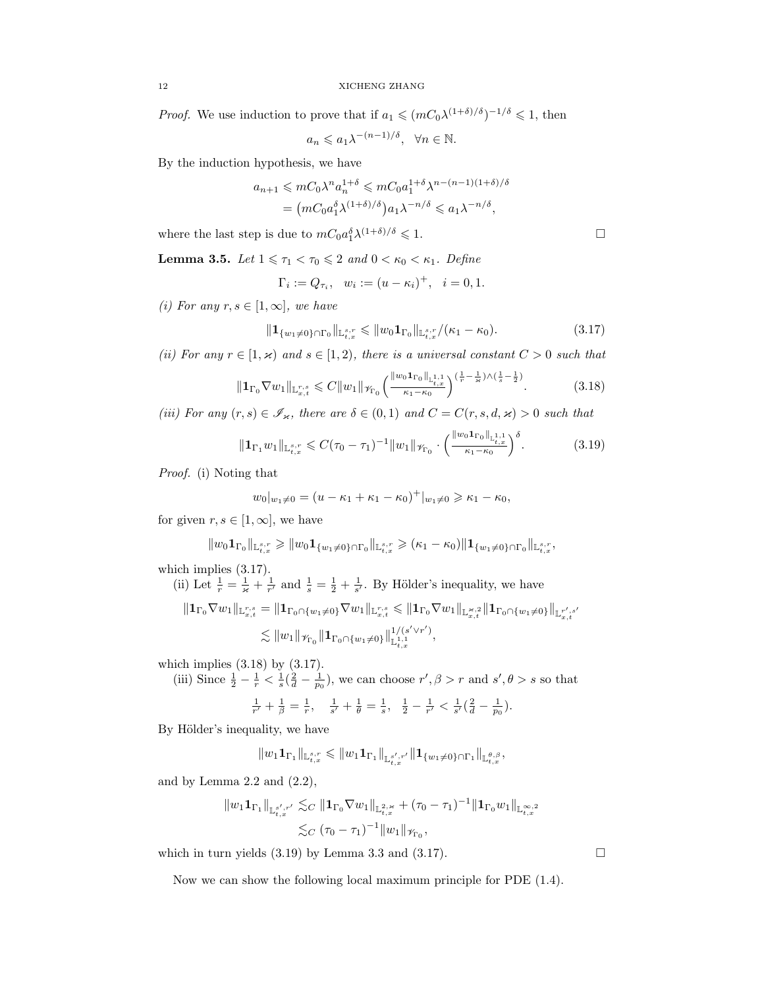*Proof.* We use induction to prove that if  $a_1 \leqslant (mC_0\lambda^{(1+\delta)/\delta})^{-1/\delta} \leqslant 1$ , then

$$
a_n \leq a_1 \lambda^{-(n-1)/\delta}, \quad \forall n \in \mathbb{N}.
$$

By the induction hypothesis, we have

$$
a_{n+1} \leqslant mC_0 \lambda^n a_n^{1+\delta} \leqslant mC_0 a_1^{1+\delta} \lambda^{n-(n-1)(1+\delta)/\delta}
$$
  
= 
$$
\left( mC_0 a_1^{\delta} \lambda^{(1+\delta)/\delta} \right) a_1 \lambda^{-n/\delta} \leqslant a_1 \lambda^{-n/\delta},
$$

where the last step is due to  $mC_0a_1^{\delta}\lambda^{(1+\delta)/\delta} \leq 1$ .

**Lemma 3.5.** Let  $1 \leq \tau_1 < \tau_0 \leq 2$  and  $0 < \kappa_0 < \kappa_1$ . Define

$$
\Gamma_i := Q_{\tau_i}, \ \ w_i := (u - \kappa_i)^+, \ \ i = 0, 1.
$$

(i) For any  $r, s \in [1, \infty]$ , we have

$$
\|\mathbf{1}_{\{w_1\neq 0\}\cap\Gamma_0}\|_{\mathbb{L}_{t,x}^{s,r}} \leqslant \|w_0\mathbf{1}_{\Gamma_0}\|_{\mathbb{L}_{t,x}^{s,r}}/(\kappa_1-\kappa_0). \tag{3.17}
$$

(ii) For any  $r \in [1, \varkappa)$  and  $s \in [1, 2)$ , there is a universal constant  $C > 0$  such that

$$
\|\mathbf{1}_{\Gamma_0}\nabla w_1\|_{\mathbb{L}_{x,t}^{r,s}} \leqslant C \|w_1\|_{\mathscr{V}_{\Gamma_0}} \left(\frac{\|w_0\mathbf{1}_{\Gamma_0}\|_{\mathbb{L}_{t,x}^{1,1}}}{\kappa_1 - \kappa_0}\right)^{\left(\frac{1}{r} - \frac{1}{\varkappa}\right)\wedge\left(\frac{1}{s} - \frac{1}{2}\right)}.
$$
 (3.18)

(iii) For any  $(r, s) \in \mathscr{I}_{\varkappa}$ , there are  $\delta \in (0, 1)$  and  $C = C(r, s, d, \varkappa) > 0$  such that

$$
\|\mathbf{1}_{\Gamma_{1}}w_{1}\|_{\mathbb{L}_{t,x}^{s,r}} \leqslant C(\tau_{0}-\tau_{1})^{-1} \|w_{1}\|_{\mathscr{V}_{\Gamma_{0}}} \cdot \left(\frac{\|w_{0}\mathbf{1}_{\Gamma_{0}}\|_{\mathbb{L}_{t,x}^{1,1}}}{\kappa_{1}-\kappa_{0}}\right)^{\delta}.
$$
 (3.19)

Proof. (i) Noting that

$$
w_0|_{w_1\neq 0} = (u - \kappa_1 + \kappa_1 - \kappa_0)^+|_{w_1\neq 0} \geq \kappa_1 - \kappa_0,
$$

for given  $r, s \in [1, \infty]$ , we have

$$
\|w_0\mathbf{1}_{\Gamma_0}\|_{{\mathbb L}^{s,r}_{t,x}}\geqslant \|w_0\mathbf{1}_{\{w_1\neq 0\}\cap \Gamma_0}\|_{{\mathbb L}^{s,r}_{t,x}}\geqslant (\kappa_1-\kappa_0)\|\mathbf{1}_{\{w_1\neq 0\}\cap \Gamma_0}\|_{{\mathbb L}^{s,r}_{t,x}},
$$

which implies (3.17).

(ii) Let  $\frac{1}{r} = \frac{1}{\varkappa} + \frac{1}{r'}$  and  $\frac{1}{s} = \frac{1}{2} + \frac{1}{s'}$ . By Hölder's inequality, we have

$$
\begin{aligned}\|{\mathbf 1}_{\Gamma_0} \nabla w_1\|_{{\mathbb L}^{r,s}_{x,t}}&= \|{\mathbf 1}_{\Gamma_0 \cap \{w_1\neq 0\}} \nabla w_1\|_{{\mathbb L}^{r,s}_{x,t}}\leqslant \|{\mathbf 1}_{\Gamma_0} \nabla w_1\|_{{\mathbb L}^{s,2}_{x,t}}\|{\mathbf 1}_{\Gamma_0 \cap \{w_1\neq 0\}}\|_{{\mathbb L}^{r',s'}_{x,t}}\\ &\lesssim \|w_1\|_{{\mathcal H}_{\Gamma_0} }\|{\mathbf 1}_{\Gamma_0 \cap \{w_1\neq 0\}}\|_{{\mathbb L}^{1,1}_{t,x}}^{1/(s'\vee r')},\end{aligned}
$$

which implies  $(3.18)$  by  $(3.17)$ .

(iii) Since  $\frac{1}{2} - \frac{1}{r} < \frac{1}{s}(\frac{2}{d} - \frac{1}{p_0})$ , we can choose  $r', \beta > r$  and  $s', \theta > s$  so that  $\frac{1}{r'} + \frac{1}{\beta} = \frac{1}{r}, \quad \frac{1}{s'} + \frac{1}{\theta} = \frac{1}{s}, \quad \frac{1}{2} - \frac{1}{r'} < \frac{1}{s'}(\frac{2}{d} - \frac{1}{p_0}).$ 

By Hölder's inequality, we have

$$
\|w_1\mathbf{1}_{\Gamma_1}\|_{{\mathbb L}^{s,r}_{t,x}}\leqslant \|w_1\mathbf{1}_{\Gamma_1}\|_{{\mathbb L}^{s',r'}_{t,x}}\|\mathbf{1}_{\{w_1\neq 0\}\cap \Gamma_1}\|_{{\mathbb L}^{\theta,\beta}_{t,x}},
$$

and by Lemma  $2.2$  and  $(2.2)$ ,

$$
\|w_1 \mathbf{1}_{\Gamma_1}\|_{\mathbb{L}^{s',r'}_{t,x}} \lesssim_C \| \mathbf{1}_{\Gamma_0} \nabla w_1 \|_{\mathbb{L}^{2,\varkappa}_{t,x}} + (\tau_0 - \tau_1)^{-1} \| \mathbf{1}_{\Gamma_0} w_1 \|_{\mathbb{L}^{\infty,2}_{t,x}} \le_C (\tau_0 - \tau_1)^{-1} \|w_1\|_{\mathcal{H}_{\Gamma_0}},
$$

which in turn yields  $(3.19)$  by Lemma 3.3 and  $(3.17)$ .

Now we can show the following local maximum principle for PDE (1.4).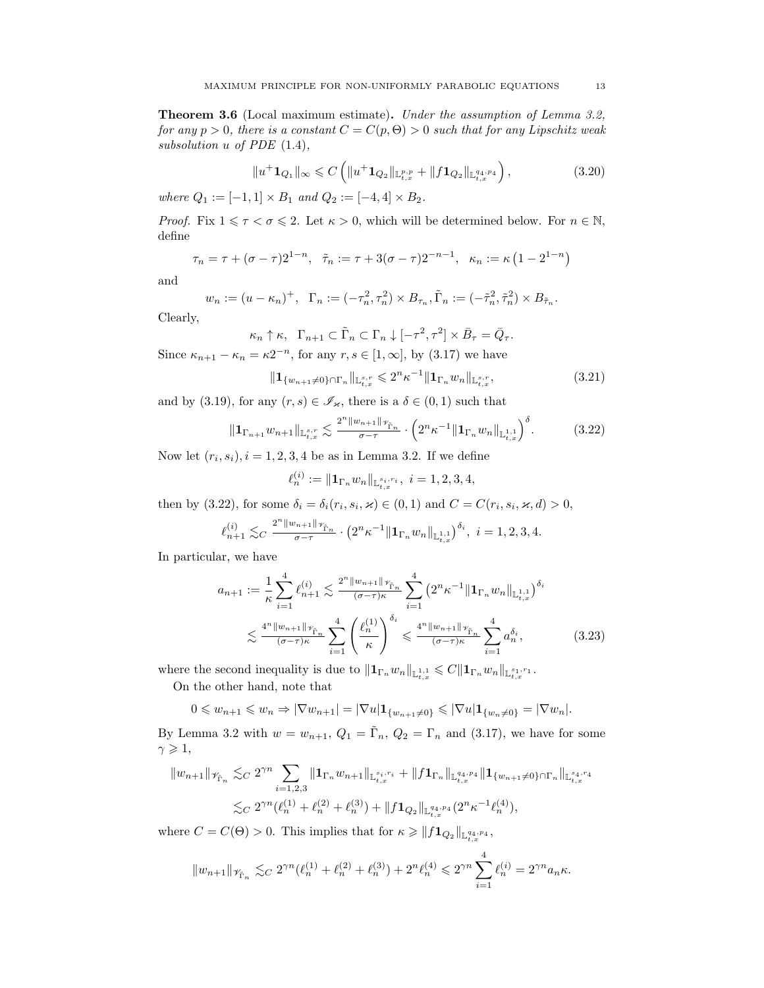Theorem 3.6 (Local maximum estimate). Under the assumption of Lemma 3.2, for any  $p > 0$ , there is a constant  $C = C(p, \Theta) > 0$  such that for any Lipschitz weak subsolution u of PDE (1.4),

$$
||u^+ \mathbf{1}_{Q_1}||_{\infty} \leq C \left( ||u^+ \mathbf{1}_{Q_2}||_{\mathbb{L}_{t,x}^{p,p}} + ||f \mathbf{1}_{Q_2}||_{\mathbb{L}_{t,x}^{q_4,p_4}} \right),
$$
\n(3.20)

where  $Q_1 := [-1, 1] \times B_1$  and  $Q_2 := [-4, 4] \times B_2$ .

*Proof.* Fix  $1 \leq \tau \leq \sigma \leq 2$ . Let  $\kappa > 0$ , which will be determined below. For  $n \in \mathbb{N}$ , define

$$
\tau_n = \tau + (\sigma - \tau)2^{1-n}, \quad \tilde{\tau}_n := \tau + 3(\sigma - \tau)2^{-n-1}, \quad \kappa_n := \kappa (1 - 2^{1-n})
$$

and

$$
w_n := (u - \kappa_n)^+, \quad \Gamma_n := (-\tau_n^2, \tau_n^2) \times B_{\tau_n}, \tilde{\Gamma}_n := (-\tilde{\tau}_n^2, \tilde{\tau}_n^2) \times B_{\tilde{\tau}_n}.
$$

Clearly,

$$
\kappa_n \uparrow \kappa, \ \ \Gamma_{n+1} \subset \tilde{\Gamma}_n \subset \Gamma_n \downarrow [-\tau^2, \tau^2] \times \bar{B}_\tau = \bar{Q}_\tau.
$$

Since  $\kappa_{n+1} - \kappa_n = \kappa 2^{-n}$ , for any  $r, s \in [1, \infty]$ , by  $(3.17)$  we have

$$
\|\mathbf{1}_{\{w_{n+1}\neq 0\}\cap\Gamma_n}\|_{\mathbb{L}_{t,x}^{s,r}} \leq 2^n \kappa^{-1} \|\mathbf{1}_{\Gamma_n} w_n\|_{\mathbb{L}_{t,x}^{s,r}},\tag{3.21}
$$

and by (3.19), for any  $(r, s) \in \mathscr{I}_{\varkappa}$ , there is a  $\delta \in (0, 1)$  such that

$$
\|\mathbf{1}_{\Gamma_{n+1}}w_{n+1}\|_{\mathbb{L}_{t,x}^{s,r}} \lesssim \frac{2^{n} \|w_{n+1}\|_{\mathcal{V}_{\Gamma_{n}}}}{\sigma - \tau} \cdot \left(2^{n}\kappa^{-1} \|\mathbf{1}_{\Gamma_{n}}w_{n}\|_{\mathbb{L}_{t,x}^{1,1}}\right)^{\delta}.\tag{3.22}
$$

Now let  $(r_i, s_i)$ ,  $i = 1, 2, 3, 4$  be as in Lemma 3.2. If we define

$$
\ell_n^{(i)} := \|\mathbf{1}_{\Gamma_n} w_n\|_{\mathbb{L}_{t,x}^{s_i,r_i}}, \ i = 1,2,3,4,
$$

then by (3.22), for some  $\delta_i = \delta_i(r_i, s_i, \varkappa) \in (0, 1)$  and  $C = C(r_i, s_i, \varkappa, d) > 0$ ,

$$
\ell_{n+1}^{(i)} \lesssim_C \frac{2^n \|w_{n+1}\|_{\mathcal{F}_{\tilde{\Gamma}_n}}}{\sigma - \tau} \cdot \left(2^n \kappa^{-1} \|{\mathbf 1}_{\Gamma_n} w_n\|_{\mathbb{L}^{1,1}_{t,x}}\right)^{\delta_i}, \ i = 1,2,3,4.
$$

In particular, we have

$$
a_{n+1} := \frac{1}{\kappa} \sum_{i=1}^{4} \ell_{n+1}^{(i)} \lesssim \frac{2^{n} \|w_{n+1}\|_{\mathcal{V}_{\Gamma_{n}}}}{(\sigma - \tau)\kappa} \sum_{i=1}^{4} \left(2^{n} \kappa^{-1} \| \mathbf{1}_{\Gamma_{n}} w_{n} \|_{\mathbb{L}_{t,x}^{1,1}} \right)^{\delta_{i}}
$$
  

$$
\lesssim \frac{4^{n} \|w_{n+1}\|_{\mathcal{V}_{\Gamma_{n}}}}{(\sigma - \tau)\kappa} \sum_{i=1}^{4} \left(\frac{\ell_{n}^{(1)}}{\kappa}\right)^{\delta_{i}} \leq \frac{4^{n} \|w_{n+1}\|_{\mathcal{V}_{\Gamma_{n}}}}{(\sigma - \tau)\kappa} \sum_{i=1}^{4} a_{n}^{\delta_{i}}, \tag{3.23}
$$

where the second inequality is due to  $||\mathbf{1}_{\Gamma_n} w_n||_{\mathbb{L}_{t,x}^{1,1}} \leqslant C ||\mathbf{1}_{\Gamma_n} w_n||_{\mathbb{L}_{t,x}^{s_1,r_1}}$ .

On the other hand, note that

$$
0 \leq w_{n+1} \leq w_n \Rightarrow |\nabla w_{n+1}| = |\nabla u| \mathbf{1}_{\{w_{n+1}\neq 0\}} \leq |\nabla u| \mathbf{1}_{\{w_n\neq 0\}} = |\nabla w_n|.
$$

By Lemma 3.2 with  $w = w_{n+1}$ ,  $Q_1 = \tilde{\Gamma}_n$ ,  $Q_2 = \Gamma_n$  and (3.17), we have for some  $\gamma \geqslant 1$ ,

$$
||w_{n+1}||_{\mathscr{V}_{\tilde{\Gamma}_n}} \lesssim_C 2^{\gamma n} \sum_{i=1,2,3} || \mathbf{1}_{\Gamma_n} w_{n+1} ||_{\mathbb{L}^{s_i,r_i}_{t,x}} + || f \mathbf{1}_{\Gamma_n} ||_{\mathbb{L}^{q_4,p_4}_{t,x}} || \mathbf{1}_{\{w_{n+1}\neq 0\} \cap \Gamma_n} ||_{\mathbb{L}^{s_4,r_4}_{t,x}}
$$
  

$$
\lesssim_C 2^{\gamma n} (\ell_n^{(1)} + \ell_n^{(2)} + \ell_n^{(3)}) + || f \mathbf{1}_{Q_2} ||_{\mathbb{L}^{q_4,p_4}_{t,x}} (2^n \kappa^{-1} \ell_n^{(4)}),
$$

where  $C = C(\Theta) > 0$ . This implies that for  $\kappa \geq \|f\mathbf{1}_{Q_2}\|_{\mathbb{L}^{q_4,p_4}_{t,x}},$ 

$$
||w_{n+1}||_{\mathscr{V}_{\tilde{\Gamma}_n}} \lesssim_C 2^{\gamma n}(\ell_n^{(1)}+\ell_n^{(2)}+\ell_n^{(3)})+2^n\ell_n^{(4)} \leqslant 2^{\gamma n}\sum_{i=1}^4 \ell_n^{(i)}=2^{\gamma n}a_n\kappa.
$$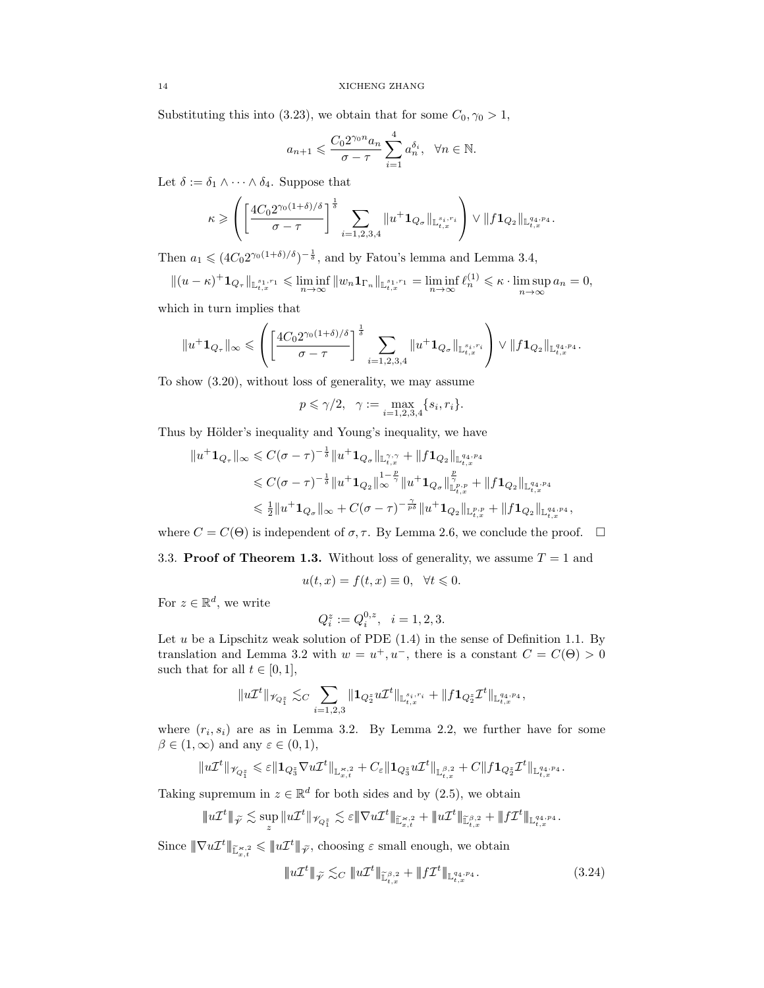Substituting this into (3.23), we obtain that for some  $C_0$ ,  $\gamma_0 > 1$ ,

$$
a_{n+1}\leqslant \frac{C_02^{\gamma_0n}a_n}{\sigma-\tau}\sum_{i=1}^4 a_n^{\delta_i},\ \ \forall n\in\mathbb{N}.
$$

Let  $\delta:=\delta_1\wedge\cdots\wedge\delta_4.$  Suppose that

$$
\kappa \geqslant \left( \left[ \frac{4C_0 2^{\gamma_0(1+\delta)/\delta}}{\sigma-\tau} \right]^{\frac{1}{\delta}} \sum_{i=1,2,3,4} \| u^+ \mathbf{1}_{Q_\sigma} \|_{\mathbb{L}^{s_i,r_i}_{t,x}} \right) \vee \| f \mathbf{1}_{Q_2} \|_{\mathbb{L}^{q_4,p_4}_{t,x}}.
$$

Then  $a_1 \leqslant (4C_0 2^{\gamma_0(1+\delta)/\delta})^{-\frac{1}{\delta}}$ , and by Fatou's lemma and Lemma 3.4,

 $||(u - \kappa)^+ \mathbf{1}_{Q_\tau}||_{\mathbb{L}_{t,x}^{s_1,r_1}} \leqslant \liminf_{n \to \infty} ||w_n \mathbf{1}_{\Gamma_n}||_{\mathbb{L}_{t,x}^{s_1,r_1}} = \liminf_{n \to \infty} \ell_n^{(1)} \leqslant \kappa \cdot \limsup_{n \to \infty} a_n = 0,$ 

which in turn implies that

$$
||u^+ \mathbf{1}_{Q_\tau}||_\infty \leqslant \left( \left[ \frac{4C_0 2^{\gamma_0(1+\delta)/\delta}}{\sigma-\tau} \right]^{\frac{1}{\delta}} \sum_{i=1,2,3,4} ||u^+ \mathbf{1}_{Q_\sigma}||_{\mathbb{L}^{s_i,r_i}_{t,x}} \right) \vee ||f\mathbf{1}_{Q_2}||_{\mathbb{L}^{q_4,p_4}_{t,x}}.
$$

To show (3.20), without loss of generality, we may assume

$$
p \le \gamma/2
$$
,  $\gamma := \max_{i=1,2,3,4} \{s_i, r_i\}.$ 

Thus by Hölder's inequality and Young's inequality, we have

$$
\begin{aligned} \|u^+\mathbf{1}_{Q_\tau}\|_\infty &\leqslant C(\sigma-\tau)^{-\frac{1}{\delta}}\|u^+\mathbf{1}_{Q_\sigma}\|_{\mathbb{L}^{\gamma,\gamma}_{t,x}}+\|f\mathbf{1}_{Q_2}\|_{\mathbb{L}^{q_4,p_4}_{t,x}}\\ &\leqslant C(\sigma-\tau)^{-\frac{1}{\delta}}\|u^+\mathbf{1}_{Q_2}\|_\infty^{1-\frac{p}{\gamma}}\|u^+\mathbf{1}_{Q_\sigma}\|_{\mathbb{L}^{p,p}_{t,x}}^{\frac{p}{\gamma}}+\|f\mathbf{1}_{Q_2}\|_{\mathbb{L}^{q_4,p_4}_{t,x}}\\ &\leqslant \tfrac{1}{2}\|u^+\mathbf{1}_{Q_\sigma}\|_\infty+C(\sigma-\tau)^{-\frac{\gamma}{p\delta}}\|u^+\mathbf{1}_{Q_2}\|_{\mathbb{L}^{p,p}_{t,x}}+\|f\mathbf{1}_{Q_2}\|_{\mathbb{L}^{q_4,p_4}_{t,x}}, \end{aligned}
$$

where  $C = C(\Theta)$  is independent of  $\sigma$ ,  $\tau$ . By Lemma 2.6, we conclude the proof.  $\Box$ 

3.3. Proof of Theorem 1.3. Without loss of generality, we assume  $T = 1$  and

$$
u(t,x) = f(t,x) \equiv 0, \quad \forall t \leq 0.
$$

For  $z \in \mathbb{R}^d$ , we write

$$
Q_i^z := Q_i^{0,z}, \quad i = 1, 2, 3.
$$

Let u be a Lipschitz weak solution of PDE  $(1.4)$  in the sense of Definition 1.1. By translation and Lemma 3.2 with  $w = u^+, u^-,$  there is a constant  $C = C(\Theta) > 0$ such that for all  $t \in [0, 1]$ ,

$$
\|u\mathcal{I}^t\|_{\mathscr{V}_{Q_1^z}}\lesssim_C \sum_{i=1,2,3}\|\mathbf{1}_{Q_2^z}u\mathcal{I}^t\|_{\mathbb{L}^{s_i,r_i}_{t,x}}+\|f\mathbf{1}_{Q_2^z}\mathcal{I}^t\|_{\mathbb{L}^{q_4,p_4}_{t,x}},
$$

where  $(r_i, s_i)$  are as in Lemma 3.2. By Lemma 2.2, we further have for some  $\beta \in (1,\infty)$  and any  $\varepsilon \in (0,1)$ ,

$$
\|u\mathcal{I}^t\|_{\mathscr{V}_{Q_1^z}}\leqslant \varepsilon\|\mathbf{1}_{Q_3^z}\nabla u\mathcal{I}^t\|_{\mathbb{L}^{\varkappa,2}_{x,t}}+C_\varepsilon\|\mathbf{1}_{Q_3^z}u\mathcal{I}^t\|_{\mathbb{L}^{\beta,2}_{t,x}}+C\|f\mathbf{1}_{Q_2^z}\mathcal{I}^t\|_{\mathbb{L}^{q_4,p_4}_{t,x}}.
$$

Taking supremum in  $z \in \mathbb{R}^d$  for both sides and by (2.5), we obtain

$$
\|u\mathcal{I}^t\|_{\widetilde{\mathcal{V}}} \lesssim \sup_z \|u\mathcal{I}^t\|_{\mathscr{V}_{Q_1^z}} \lesssim \varepsilon \|\nabla u\mathcal{I}^t\|_{\widetilde{\mathbb{L}}^{s,2}_{x,t}} + \|u\mathcal{I}^t\|_{\widetilde{\mathbb{L}}^{\beta,2}_{t,x}} + \|f\mathcal{I}^t\|_{\mathbb{L}^{q_4,p_4}_{t,x}}.
$$

Since  $\|\nabla u \mathcal{I}^t\|_{\tilde{\mathbb{L}}^{*,2}_{x,t}} \leqslant \|u \mathcal{I}^t\|_{\tilde{\mathscr{V}}}$ , choosing  $\varepsilon$  small enough, we obtain

$$
\|u\mathcal{I}^t\|_{\tilde{\mathcal{V}}} \lesssim_C \|u\mathcal{I}^t\|_{\tilde{\mathbb{L}}^{\beta,2}_{t,x}} + \|f\mathcal{I}^t\|_{\mathbb{L}^{q_4,p_4}_{t,x}}.\tag{3.24}
$$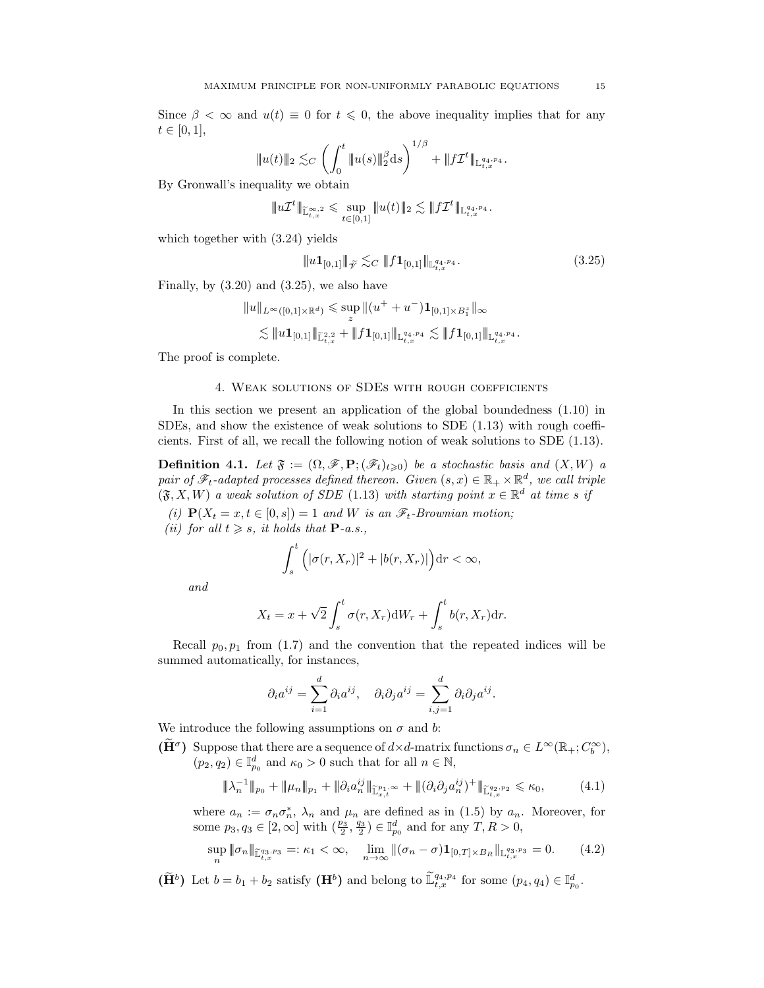Since  $\beta < \infty$  and  $u(t) \equiv 0$  for  $t \leq 0$ , the above inequality implies that for any  $t \in [0, 1],$ 

$$
|\!|\!| u(t) |\!|\!|_{2} \lesssim_C \left( \int_0^t |\!|\!| u(s) |\!|\!|_2^{\beta} \mathrm{d} s \right)^{1/\beta} + |\!|\!| f\mathcal{I}^t |\!|\!|_{\mathbb{L}^{q_4,p_4}_{t,x}}.
$$

By Gronwall's inequality we obtain

$$
\|u\mathcal{I}^t\|_{\widetilde{\mathbb{L}}^{\infty,2}_{t,x}} \leqslant \sup_{t\in[0,1]}\|u(t)\|_2 \lesssim \|f\mathcal{I}^t\|_{\mathbb{L}^{q_4,p_4}_{t,x}}.
$$

which together with (3.24) yields

$$
\|u\mathbf{1}_{[0,1]}\|_{\widetilde{\mathcal{V}}} \lesssim_C \|f\mathbf{1}_{[0,1]}\|_{\mathbb{L}_{t,x}^{q_4,p_4}}.\tag{3.25}
$$

Finally, by  $(3.20)$  and  $(3.25)$ , we also have

$$
\begin{aligned}\|u\|_{L^\infty([0,1]\times{\mathbb R}^d)}\leqslant & \sup_z\|(u^++u^-){\bf 1}_{[0,1]\times B_1^z}\|_\infty\\ \lesssim&\|u{\bf 1}_{[0,1]}\|_{{\mathbb L}^{2,2}_{t,x}}+\|f{\bf 1}_{[0,1]}\|_{{\mathbb L}^{q_4,p_4}_{t,x}}\lesssim\|f{\bf 1}_{[0,1]}\|_{{\mathbb L}^{q_4,p_4}_{t,x}}.\end{aligned}
$$

The proof is complete.

#### 4. Weak solutions of SDEs with rough coefficients

In this section we present an application of the global boundedness (1.10) in SDEs, and show the existence of weak solutions to SDE (1.13) with rough coefficients. First of all, we recall the following notion of weak solutions to SDE (1.13).

**Definition 4.1.** Let  $\mathfrak{F} := (\Omega, \mathscr{F}, \mathbf{P}; (\mathscr{F}_t)_{t \geq 0})$  be a stochastic basis and  $(X, W)$  a pair of  $\mathscr{F}_t$ -adapted processes defined thereon. Given  $(s, x) \in \mathbb{R}_+ \times \mathbb{R}^d$ , we call triple  $(\mathfrak{F}, X, W)$  a weak solution of SDE (1.13) with starting point  $x \in \mathbb{R}^d$  at time s if

(i)  $\mathbf{P}(X_t = x, t \in [0, s]) = 1$  and W is an  $\mathscr{F}_t$ -Brownian motion; (ii) for all  $t \geq s$ , it holds that  $\mathbf{P}\text{-}a.s.$ ,

$$
\int_{s}^{t} \Big( |\sigma(r, X_r)|^2 + |b(r, X_r)| \Big) dr < \infty,
$$

and

$$
X_t = x + \sqrt{2} \int_s^t \sigma(r, X_r) dW_r + \int_s^t b(r, X_r) dr.
$$

Recall  $p_0, p_1$  from (1.7) and the convention that the repeated indices will be summed automatically, for instances,

$$
\partial_i a^{ij} = \sum_{i=1}^d \partial_i a^{ij}, \quad \partial_i \partial_j a^{ij} = \sum_{i,j=1}^d \partial_i \partial_j a^{ij}.
$$

We introduce the following assumptions on  $\sigma$  and b:

 $(\widetilde{H}^{\sigma})$  Suppose that there are a sequence of  $d \times d$ -matrix functions  $\sigma_n \in L^{\infty}(\mathbb{R}_+; C_b^{\infty}),$  $(p_2, q_2) \in \mathbb{I}_{p_0}^d$  and  $\kappa_0 > 0$  such that for all  $n \in \mathbb{N}$ ,

$$
\|\lambda_n^{-1}\|_{p_0} + \|\mu_n\|_{p_1} + \|\partial_i a_n^{ij}\|_{\widetilde{\mathbb{L}}_{x,t}^{p_1,\infty}} + \|( \partial_i \partial_j a_n^{ij})^+ \|\widetilde{\mathbb{L}}_{t,x}^{q_2,p_2} \leq \kappa_0, \tag{4.1}
$$

where  $a_n := \sigma_n \sigma_n^*$ ,  $\lambda_n$  and  $\mu_n$  are defined as in (1.5) by  $a_n$ . Moreover, for some  $p_3, q_3 \in [2, \infty]$  with  $(\frac{p_3}{2}, \frac{q_3}{2}) \in \mathbb{I}_{p_0}^d$  and for any  $T, R > 0$ ,

$$
\sup_{n} \|\sigma_n\|_{\widetilde{\mathbb{L}}_{t,x}^{q_3,p_3}} =: \kappa_1 < \infty, \quad \lim_{n \to \infty} \|(\sigma_n - \sigma) \mathbf{1}_{[0,T] \times B_R} \|_{\mathbb{L}_{t,x}^{q_3,p_3}} = 0. \tag{4.2}
$$

 $(\widetilde{\mathbf{H}}^b)$  Let  $b = b_1 + b_2$  satisfy  $(\mathbf{H}^b)$  and belong to  $\widetilde{\mathbb{L}}_{t,x}^{q_4,p_4}$  for some  $(p_4, q_4) \in \mathbb{I}_{p_0}^d$ .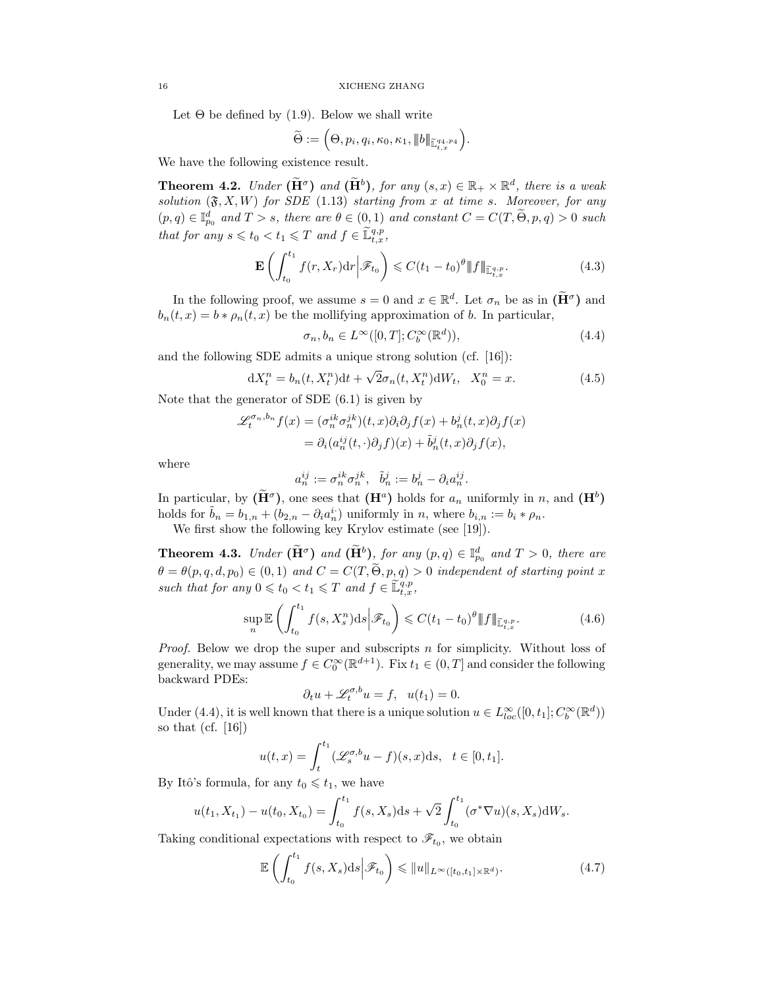Let  $\Theta$  be defined by (1.9). Below we shall write

$$
\widetilde{\Theta} := \Big(\Theta, p_i, q_i, \kappa_0, \kappa_1, \|\!| b \|\!|_{\widetilde{\mathbb{L}}_{t,x}^{q_4, p_4}} \Big).
$$

We have the following existence result.

**Theorem 4.2.** Under  $(\tilde{H}^{\sigma})$  and  $(\tilde{H}^{b})$ , for any  $(s, x) \in \mathbb{R}_{+} \times \mathbb{R}^{d}$ , there is a weak solution  $(\mathfrak{F}, X, W)$  for SDE (1.13) starting from x at time s. Moreover, for any  $(p,q) \in \mathbb{I}_{p_0}^d$  and  $T > s$ , there are  $\theta \in (0,1)$  and constant  $C = C(T, \widetilde{\Theta}, p, q) > 0$  such that for any  $s \leq t_0 < t_1 \leq T$  and  $f \in \widetilde{\mathbb{L}}_{t,x}^{q,p}$ ,

$$
\mathbf{E}\left(\int_{t_0}^{t_1} f(r, X_r) dr \middle| \mathscr{F}_{t_0}\right) \leqslant C(t_1 - t_0)^{\theta} \|f\|_{\widetilde{\mathbb{L}}_{t,x}^{q,p}}.\tag{4.3}
$$

In the following proof, we assume  $s = 0$  and  $x \in \mathbb{R}^d$ . Let  $\sigma_n$  be as in  $(\widetilde{H}^{\sigma})$  and  $b_n(t, x) = b * \rho_n(t, x)$  be the mollifying approximation of b. In particular,

$$
\sigma_n, b_n \in L^{\infty}([0, T]; C_b^{\infty}(\mathbb{R}^d)),\tag{4.4}
$$

and the following SDE admits a unique strong solution (cf. [16]):

$$
dX_t^n = b_n(t, X_t^n)dt + \sqrt{2}\sigma_n(t, X_t^n) dW_t, \quad X_0^n = x.
$$
 (4.5)

Note that the generator of SDE  $(6.1)$  is given by

$$
\mathcal{L}_t^{\sigma_n, b_n} f(x) = (\sigma_n^{ik} \sigma_n^{jk})(t, x) \partial_i \partial_j f(x) + b_n^j(t, x) \partial_j f(x)
$$
  
=  $\partial_i (a_n^{ij}(t, \cdot) \partial_j f)(x) + \tilde{b}_n^j(t, x) \partial_j f(x),$ 

where

$$
a_n^{ij}:=\sigma_n^{ik}\sigma_n^{jk},\ \ \tilde b_n^j:=b_n^j-\partial_ia_n^{ij}.
$$

In particular, by  $(\tilde{H}^{\sigma})$ , one sees that  $(H^a)$  holds for  $a_n$  uniformly in n, and  $(H^b)$ holds for  $\tilde{b}_n = b_{1,n} + (b_{2,n} - \partial_i a_n^i)$  uniformly in n, where  $b_{i,n} := b_i * \rho_n$ .

We first show the following key Krylov estimate (see [19]).

**Theorem 4.3.** Under  $(\tilde{H}^{\sigma})$  and  $(\tilde{H}^{b})$ , for any  $(p,q) \in \mathbb{I}_{p_0}^d$  and  $T > 0$ , there are  $\theta = \theta(p, q, d, p_0) \in (0, 1)$  and  $C = C(T, \tilde{\Theta}, p, q) > 0$  independent of starting point x such that for any  $0 \leq t_0 < t_1 \leq T$  and  $f \in \widetilde{\mathbb{L}}_{t,x}^{q,p}$ ,

$$
\sup_{n} \mathbb{E}\left(\int_{t_0}^{t_1} f(s, X_s^n) \, ds \middle| \mathcal{F}_{t_0}\right) \leq C(t_1 - t_0)^{\theta} \|f\|_{\widetilde{\mathbb{L}}_{t,x}^{q,p}}.\tag{4.6}
$$

*Proof.* Below we drop the super and subscripts  $n$  for simplicity. Without loss of generality, we may assume  $f \in C_0^{\infty}(\mathbb{R}^{d+1})$ . Fix  $t_1 \in (0, T]$  and consider the following backward PDEs:

$$
\partial_t u + \mathscr{L}_t^{\sigma, b} u = f, \quad u(t_1) = 0.
$$

Under (4.4), it is well known that there is a unique solution  $u \in L^{\infty}_{loc}([0, t_1]; C_b^{\infty}(\mathbb{R}^d))$ so that  $(cf. [16])$ 

$$
u(t,x) = \int_t^{t_1} (\mathscr{L}_s^{\sigma,b} u - f)(s,x) \mathrm{d}s, \quad t \in [0,t_1].
$$

By Itô's formula, for any  $t_0 \leq t_1$ , we have

$$
u(t_1, X_{t_1}) - u(t_0, X_{t_0}) = \int_{t_0}^{t_1} f(s, X_s) \, ds + \sqrt{2} \int_{t_0}^{t_1} (\sigma^* \nabla u)(s, X_s) \, dW_s.
$$

Taking conditional expectations with respect to  $\mathscr{F}_{t_0}$ , we obtain

$$
\mathbb{E}\left(\int_{t_0}^{t_1} f(s,X_s)ds \middle| \mathcal{F}_{t_0}\right) \leqslant \|u\|_{L^{\infty}([t_0,t_1]\times \mathbb{R}^d)}.
$$
\n(4.7)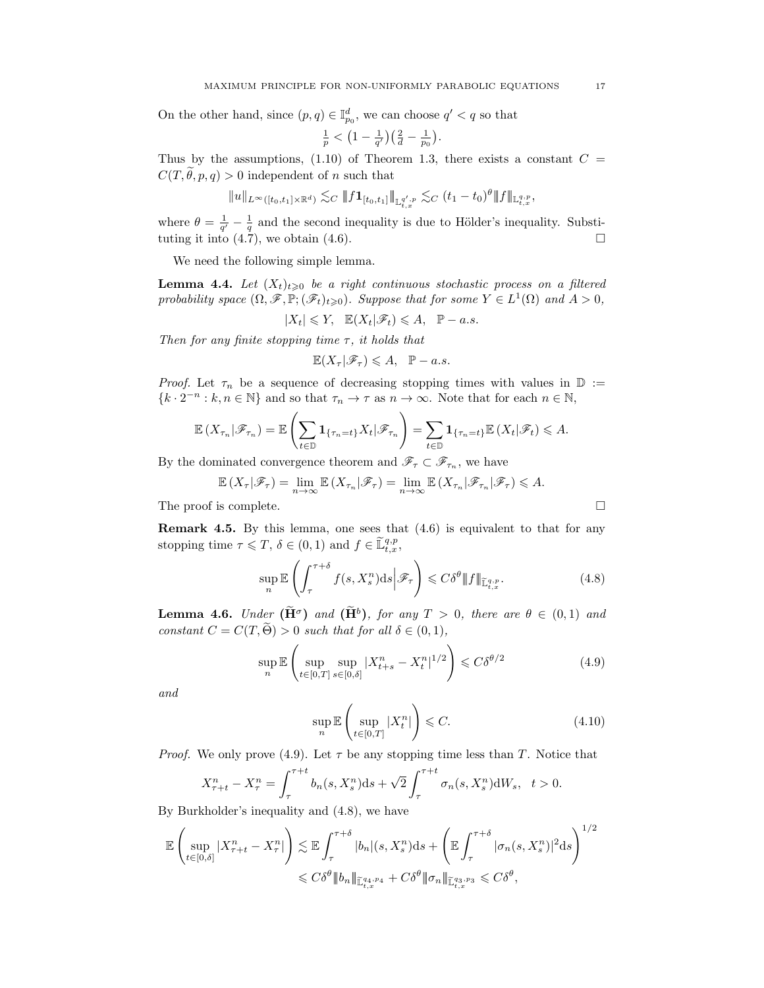On the other hand, since  $(p, q) \in \mathbb{I}_{p_0}^d$ , we can choose  $q' < q$  so that

$$
\frac{1}{p} < \left(1 - \frac{1}{q'}\right)\left(\frac{2}{d} - \frac{1}{p_0}\right).
$$

Thus by the assumptions, (1.10) of Theorem 1.3, there exists a constant  $C =$  $C(T, \theta, p, q) > 0$  independent of n such that

$$
\|u\|_{L^\infty([t_0,t_1]\times \mathbb{R}^d)}\lesssim_C \|f\mathbf{1}_{[t_0,t_1]}\|_{\mathbb{L}^{q',p}_{t,x}}\lesssim_C (t_1-t_0)^\theta \|f\|_{\mathbb{L}^{q,p}_{t,x}},
$$

where  $\theta = \frac{1}{q'} - \frac{1}{q}$  and the second inequality is due to Hölder's inequality. Substituting it into  $(4.\overline{7})$ , we obtain  $(4.6)$ .

We need the following simple lemma.

**Lemma 4.4.** Let  $(X_t)_{t\geqslant0}$  be a right continuous stochastic process on a filtered probability space  $(\Omega, \mathscr{F}, \mathbb{P}; (\mathscr{F}_t)_{t \geq 0})$ . Suppose that for some  $Y \in L^1(\Omega)$  and  $A > 0$ ,

$$
|X_t| \leqslant Y, \quad \mathbb{E}(X_t|\mathscr{F}_t) \leqslant A, \quad \mathbb{P}-a.s.
$$

Then for any finite stopping time  $\tau$ , it holds that

$$
\mathbb{E}(X_{\tau}|\mathscr{F}_{\tau}) \leqslant A, \quad \mathbb{P}-a.s.
$$

*Proof.* Let  $\tau_n$  be a sequence of decreasing stopping times with values in  $\mathbb{D} :=$  ${k \cdot 2^{-n} : k, n \in \mathbb{N}}$  and so that  $\tau_n \to \tau$  as  $n \to \infty$ . Note that for each  $n \in \mathbb{N}$ ,

$$
\mathbb{E}\left(X_{\tau_n}|\mathscr{F}_{\tau_n}\right)=\mathbb{E}\left(\sum_{t\in\mathbb{D}}\mathbf{1}_{\{\tau_n=t\}}X_t|\mathscr{F}_{\tau_n}\right)=\sum_{t\in\mathbb{D}}\mathbf{1}_{\{\tau_n=t\}}\mathbb{E}\left(X_t|\mathscr{F}_t\right)\leqslant A.
$$

By the dominated convergence theorem and  $\mathscr{F}_{\tau} \subset \mathscr{F}_{\tau_n}$ , we have

$$
\mathbb{E}\left(X_{\tau}|\mathscr{F}_{\tau}\right)=\lim_{n\to\infty}\mathbb{E}\left(X_{\tau_n}|\mathscr{F}_{\tau}\right)=\lim_{n\to\infty}\mathbb{E}\left(X_{\tau_n}|\mathscr{F}_{\tau_n}|\mathscr{F}_{\tau}\right)\leqslant A.
$$

The proof is complete.

**Remark 4.5.** By this lemma, one sees that  $(4.6)$  is equivalent to that for any stopping time  $\tau \leq T$ ,  $\delta \in (0,1)$  and  $f \in \tilde{\mathbb{L}}_{t,x}^{q,p}$ ,

$$
\sup_{n} \mathbb{E}\left(\int_{\tau}^{\tau+\delta} f(s, X^n_s) \, ds \, \middle| \, \mathcal{F}_{\tau}\right) \leqslant C\delta^{\theta} \Vert f \Vert_{\widetilde{\mathbb{L}}^{q,p}_{t,x}}.\tag{4.8}
$$

**Lemma 4.6.** Under  $(\tilde{H}^{\sigma})$  and  $(\tilde{H}^{b})$ , for any  $T > 0$ , there are  $\theta \in (0,1)$  and constant  $C = C(T, \widetilde{\Theta}) > 0$  such that for all  $\delta \in (0, 1)$ ,

$$
\sup_{n} \mathbb{E}\left(\sup_{t\in[0,T]}\sup_{s\in[0,\delta]}|X_{t+s}^n - X_t^n|^{1/2}\right) \leqslant C\delta^{\theta/2}
$$
\n(4.9)

and

$$
\sup_{n} \mathbb{E}\left(\sup_{t \in [0,T]} |X_t^n|\right) \leqslant C. \tag{4.10}
$$

*Proof.* We only prove (4.9). Let  $\tau$  be any stopping time less than T. Notice that

$$
X_{\tau+t}^n - X_{\tau}^n = \int_{\tau}^{\tau+t} b_n(s, X_s^n) \mathrm{d}s + \sqrt{2} \int_{\tau}^{\tau+t} \sigma_n(s, X_s^n) \mathrm{d}W_s, \quad t > 0.
$$

By Burkholder's inequality and (4.8), we have

$$
\mathbb{E}\left(\sup_{t\in[0,\delta]}|X^n_{\tau+t}-X^n_{\tau}|\right)\lesssim \mathbb{E}\int_{\tau}^{\tau+\delta}|b_n|(s,X^n_{s})\mathrm{d}s+\left(\mathbb{E}\int_{\tau}^{\tau+\delta}|\sigma_n(s,X^n_{s})|^2\mathrm{d}s\right)^{1/2}
$$

$$
\leqslant C\delta^{\theta}\|b_n\|_{\mathbb{E}_{t,x}^{q_4,p_4}}+C\delta^{\theta}\|\sigma_n\|_{\mathbb{H}_{t,x}^{q_3,p_3}}\leqslant C\delta^{\theta},
$$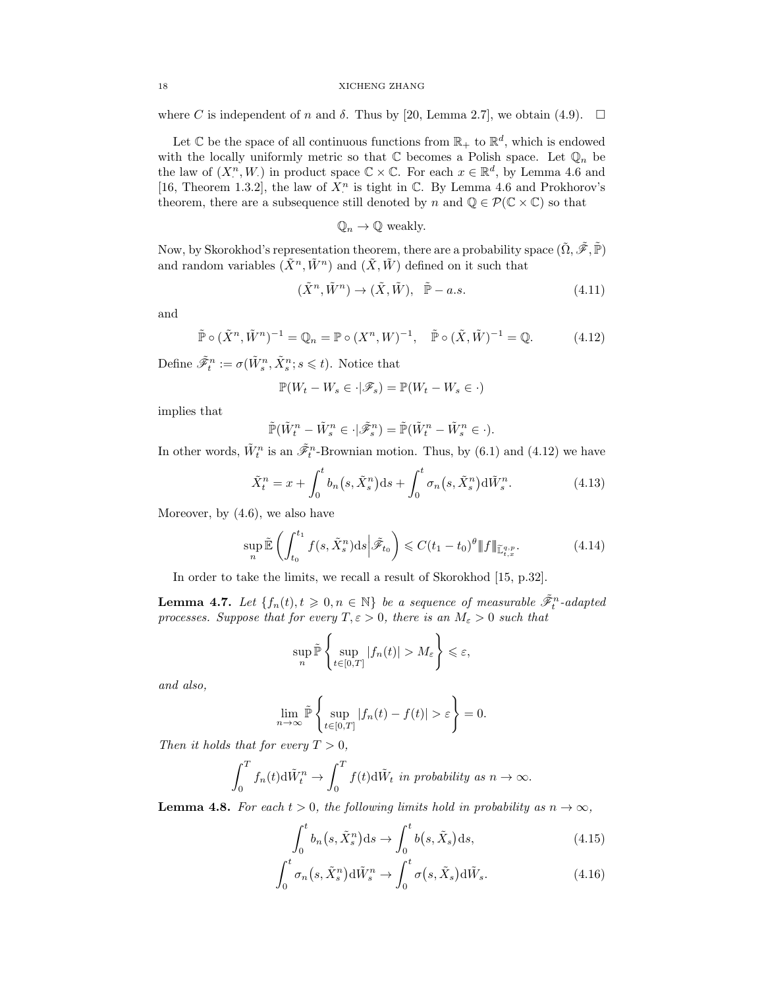where C is independent of n and  $\delta$ . Thus by [20, Lemma 2.7], we obtain (4.9).  $\Box$ 

Let  $\mathbb C$  be the space of all continuous functions from  $\mathbb R_+$  to  $\mathbb R^d$ , which is endowed with the locally uniformly metric so that  $\mathbb C$  becomes a Polish space. Let  $\mathbb Q_n$  be the law of  $(X_i^n, W_i)$  in product space  $\mathbb{C} \times \mathbb{C}$ . For each  $x \in \mathbb{R}^d$ , by Lemma 4.6 and [16, Theorem 1.3.2], the law of  $X^n$  is tight in  $\mathbb{C}$ . By Lemma 4.6 and Prokhorov's theorem, there are a subsequence still denoted by n and  $\mathbb{Q} \in \mathcal{P}(\mathbb{C} \times \mathbb{C})$  so that

$$
\mathbb{Q}_n \to \mathbb{Q}
$$
 weakly.

Now, by Skorokhod's representation theorem, there are a probability space  $(\tilde{\Omega}, \tilde{\mathscr{F}}, \tilde{\mathbb{P}})$ and random variables  $(\tilde{X}^n, \tilde{W}^n)$  and  $(\tilde{X}, \tilde{W})$  defined on it such that

$$
(\tilde{X}^n, \tilde{W}^n) \to (\tilde{X}, \tilde{W}), \quad \tilde{\mathbb{P}} - a.s.
$$
\n(4.11)

and

$$
\tilde{\mathbb{P}} \circ (\tilde{X}^n, \tilde{W}^n)^{-1} = \mathbb{Q}_n = \mathbb{P} \circ (X^n, W)^{-1}, \quad \tilde{\mathbb{P}} \circ (\tilde{X}, \tilde{W})^{-1} = \mathbb{Q}.
$$
 (4.12)

Define  $\tilde{\mathscr{F}}_t^n := \sigma(\tilde{W}_s^n, \tilde{X}_s^n; s \leq t)$ . Notice that

$$
\mathbb{P}(W_t - W_s \in \cdot | \mathscr{F}_s) = \mathbb{P}(W_t - W_s \in \cdot)
$$

implies that

$$
\widetilde{\mathbb{P}}(\widetilde{W}_t^n - \widetilde{W}_s^n \in \cdot | \widetilde{\mathcal{F}}_s^n) = \widetilde{\mathbb{P}}(\widetilde{W}_t^n - \widetilde{W}_s^n \in \cdot).
$$

In other words,  $\tilde{W}_t^n$  is an  $\tilde{\mathscr{F}}_t^n$ -Brownian motion. Thus, by (6.1) and (4.12) we have

$$
\tilde{X}_t^n = x + \int_0^t b_n(s, \tilde{X}_s^n) \, \mathrm{d}s + \int_0^t \sigma_n(s, \tilde{X}_s^n) \, \mathrm{d}\tilde{W}_s^n. \tag{4.13}
$$

Moreover, by (4.6), we also have

$$
\sup_{n} \tilde{\mathbb{E}}\left(\int_{t_0}^{t_1} f(s, \tilde{X}_s^n) \, ds \middle| \tilde{\mathscr{F}}_{t_0}\right) \leq C(t_1 - t_0)^{\theta} \|f\|_{\tilde{\mathbb{L}}_{t,x}^{q,p}}.\tag{4.14}
$$

In order to take the limits, we recall a result of Skorokhod [15, p.32].

**Lemma 4.7.** Let  $\{f_n(t), t \geqslant 0, n \in \mathbb{N}\}\$  be a sequence of measurable  $\tilde{\mathscr{F}}_t^n$ -adapted processes. Suppose that for every  $T, \varepsilon > 0$ , there is an  $M_{\varepsilon} > 0$  such that

$$
\sup_{n} \tilde{\mathbb{P}} \left\{ \sup_{t \in [0,T]} |f_n(t)| > M_{\varepsilon} \right\} \leqslant \varepsilon,
$$

and also,

$$
\lim_{n \to \infty} \tilde{\mathbb{P}} \left\{ \sup_{t \in [0,T]} |f_n(t) - f(t)| > \varepsilon \right\} = 0.
$$

Then it holds that for every  $T > 0$ ,

$$
\int_0^T f_n(t) \mathrm{d}\tilde{W}_t^n \to \int_0^T f(t) \mathrm{d}\tilde{W}_t \text{ in probability as } n \to \infty.
$$

**Lemma 4.8.** For each  $t > 0$ , the following limits hold in probability as  $n \to \infty$ ,

$$
\int_0^t b_n(s, \tilde{X}_s^n) ds \to \int_0^t b(s, \tilde{X}_s) ds,
$$
\n(4.15)

$$
\int_0^t \sigma_n(s, \tilde{X}_s^n) d\tilde{W}_s^n \to \int_0^t \sigma(s, \tilde{X}_s) d\tilde{W}_s. \tag{4.16}
$$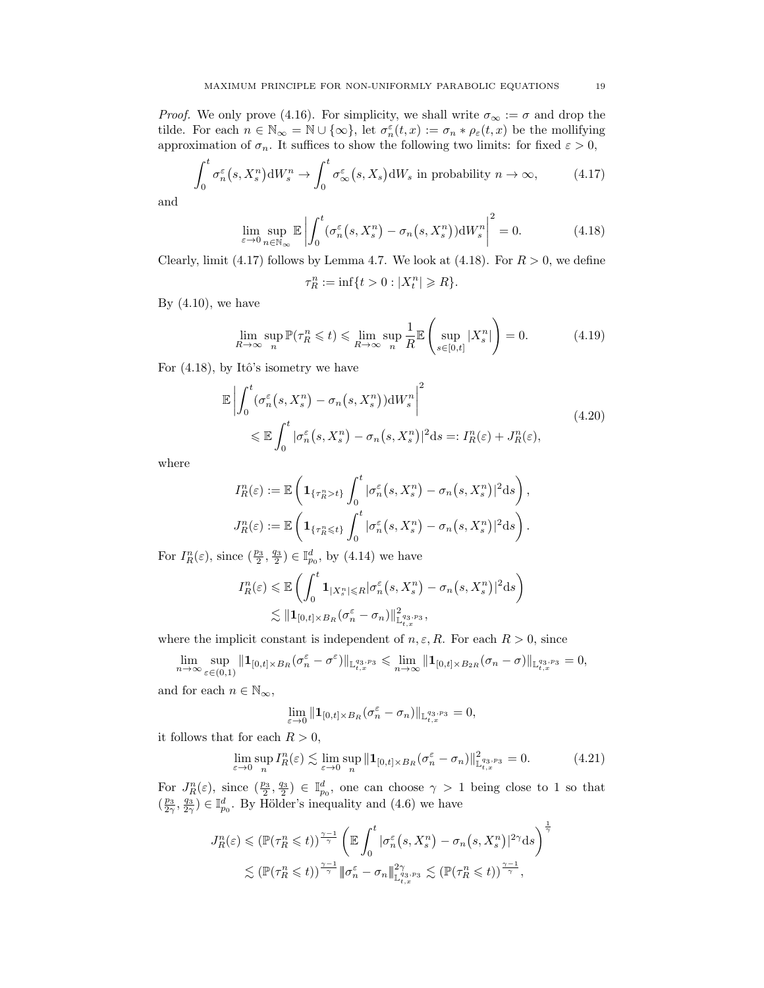*Proof.* We only prove (4.16). For simplicity, we shall write  $\sigma_{\infty} := \sigma$  and drop the tilde. For each  $n \in \mathbb{N}_{\infty} = \mathbb{N} \cup \{\infty\}$ , let  $\sigma_n^{\varepsilon}(t,x) := \sigma_n * \rho_{\varepsilon}(t,x)$  be the mollifying approximation of  $\sigma_n$ . It suffices to show the following two limits: for fixed  $\varepsilon > 0$ ,

$$
\int_0^t \sigma_n^{\varepsilon}(s, X_s^n) dW_s^n \to \int_0^t \sigma_\infty^{\varepsilon}(s, X_s) dW_s \text{ in probability } n \to \infty,
$$
 (4.17)

and

$$
\lim_{\varepsilon \to 0} \sup_{n \in \mathbb{N}_{\infty}} \mathbb{E} \left| \int_0^t (\sigma_n^{\varepsilon} \left(s, X_s^n\right) - \sigma_n\left(s, X_s^n\right)) \mathrm{d}W_s^n \right|^2 = 0. \tag{4.18}
$$

Clearly, limit (4.17) follows by Lemma 4.7. We look at (4.18). For  $R > 0$ , we define

$$
\tau_R^n := \inf\{t > 0 : |X_t^n| \ge R\}.
$$

By  $(4.10)$ , we have

$$
\lim_{R \to \infty} \sup_{n} \mathbb{P}(\tau_R^n \leq t) \leq \lim_{R \to \infty} \sup_{n} \frac{1}{R} \mathbb{E}\left(\sup_{s \in [0,t]} |X_s^n|\right) = 0. \tag{4.19}
$$

For  $(4.18)$ , by Itô's isometry we have

$$
\mathbb{E}\left|\int_{0}^{t}(\sigma_{n}^{\varepsilon}(s,X_{s}^{n})-\sigma_{n}(s,X_{s}^{n}))\mathrm{d}W_{s}^{n}\right|^{2} \leq \mathbb{E}\int_{0}^{t}|\sigma_{n}^{\varepsilon}(s,X_{s}^{n})-\sigma_{n}(s,X_{s}^{n})|^{2}\mathrm{d}s =: I_{R}^{n}(\varepsilon)+J_{R}^{n}(\varepsilon), \tag{4.20}
$$

where

$$
I_R^n(\varepsilon) := \mathbb{E}\left(\mathbf{1}_{\{\tau_R^n > t\}} \int_0^t |\sigma_n^{\varepsilon}(s, X_s^n) - \sigma_n(s, X_s^n)|^2 \mathrm{d}s\right),
$$
  

$$
J_R^n(\varepsilon) := \mathbb{E}\left(\mathbf{1}_{\{\tau_R^n \le t\}} \int_0^t |\sigma_n^{\varepsilon}(s, X_s^n) - \sigma_n(s, X_s^n)|^2 \mathrm{d}s\right).
$$

For  $I_R^n(\varepsilon)$ , since  $(\frac{p_3}{2}, \frac{q_3}{2}) \in \mathbb{I}_{p_0}^d$ , by  $(4.14)$  we have

$$
I_R^n(\varepsilon) \leq \mathbb{E}\left(\int_0^t \mathbf{1}_{|X_s^n| \leq R} |\sigma_n^{\varepsilon}(s, X_s^n) - \sigma_n(s, X_s^n)|^2 ds\right)
$$
  

$$
\lesssim \|\mathbf{1}_{[0,t] \times B_R} (\sigma_n^{\varepsilon} - \sigma_n)\|_{\mathbb{L}^{q_3, p_3}_{t,x}},
$$

where the implicit constant is independent of  $n, \varepsilon, R$ . For each  $R > 0$ , since

$$
\lim_{n\to\infty}\sup_{\varepsilon\in(0,1)}\|\mathbf{1}_{[0,t]\times B_R}(\sigma_n^{\varepsilon}-\sigma^{\varepsilon})\|_{\mathbb{L}^{q_3,p_3}_{t,x}}\leq \lim_{n\to\infty}\|\mathbf{1}_{[0,t]\times B_{2R}}(\sigma_n-\sigma)\|_{\mathbb{L}^{q_3,p_3}_{t,x}}=0,
$$

and for each  $n \in \mathbb{N}_{\infty}$ ,

$$
\lim_{\varepsilon \to 0} || \mathbf{1}_{[0,t] \times B_R} (\sigma_n^{\varepsilon} - \sigma_n) ||_{\mathbb{L}^{q_3,p_3}_{t,x}} = 0,
$$

it follows that for each  $R > 0$ ,

$$
\lim_{\varepsilon \to 0} \sup_{n} I_R^n(\varepsilon) \lesssim \lim_{\varepsilon \to 0} \sup_{n} \|\mathbf{1}_{[0,t] \times B_R} (\sigma_n^{\varepsilon} - \sigma_n)\|_{\mathbb{L}^{q_3, p_3}_{t,x}}^2 = 0. \tag{4.21}
$$

For  $J_R^n(\varepsilon)$ , since  $(\frac{p_3}{2}, \frac{q_3}{2}) \in \mathbb{I}_{p_0}^d$ , one can choose  $\gamma > 1$  being close to 1 so that  $(\frac{p_3}{2\gamma}, \frac{q_3}{2\gamma}) \in \mathbb{I}_{p_0}^d$ . By Hölder's inequality and  $(4.6)$  we have

$$
J_R^n(\varepsilon) \leq (\mathbb{P}(\tau_R^n \leq t))^{\frac{\gamma-1}{\gamma}} \left( \mathbb{E} \int_0^t |\sigma_n^{\varepsilon}(s, X_s^n) - \sigma_n(s, X_s^n)|^{2\gamma} ds \right)^{\frac{1}{\gamma}}
$$
  

$$
\lesssim (\mathbb{P}(\tau_R^n \leq t))^{\frac{\gamma-1}{\gamma}} \|\sigma_n^{\varepsilon} - \sigma_n\|_{\mathbb{L}_{t,x}^{q_3, p_3}}^{2\gamma} \lesssim (\mathbb{P}(\tau_R^n \leq t))^{\frac{\gamma-1}{\gamma}},
$$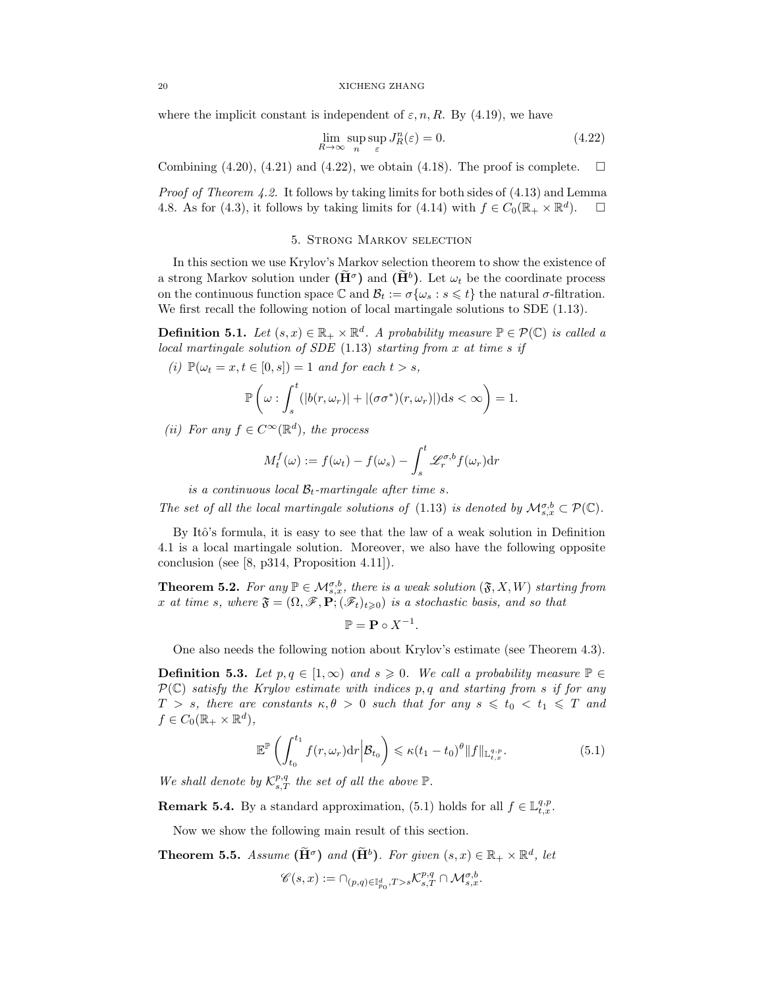where the implicit constant is independent of  $\varepsilon$ , n, R. By (4.19), we have

$$
\lim_{R \to \infty} \sup_{n} \sup_{\varepsilon} J_R^n(\varepsilon) = 0.
$$
\n(4.22)

Combining  $(4.20)$ ,  $(4.21)$  and  $(4.22)$ , we obtain  $(4.18)$ . The proof is complete.  $\Box$ 

*Proof of Theorem 4.2.* It follows by taking limits for both sides of  $(4.13)$  and Lemma 4.8. As for (4.3), it follows by taking limits for (4.14) with  $f \in C_0(\mathbb{R}_+ \times \mathbb{R}^d)$ .  $\Box$ 

### 5. Strong Markov selection

In this section we use Krylov's Markov selection theorem to show the existence of a strong Markov solution under  $(\tilde{H}^{\sigma})$  and  $(\tilde{H}^b)$ . Let  $\omega_t$  be the coordinate process on the continuous function space  $\mathbb C$  and  $\mathcal{B}_t := \sigma\{\omega_s : s \leq t\}$  the natural  $\sigma$ -filtration. We first recall the following notion of local martingale solutions to SDE  $(1.13)$ .

**Definition 5.1.** Let  $(s, x) \in \mathbb{R}_+ \times \mathbb{R}^d$ . A probability measure  $\mathbb{P} \in \mathcal{P}(\mathbb{C})$  is called a local martingale solution of  $SDE$  (1.13) starting from x at time s if

(i) 
$$
\mathbb{P}(\omega_t = x, t \in [0, s]) = 1
$$
 and for each  $t > s$ ,  

$$
\mathbb{P}\left(\int_{0}^{t} (1/\sqrt{t}) dt + \int_{0}^{t} (1/\sqrt{t}) dt\right) dt \leq \mathbb{P}(\omega_t \leq t) \leq \mathbb{P}(\omega_t \leq t) \leq \mathbb{P}(\omega_t \leq t) \leq \mathbb{P}(\omega_t \leq t) \leq \mathbb{P}(\omega_t \leq t) \leq \mathbb{P}(\omega_t \leq t) \leq \mathbb{P}(\omega_t \leq t) \leq \mathbb{P}(\omega_t \leq t) \leq \mathbb{P}(\omega_t \leq t) \leq \mathbb{P}(\omega_t \leq t) \leq \mathbb{P}(\omega_t \leq t) \leq \mathbb{P}(\omega_t \leq t) \leq \mathbb{P}(\omega_t \leq t) \leq \mathbb{P}(\omega_t \leq t) \leq \mathbb{P}(\omega_t \leq t) \leq \mathbb{P}(\omega_t \leq t) \leq \mathbb{P}(\omega_t \leq t) \leq \mathbb{P}(\omega_t \leq t) \leq \mathbb{P}(\omega_t \leq t) \leq \mathbb{P}(\omega_t \leq t) \leq \mathbb{P}(\omega_t \leq t) \leq \mathbb{P}(\omega_t \leq t) \leq \mathbb{P}(\omega_t \leq t) \leq \mathbb{P}(\omega_t \leq t) \leq \mathbb{P}(\omega_t \leq t) \leq \mathbb{P}(\omega_t \leq t) \leq \mathbb{P}(\omega_t \leq t) \leq \mathbb{P}(\omega_t \leq t) \leq \mathbb{P}(\omega_t \leq t) \leq \mathbb{P}(\omega_t \leq t) \leq \mathbb{P}(\omega_t \leq t) \leq \mathbb{P}(\omega_t \leq t) \leq \mathbb{P}(\omega_t \leq t) \leq \mathbb{P}(\omega_t \leq t) \leq \mathbb{P}(\omega_t \leq t) \leq \mathbb{P}(\omega_t \leq t) \leq \mathbb{P}(\omega_t \leq t) \leq \mathbb{P}(\omega_t \leq t) \leq \mathbb{P}(\omega_t \leq t) \leq \mathbb{P}(\
$$

$$
\mathbb{P}\left(\omega:\int_{s}^{t}(|b(r,\omega_r)|+|(\sigma\sigma^*)(r,\omega_r)|)ds<\infty\right)=1.
$$

(ii) For any  $f \in C^{\infty}(\mathbb{R}^d)$ , the process

$$
M_t^f(\omega) := f(\omega_t) - f(\omega_s) - \int_s^t \mathcal{L}_r^{\sigma, b} f(\omega_r) dr
$$

is a continuous local  $\mathcal{B}_t$ -martingale after time s.

The set of all the local martingale solutions of (1.13) is denoted by  $\mathcal{M}_{s,x}^{\sigma,b} \subset \mathcal{P}(\mathbb{C})$ .

By Itô's formula, it is easy to see that the law of a weak solution in Definition 4.1 is a local martingale solution. Moreover, we also have the following opposite conclusion (see [8, p314, Proposition 4.11]).

**Theorem 5.2.** For any  $\mathbb{P} \in \mathcal{M}_{s,x}^{\sigma,b}$ , there is a weak solution  $(\mathfrak{F}, X, W)$  starting from x at time s, where  $\mathfrak{F} = (\Omega, \mathscr{F}, \mathbf{P}; (\mathscr{F}_t)_{t \geq 0})$  is a stochastic basis, and so that

 $\mathbb{P} = \mathbf{P} \circ X^{-1}.$ 

One also needs the following notion about Krylov's estimate (see Theorem 4.3).

**Definition 5.3.** Let  $p, q \in [1, \infty)$  and  $s \geq 0$ . We call a probability measure  $\mathbb{P} \in$  $\mathcal{P}(\mathbb{C})$  satisfy the Krylov estimate with indices p, q and starting from s if for any  $T > s$ , there are constants  $\kappa, \theta > 0$  such that for any  $s \leq t_0 < t_1 \leq T$  and  $f \in C_0(\mathbb{R}_+ \times \mathbb{R}^d),$ 

$$
\mathbb{E}^{\mathbb{P}}\left(\int_{t_0}^{t_1} f(r,\omega_r) \mathrm{d}r \middle| \mathcal{B}_{t_0}\right) \leqslant \kappa (t_1 - t_0)^{\theta} \|f\|_{\mathbb{L}^{q,p}_{t,x}}.
$$
\n(5.1)

We shall denote by  $\mathcal{K}^{p,q}_{s,T}$  the set of all the above  $\mathbb{P}$ .

**Remark 5.4.** By a standard approximation, (5.1) holds for all  $f \in \mathbb{L}_{t,x}^{q,p}$ .

Now we show the following main result of this section.

**Theorem 5.5.** Assume  $(\tilde{H}^{\sigma})$  and  $(\tilde{H}^{b})$ . For given  $(s, x) \in \mathbb{R}_{+} \times \mathbb{R}^{d}$ , let  $\mathscr{C}(s,x):=\cap_{(p,q)\in\mathbb{I}^d_{p_0},T>s}\mathcal{K}^{p,q}_{s,T}\cap\mathcal{M}^{\sigma,b}_{s,x}.$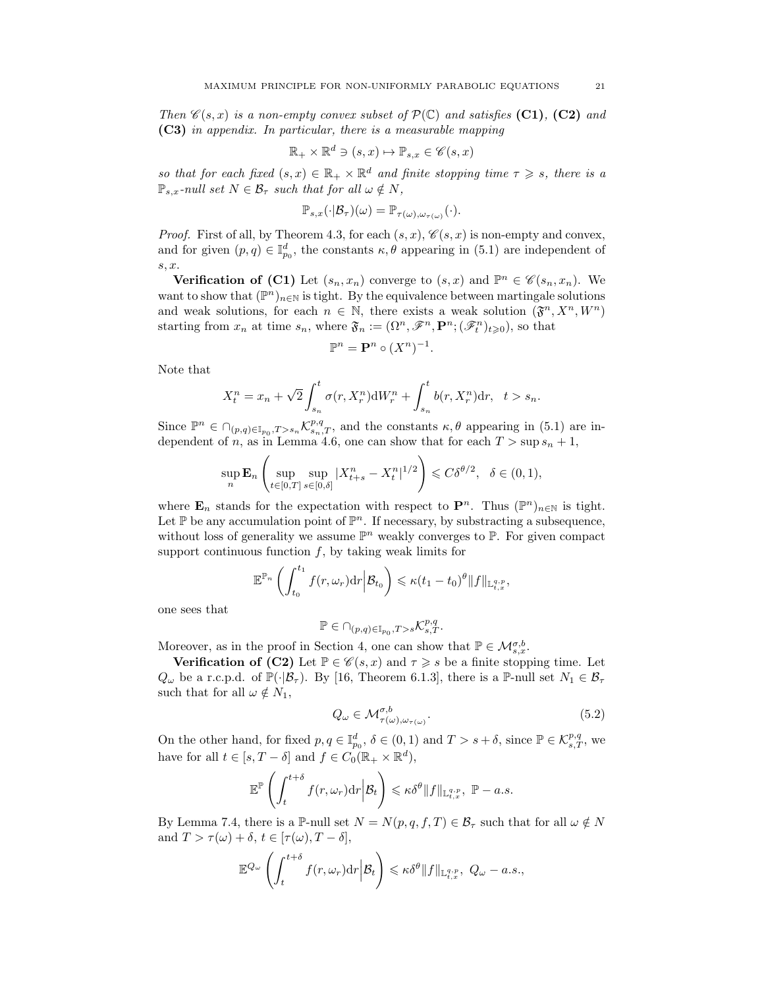Then  $\mathscr{C}(s, x)$  is a non-empty convex subset of  $\mathcal{P}(\mathbb{C})$  and satisfies (C1), (C2) and (C3) in appendix. In particular, there is a measurable mapping

$$
\mathbb{R}_{+} \times \mathbb{R}^{d} \ni (s, x) \mapsto \mathbb{P}_{s, x} \in \mathscr{C}(s, x)
$$

so that for each fixed  $(s, x) \in \mathbb{R}_+ \times \mathbb{R}^d$  and finite stopping time  $\tau \geq s$ , there is a  $\mathbb{P}_{s,x}$ -null set  $N \in \mathcal{B}_{\tau}$  such that for all  $\omega \notin N$ ,

$$
\mathbb{P}_{s,x}(\cdot|\mathcal{B}_{\tau})(\omega)=\mathbb{P}_{\tau(\omega),\omega_{\tau(\omega)}}(\cdot).
$$

*Proof.* First of all, by Theorem 4.3, for each  $(s, x)$ ,  $\mathcal{C}(s, x)$  is non-empty and convex, and for given  $(p, q) \in \mathbb{I}_{p_0}^d$ , the constants  $\kappa, \theta$  appearing in (5.1) are independent of s, x.

**Verification of (C1)** Let  $(s_n, x_n)$  converge to  $(s, x)$  and  $\mathbb{P}^n \in \mathcal{C}(s_n, x_n)$ . We want to show that  $(\mathbb{P}^n)_{n\in\mathbb{N}}$  is tight. By the equivalence between martingale solutions and weak solutions, for each  $n \in \mathbb{N}$ , there exists a weak solution  $(\mathfrak{F}^n, X^n, W^n)$ starting from  $x_n$  at time  $s_n$ , where  $\mathfrak{F}_n := (\Omega^n, \mathscr{F}^n, \mathbf{P}^n; (\mathscr{F}^n_t)_{t \geqslant 0})$ , so that

$$
\mathbb{P}^n = \mathbf{P}^n \circ (X^n)^{-1}.
$$

Note that

$$
X_{t}^{n} = x_{n} + \sqrt{2} \int_{s_{n}}^{t} \sigma(r, X_{r}^{n}) dW_{r}^{n} + \int_{s_{n}}^{t} b(r, X_{r}^{n}) dr, \quad t > s_{n}.
$$

Since  $\mathbb{P}^n \in \bigcap_{(p,q)\in\mathbb{I}_{p_0},T>s_n} \mathcal{K}_{s_n,T}^{p,q}$ , and the constants  $\kappa, \theta$  appearing in (5.1) are independent of n, as in Lemma 4.6, one can show that for each  $T > \sup s_n + 1$ ,

$$
\sup_{n} \mathbf{E}_{n} \left( \sup_{t \in [0,T]} \sup_{s \in [0,\delta]} |X_{t+s}^{n} - X_{t}^{n}|^{1/2} \right) \leqslant C \delta^{\theta/2}, \quad \delta \in (0,1),
$$

where  $\mathbf{E}_n$  stands for the expectation with respect to  $\mathbf{P}^n$ . Thus  $(\mathbb{P}^n)_{n\in\mathbb{N}}$  is tight. Let  $\mathbb P$  be any accumulation point of  $\mathbb P^n$ . If necessary, by substracting a subsequence, without loss of generality we assume  $\mathbb{P}^n$  weakly converges to  $\mathbb{P}$ . For given compact support continuous function  $f$ , by taking weak limits for

$$
\mathbb{E}^{\mathbb{P}_n}\left(\int_{t_0}^{t_1}f(r,\omega_r)\mathrm{d} r\Big|\mathcal{B}_{t_0}\right)\leqslant \kappa(t_1-t_0)^{\theta}\|f\|_{\mathbb{L}^{q,p}_{t,x}},
$$

one sees that

$$
\mathbb{P} \in \cap_{(p,q)\in \mathbb{I}_{p_0}, T > s} \mathcal{K}^{p,q}_{s,T}.
$$

Moreover, as in the proof in Section 4, one can show that  $\mathbb{P} \in \mathcal{M}_{s,x}^{\sigma,b}$ .

**Verification of (C2)** Let  $\mathbb{P} \in \mathcal{C}(s, x)$  and  $\tau \geq s$  be a finite stopping time. Let  $Q_{\omega}$  be a r.c.p.d. of  $\mathbb{P}(\cdot|\mathcal{B}_{\tau})$ . By [16, Theorem 6.1.3], there is a P-null set  $N_1 \in \mathcal{B}_{\tau}$ such that for all  $\omega \notin N_1$ ,

$$
Q_{\omega} \in \mathcal{M}_{\tau(\omega), \omega_{\tau(\omega)}}^{\sigma, b}.
$$
\n(5.2)

On the other hand, for fixed  $p, q \in \mathbb{I}_{p_0}^d$ ,  $\delta \in (0, 1)$  and  $T > s + \delta$ , since  $\mathbb{P} \in \mathcal{K}_{s,T}^{p,q}$ , we have for all  $t \in [s, T - \delta]$  and  $f \in C_0(\mathbb{R}_+ \times \mathbb{R}^d)$ ,

$$
\mathbb{E}^\mathbb{P}\left(\int_t^{t+\delta}f(r,\omega_r){\rm d} r\Big|\mathcal{B}_t\right)\leqslant \kappa \delta^\theta \|f\|_{\mathbb{L}^{q,p}_{t,x}},\ \mathbb{P}-a.s.
$$

By Lemma 7.4, there is a P-null set  $N = N(p, q, f, T) \in \mathcal{B}_{\tau}$  such that for all  $\omega \notin N$ and  $T > \tau(\omega) + \delta, t \in [\tau(\omega), T - \delta],$ 

$$
\mathbb{E}^{Q_{\omega}}\left(\int_{t}^{t+\delta}f(r,\omega_{r})\mathrm{d}r\Big|\mathcal{B}_{t}\right)\leqslant \kappa \delta^{\theta}\|f\|_{\mathbb{L}_{t,x}^{q,p}},\ Q_{\omega}-a.s.,
$$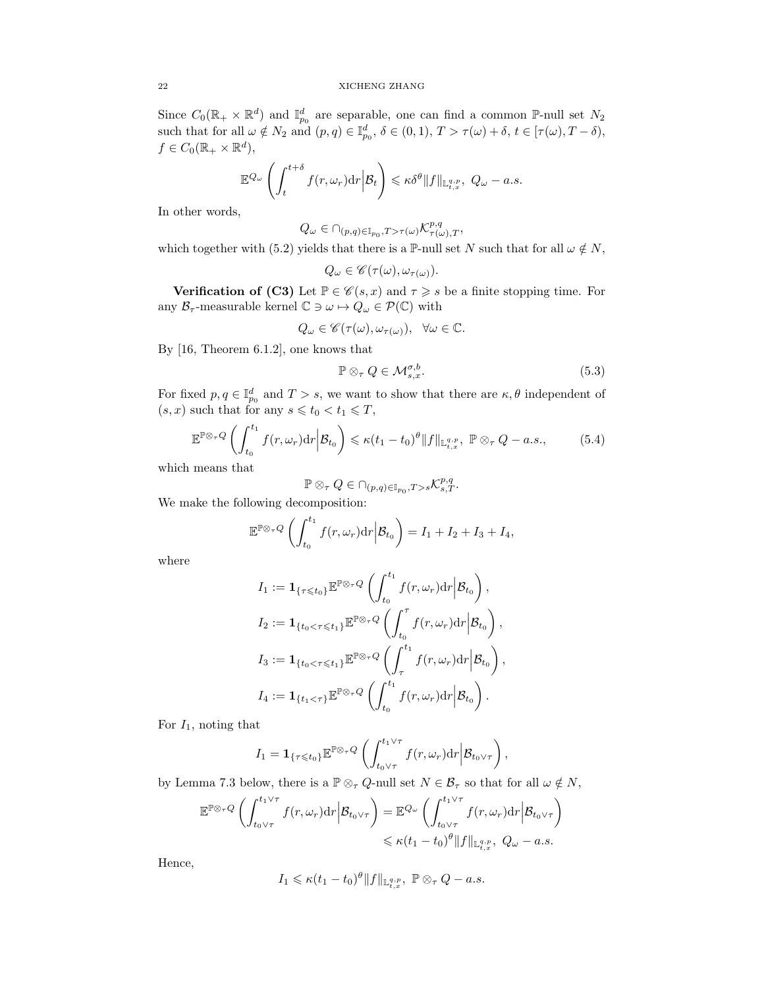Since  $C_0(\mathbb{R}_+ \times \mathbb{R}^d)$  and  $\mathbb{I}_{p_0}^d$  are separable, one can find a common P-null set  $N_2$ such that for all  $\omega \notin N_2$  and  $(p,q) \in \mathbb{I}_{p_0}^d$ ,  $\delta \in (0,1)$ ,  $T > \tau(\omega) + \delta$ ,  $t \in [\tau(\omega), T - \delta)$ ,  $f \in C_0(\mathbb{R}_+ \times \mathbb{R}^d),$ 

$$
\mathbb{E}^{Q_{\omega}}\left(\int_{t}^{t+\delta}f(r,\omega_{r})\mathrm{d}r\bigg|\mathcal{B}_{t}\right)\leqslant \kappa \delta^{\theta}\|f\|_{\mathbb{L}_{t,x}^{q,p}},\ Q_{\omega}-a.s.
$$

In other words,

$$
Q_{\omega} \in \cap_{(p,q)\in \mathbb{I}_{p_0}, T>\tau(\omega)} \mathcal{K}^{p,q}_{\tau(\omega),T},
$$

which together with (5.2) yields that there is a P-null set N such that for all  $\omega \notin N$ ,

$$
Q_{\omega} \in \mathscr{C}(\tau(\omega), \omega_{\tau(\omega)}).
$$

**Verification of (C3)** Let  $\mathbb{P} \in \mathcal{C}(s, x)$  and  $\tau \geq s$  be a finite stopping time. For any  $\mathcal{B}_{\tau}$ -measurable kernel  $\mathbb{C} \ni \omega \mapsto Q_{\omega} \in \mathcal{P}(\mathbb{C})$  with

$$
Q_{\omega} \in \mathscr{C}(\tau(\omega), \omega_{\tau(\omega)}), \ \ \forall \omega \in \mathbb{C}.
$$

By [16, Theorem 6.1.2], one knows that

$$
\mathbb{P}\otimes_{\tau}Q\in\mathcal{M}_{s,x}^{\sigma,b}.\tag{5.3}
$$

For fixed  $p, q \in \mathbb{I}_{p_0}^d$  and  $T > s$ , we want to show that there are  $\kappa, \theta$  independent of  $(s, x)$  such that for any  $s \leq t_0 < t_1 \leq T$ ,

$$
\mathbb{E}^{\mathbb{P}\otimes_{\tau}Q}\left(\int_{t_0}^{t_1}f(r,\omega_r)\mathrm{d}r\Big|\mathcal{B}_{t_0}\right)\leqslant \kappa(t_1-t_0)^{\theta}\|f\|_{\mathbb{L}^{q,p}_{t,x}},\ \mathbb{P}\otimes_{\tau}Q-a.s.,\tag{5.4}
$$

which means that

$$
\mathbb{P}\otimes_{\tau}Q\in \cap_{(p,q)\in \mathbb{I}_{p_0}, T>s}\mathcal{K}^{p,q}_{s,T}.
$$

We make the following decomposition:

$$
\mathbb{E}^{\mathbb{P}\otimes_{\tau}Q}\left(\int_{t_0}^{t_1}f(r,\omega_r)\mathrm{d}r\Big|\mathcal{B}_{t_0}\right)=I_1+I_2+I_3+I_4,
$$

where

$$
I_1 := \mathbf{1}_{\{\tau \leq t_0\}} \mathbb{E}^{\mathbb{P} \otimes_{\tau} Q} \left( \int_{t_0}^{t_1} f(r, \omega_r) dr \Big| \mathcal{B}_{t_0} \right),
$$
  
\n
$$
I_2 := \mathbf{1}_{\{t_0 < \tau \leq t_1\}} \mathbb{E}^{\mathbb{P} \otimes_{\tau} Q} \left( \int_{t_0}^{\tau} f(r, \omega_r) dr \Big| \mathcal{B}_{t_0} \right),
$$
  
\n
$$
I_3 := \mathbf{1}_{\{t_0 < \tau \leq t_1\}} \mathbb{E}^{\mathbb{P} \otimes_{\tau} Q} \left( \int_{\tau}^{t_1} f(r, \omega_r) dr \Big| \mathcal{B}_{t_0} \right),
$$
  
\n
$$
I_4 := \mathbf{1}_{\{t_1 < \tau\}} \mathbb{E}^{\mathbb{P} \otimes_{\tau} Q} \left( \int_{t_0}^{t_1} f(r, \omega_r) dr \Big| \mathcal{B}_{t_0} \right).
$$

For  $I_1$ , noting that

$$
I_1 = \mathbf{1}_{\{\tau \leqslant t_0\}} \mathbb{E}^{\mathbb{P} \otimes_{\tau} Q} \left( \int_{t_0 \vee \tau}^{t_1 \vee \tau} f(r, \omega_r) dr \Big| \mathcal{B}_{t_0 \vee \tau} \right),
$$

by Lemma 7.3 below, there is a  $\mathbb{P} \otimes_{\tau} Q$ -null set  $N \in \mathcal{B}_{\tau}$  so that for all  $\omega \notin N$ ,

$$
\mathbb{E}^{\mathbb{P}\otimes_{\tau}Q}\left(\int_{t_0\vee\tau}^{t_1\vee\tau}f(r,\omega_r)\mathrm{d}r\Big|\mathcal{B}_{t_0\vee\tau}\right)=\mathbb{E}^{Q_{\omega}}\left(\int_{t_0\vee\tau}^{t_1\vee\tau}f(r,\omega_r)\mathrm{d}r\Big|\mathcal{B}_{t_0\vee\tau}\right)
$$
  

$$
\leq \kappa(t_1-t_0)^{\theta}\|f\|_{\mathbb{L}^{q,p}_{t,x}},\ Q_{\omega}-a.s.
$$

Hence,

$$
I_1 \leqslant \kappa (t_1-t_0)^{\theta} \|f\|_{\mathbb{L}^{q,p}_{t,x}}, \; \mathbb{P} \otimes_{\tau} Q - a.s.
$$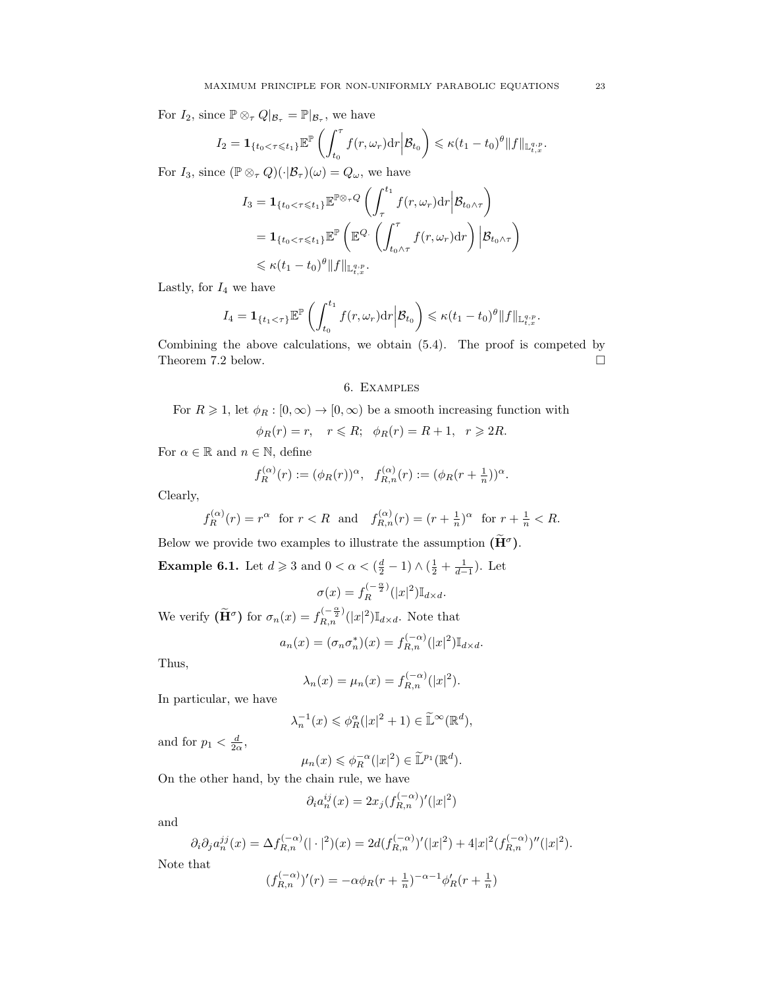For  $I_2$ , since  $\mathbb{P} \otimes_{\tau} Q|_{\mathcal{B}_{\tau}} = \mathbb{P}|_{\mathcal{B}_{\tau}}$ , we have

$$
I_2 = \mathbf{1}_{\{t_0 < \tau \leqslant t_1\}} \mathbb{E}^{\mathbb{P}} \left( \int_{t_0}^{\tau} f(r, \omega_r) dr \middle| \mathcal{B}_{t_0} \right) \leqslant \kappa (t_1 - t_0)^{\theta} ||f||_{\mathbb{L}^{q,p}_{t,x}}.
$$

For  $I_3$ , since  $(\mathbb{P} \otimes_{\tau} Q)(\cdot | \mathcal{B}_{\tau})(\omega) = Q_{\omega}$ , we have

$$
I_3 = \mathbf{1}_{\{t_0 < \tau \leq t_1\}} \mathbb{E}^{\mathbb{P} \otimes_{\tau} Q} \left( \int_{\tau}^{t_1} f(r, \omega_r) dr \Big| \mathcal{B}_{t_0 \wedge \tau} \right)
$$
\n
$$
= \mathbf{1}_{\{t_0 < \tau \leq t_1\}} \mathbb{E}^{\mathbb{P}} \left( \mathbb{E}^{Q} \left( \int_{t_0 \wedge \tau}^{\tau} f(r, \omega_r) dr \right) \Big| \mathcal{B}_{t_0 \wedge \tau} \right)
$$
\n
$$
\leq \kappa (t_1 - t_0)^{\theta} \|f\|_{\mathbb{L}^{q,p}_{t,x}}.
$$

Lastly, for  $I_4$  we have

$$
I_4 = \mathbf{1}_{\{t_1 < \tau\}} \mathbb{E}^{\mathbb{P}} \left( \int_{t_0}^{t_1} f(r, \omega_r) dr \middle| \mathcal{B}_{t_0} \right) \leq \kappa (t_1 - t_0)^{\theta} ||f||_{\mathbb{L}^{q,p}_{t,x}}.
$$

Combining the above calculations, we obtain (5.4). The proof is competed by Theorem 7.2 below.

### 6. Examples

For  $R \geq 1$ , let  $\phi_R : [0, \infty) \to [0, \infty)$  be a smooth increasing function with

 $\phi_R(r) = r$ ,  $r \leq R$ ;  $\phi_R(r) = R + 1$ ,  $r \geq 2R$ .

For  $\alpha\in\mathbb{R}$  and  $n\in\mathbb{N},$  define

$$
f_R^{(\alpha)}(r) := (\phi_R(r))^{\alpha}, \quad f_{R,n}^{(\alpha)}(r) := (\phi_R(r + \frac{1}{n}))^{\alpha}.
$$

Clearly,

$$
f_R^{(\alpha)}(r) = r^{\alpha} \text{ for } r < R \text{ and } f_{R,n}^{(\alpha)}(r) = (r + \frac{1}{n})^{\alpha} \text{ for } r + \frac{1}{n} < R.
$$

Below we provide two examples to illustrate the assumption  $(\mathbf{H}^{\sigma})$ .

**Example 6.1.** Let  $d \ge 3$  and  $0 < \alpha < (\frac{d}{2} - 1) \wedge (\frac{1}{2} + \frac{1}{d-1})$ . Let

$$
\sigma(x) = f_R^{(-\frac{\alpha}{2})}(|x|^2) \mathbb{I}_{d \times d}.
$$

We verify  $(\widetilde{\mathbf{H}}^{\sigma})$  for  $\sigma_n(x) = f_{R,n}^{(-\frac{\alpha}{2})}(|x|^2)\mathbb{I}_{d\times d}$ . Note that

$$
a_n(x) = (\sigma_n \sigma_n^*)(x) = f_{R,n}^{(-\alpha)}(|x|^2) \mathbb{I}_{d \times d}.
$$

Thus,

$$
\lambda_n(x) = \mu_n(x) = f_{R,n}^{(-\alpha)}(|x|^2).
$$

In particular, we have

$$
\lambda_n^{-1}(x) \leq \phi_R^{\alpha}(|x|^2 + 1) \in \widetilde{\mathbb{L}}^{\infty}(\mathbb{R}^d),
$$

and for  $p_1 < \frac{d}{2\alpha}$ ,

$$
\mu_n(x) \leq \phi_R^{-\alpha}(|x|^2) \in \widetilde{\mathbb{L}}^{p_1}(\mathbb{R}^d).
$$

On the other hand, by the chain rule, we have

$$
\partial_i a_n^{ij}(x) = 2x_j (f_{R,n}^{(-\alpha)})'(|x|^2)
$$

and

$$
\partial_i \partial_j a_n^{ij}(x) = \Delta f_{R,n}^{(-\alpha)}(|\cdot|^2)(x) = 2d(f_{R,n}^{(-\alpha)})'(|x|^2) + 4|x|^2(f_{R,n}^{(-\alpha)})''(|x|^2).
$$
  
Note that  

$$
(f_{R,n}^{(-\alpha)})'(r) = -\alpha \phi_R(r + \frac{1}{n})^{-\alpha - 1} \phi'_R(r + \frac{1}{n})
$$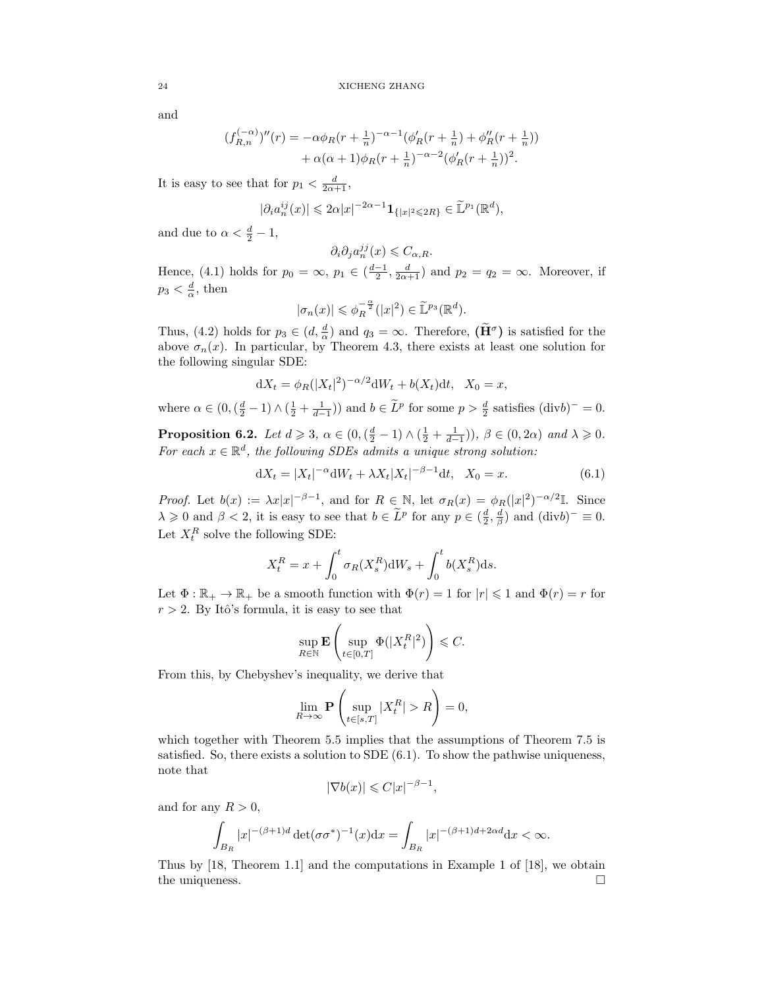and

$$
(f_{R,n}^{(-\alpha)})''(r) = -\alpha \phi_R(r + \frac{1}{n})^{-\alpha - 1} (\phi_R'(r + \frac{1}{n}) + \phi_R''(r + \frac{1}{n})) + \alpha(\alpha + 1)\phi_R(r + \frac{1}{n})^{-\alpha - 2} (\phi_R'(r + \frac{1}{n}))^2.
$$

It is easy to see that for  $p_1 < \frac{d}{2\alpha+1}$ ,

$$
|\partial_i a_n^{ij}(x)| \leqslant 2\alpha |x|^{-2\alpha-1}{\bf 1}_{\{|x|^2\leqslant 2R\}}\in \widetilde {\mathbb L}^{p_1}({\mathbb R}^d),
$$

and due to  $\alpha < \frac{d}{2} - 1$ ,

$$
\partial_i \partial_j a_n^{jj}(x) \leqslant C_{\alpha,R}.
$$

Hence, (4.1) holds for  $p_0 = \infty$ ,  $p_1 \in (\frac{d-1}{2}, \frac{d}{2\alpha+1})$  and  $p_2 = q_2 = \infty$ . Moreover, if  $p_3 < \frac{d}{\alpha}$ , then

$$
|\sigma_n(x)| \leqslant \phi_R^{-\frac{\alpha}{2}}(|x|^2) \in \widetilde{\mathbb{L}}^{p_3}(\mathbb{R}^d).
$$

Thus, (4.2) holds for  $p_3 \in (d, \frac{d}{\alpha})$  and  $q_3 = \infty$ . Therefore,  $(\tilde{H}^{\sigma})$  is satisfied for the above  $\sigma_n(x)$ . In particular, by Theorem 4.3, there exists at least one solution for the following singular SDE:

$$
dX_t = \phi_R(|X_t|^2)^{-\alpha/2}dW_t + b(X_t)dt, \quad X_0 = x,
$$

where  $\alpha \in (0, (\frac{d}{2} - 1) \wedge (\frac{1}{2} + \frac{1}{d-1}))$  and  $b \in \tilde{L}^p$  for some  $p > \frac{d}{2}$  satisfies  $(\text{div}b)^{-} = 0$ .

**Proposition 6.2.** Let  $d \geq 3$ ,  $\alpha \in (0, (\frac{d}{2} - 1) \wedge (\frac{1}{2} + \frac{1}{d-1}))$ ,  $\beta \in (0, 2\alpha)$  and  $\lambda \geq 0$ . For each  $x \in \mathbb{R}^d$ , the following SDEs admits a unique strong solution:

$$
dX_t = |X_t|^{-\alpha} dW_t + \lambda X_t |X_t|^{-\beta - 1} dt, \quad X_0 = x.
$$
 (6.1)

*Proof.* Let  $b(x) := \lambda x |x|^{-\beta-1}$ , and for  $R \in \mathbb{N}$ , let  $\sigma_R(x) = \phi_R(|x|^2)^{-\alpha/2}$ . Since  $\lambda \geqslant 0$  and  $\beta < 2$ , it is easy to see that  $b \in \tilde{L}^p$  for any  $p \in (\frac{d}{2}, \frac{d}{\beta})$  and  $(\text{div}b)^-\equiv 0$ . Let  $X_t^R$  solve the following SDE:

$$
X_t^R = x + \int_0^t \sigma_R(X_s^R) \mathrm{d}W_s + \int_0^t b(X_s^R) \mathrm{d}s.
$$

Let  $\Phi : \mathbb{R}_+ \to \mathbb{R}_+$  be a smooth function with  $\Phi(r) = 1$  for  $|r| \leq 1$  and  $\Phi(r) = r$  for  $r > 2$ . By Itô's formula, it is easy to see that

$$
\sup_{R \in \mathbb{N}} \mathbf{E} \left( \sup_{t \in [0,T]} \Phi(|X_t^R|^2) \right) \leq C.
$$

From this, by Chebyshev's inequality, we derive that

$$
\lim_{R \to \infty} \mathbf{P} \left( \sup_{t \in [s,T]} |X_t^R| > R \right) = 0,
$$

which together with Theorem 5.5 implies that the assumptions of Theorem 7.5 is satisfied. So, there exists a solution to SDE  $(6.1)$ . To show the pathwise uniqueness, note that

$$
|\nabla b(x)| \leqslant C|x|^{-\beta - 1},
$$

and for any  $R > 0$ ,

$$
\int_{B_R} |x|^{-(\beta+1)d} \det(\sigma \sigma^*)^{-1}(x) dx = \int_{B_R} |x|^{-(\beta+1)d+2\alpha d} dx < \infty.
$$

Thus by [18, Theorem 1.1] and the computations in Example 1 of [18], we obtain the uniqueness.  $\Box$ 

$$
^{24}
$$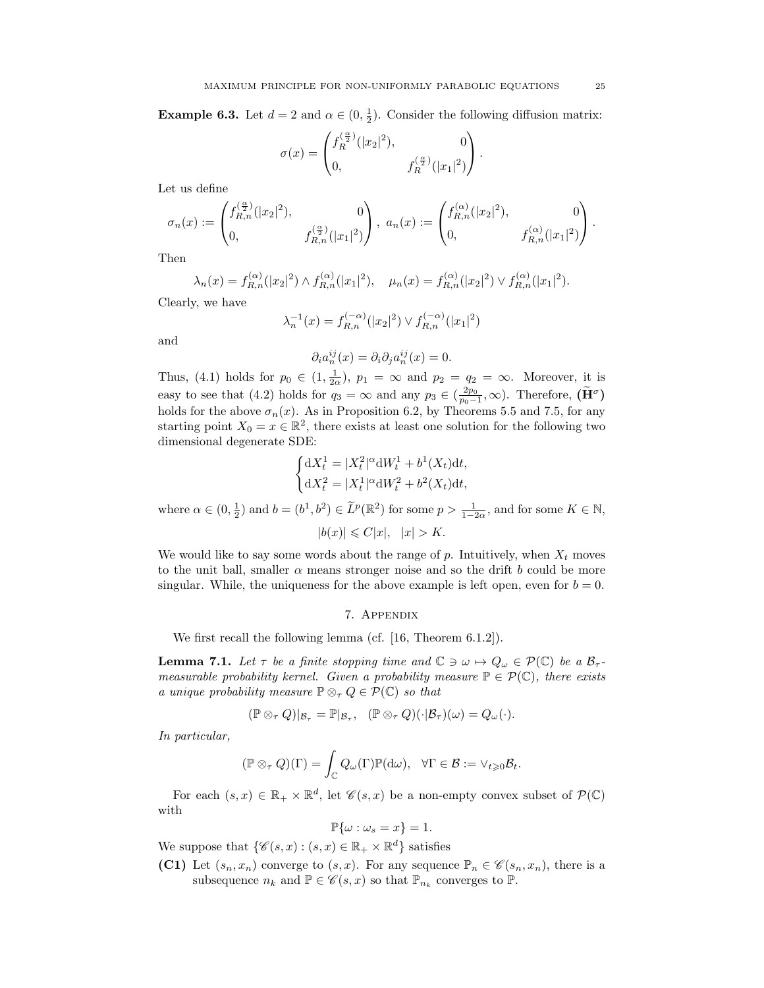**Example 6.3.** Let  $d = 2$  and  $\alpha \in (0, \frac{1}{2})$ . Consider the following diffusion matrix:

$$
\sigma(x) = \begin{pmatrix} f_R^{(\frac{\alpha}{2})}(|x_2|^2), & 0\\ 0, & f_R^{(\frac{\alpha}{2})}(|x_1|^2) \end{pmatrix}.
$$

Let us define

$$
\sigma_n(x):=\begin{pmatrix}f_{R,n}^{(\frac{\alpha}{2})}(|x_2|^2),&0\\0,&f_{R,n}^{(\frac{\alpha}{2})}(|x_1|^2)\end{pmatrix},\ a_n(x):=\begin{pmatrix}f_{R,n}^{(\alpha)}(|x_2|^2),&0\\0,&f_{R,n}^{(\alpha)}(|x_1|^2)\end{pmatrix}.
$$

Then

$$
\lambda_n(x) = f_{R,n}^{(\alpha)}(|x_2|^2) \wedge f_{R,n}^{(\alpha)}(|x_1|^2), \quad \mu_n(x) = f_{R,n}^{(\alpha)}(|x_2|^2) \vee f_{R,n}^{(\alpha)}(|x_1|^2).
$$

Clearly, we have

$$
\lambda_n^{-1}(x) = f_{R,n}^{(-\alpha)}(|x_2|^2) \vee f_{R,n}^{(-\alpha)}(|x_1|^2)
$$

and

$$
\partial_i a_n^{ij}(x) = \partial_i \partial_j a_n^{ij}(x) = 0.
$$

Thus, (4.1) holds for  $p_0 \in (1, \frac{1}{2\alpha})$ ,  $p_1 = \infty$  and  $p_2 = q_2 = \infty$ . Moreover, it is easy to see that (4.2) holds for  $q_3 = \infty$  and any  $p_3 \in (\frac{2p_0}{p_0-1}, \infty)$ . Therefore,  $(\tilde{H}^{\sigma})$ holds for the above  $\sigma_n(x)$ . As in Proposition 6.2, by Theorems 5.5 and 7.5, for any starting point  $X_0 = x \in \mathbb{R}^2$ , there exists at least one solution for the following two dimensional degenerate SDE:

$$
\begin{cases} dX_t^1 = |X_t^2|^{\alpha} dW_t^1 + b^1(X_t) dt, \\ dX_t^2 = |X_t^1|^{\alpha} dW_t^2 + b^2(X_t) dt, \end{cases}
$$

where  $\alpha \in (0, \frac{1}{2})$  and  $b = (b^1, b^2) \in \tilde{L}^p(\mathbb{R}^2)$  for some  $p > \frac{1}{1-2\alpha}$ , and for some  $K \in \mathbb{N}$ ,  $|b(x)| \leq C|x|, |x| > K.$ 

We would like to say some words about the range of  $p$ . Intuitively, when  $X_t$  moves to the unit ball, smaller  $\alpha$  means stronger noise and so the drift b could be more singular. While, the uniqueness for the above example is left open, even for  $b = 0$ .

### 7. Appendix

We first recall the following lemma (cf. [16, Theorem 6.1.2]).

**Lemma 7.1.** Let  $\tau$  be a finite stopping time and  $\mathbb{C} \ni \omega \mapsto Q_{\omega} \in \mathcal{P}(\mathbb{C})$  be a  $\mathcal{B}_{\tau}$ measurable probability kernel. Given a probability measure  $\mathbb{P} \in \mathcal{P}(\mathbb{C})$ , there exists a unique probability measure  $\mathbb{P} \otimes_{\tau} Q \in \mathcal{P}(\mathbb{C})$  so that

$$
(\mathbb{P} \otimes_{\tau} Q)|_{\mathcal{B}_{\tau}} = \mathbb{P}|_{\mathcal{B}_{\tau}}, \quad (\mathbb{P} \otimes_{\tau} Q)(\cdot|\mathcal{B}_{\tau})(\omega) = Q_{\omega}(\cdot).
$$

In particular,

$$
(\mathbb{P} \otimes_{\tau} Q)(\Gamma) = \int_{\mathbb{C}} Q_{\omega}(\Gamma) \mathbb{P}(\mathrm{d}\omega), \quad \forall \Gamma \in \mathcal{B} := \vee_{t \geq 0} \mathcal{B}_t.
$$

For each  $(s, x) \in \mathbb{R}_+ \times \mathbb{R}^d$ , let  $\mathscr{C}(s, x)$  be a non-empty convex subset of  $\mathcal{P}(\mathbb{C})$ with

$$
\mathbb{P}\{\omega:\omega_s=x\}=1.
$$

We suppose that  $\{\mathscr{C}(s,x): (s,x)\in \mathbb{R}_+\times \mathbb{R}^d\}$  satisfies

(C1) Let  $(s_n, x_n)$  converge to  $(s, x)$ . For any sequence  $\mathbb{P}_n \in \mathscr{C}(s_n, x_n)$ , there is a subsequence  $n_k$  and  $\mathbb{P} \in \mathscr{C}(s, x)$  so that  $\mathbb{P}_{n_k}$  converges to  $\mathbb{P}$ .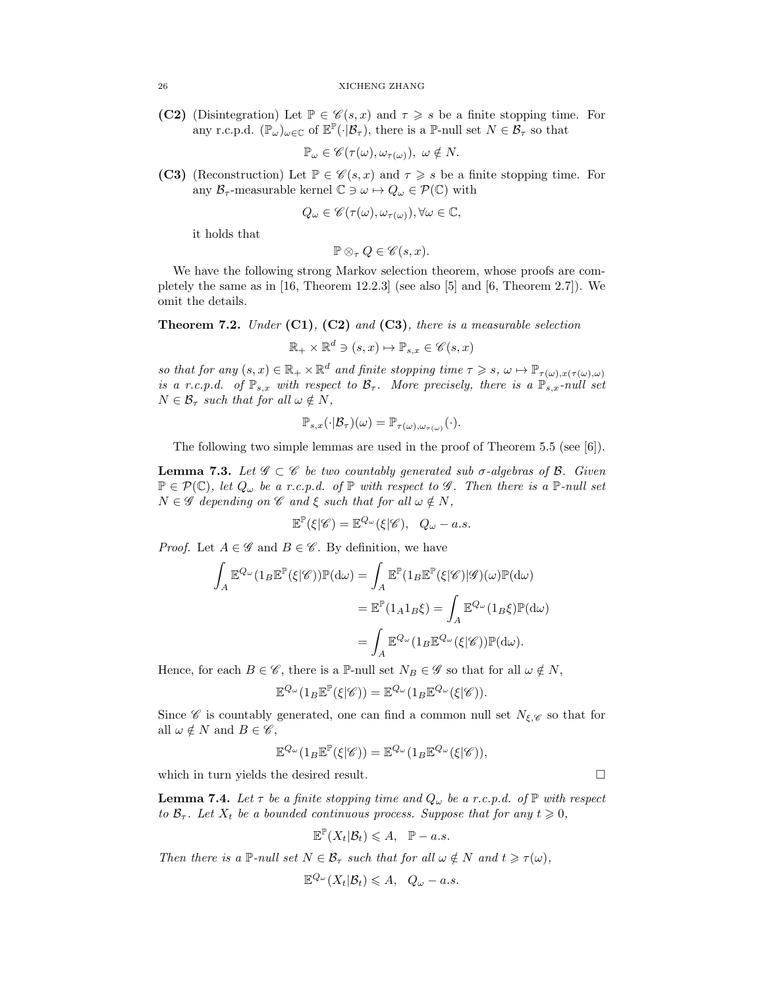(C2) (Disintegration) Let  $\mathbb{P} \in \mathscr{C}(s,x)$  and  $\tau \geq s$  be a finite stopping time. For any r.c.p.d.  $(\mathbb{P}_{\omega})_{\omega \in \mathbb{C}}$  of  $\mathbb{E}^{\mathbb{P}}(\cdot|\mathcal{B}_{\tau})$ , there is a  $\mathbb{P}\text{-null set } N \in \mathcal{B}_{\tau}$  so that

$$
\mathbb{P}_{\omega} \in \mathscr{C}(\tau(\omega), \omega_{\tau(\omega)}), \ \omega \notin N.
$$

(C3) (Reconstruction) Let  $\mathbb{P} \in \mathscr{C}(s,x)$  and  $\tau \geq s$  be a finite stopping time. For any  $\mathcal{B}_{\tau}$ -measurable kernel  $\mathbb{C} \ni \omega \mapsto Q_{\omega} \in \mathcal{P}(\mathbb{C})$  with

$$
Q_{\omega} \in \mathscr{C}(\tau(\omega), \omega_{\tau(\omega)}), \forall \omega \in \mathbb{C},
$$

it holds that

$$
\mathbb{P} \otimes_{\tau} Q \in \mathscr{C}(s, x).
$$

We have the following strong Markov selection theorem, whose proofs are completely the same as in  $[16,$  Theorem 12.2.3] (see also  $[5]$  and  $[6,$  Theorem 2.7]). We omit the details.

**Theorem 7.2.** Under  $(C1)$ ,  $(C2)$  and  $(C3)$ , there is a measurable selection

 $\mathbb{R}_+ \times \mathbb{R}^d \ni (s, x) \mapsto \mathbb{P}_{s, x} \in \mathscr{C} (s, x)$ 

so that for any  $(s, x) \in \mathbb{R}_+ \times \mathbb{R}^d$  and finite stopping time  $\tau \geq s$ ,  $\omega \mapsto \mathbb{P}_{\tau(\omega), x(\tau(\omega), \omega)}$ is a r.c.p.d. of  $\mathbb{P}_{s,x}$  with respect to  $\mathcal{B}_{\tau}$ . More precisely, there is a  $\mathbb{P}_{s,x}$ -null set  $N \in \mathcal{B}_{\tau}$  such that for all  $\omega \notin N$ ,

$$
\mathbb{P}_{s,x}(\cdot|\mathcal{B}_{\tau})(\omega)=\mathbb{P}_{\tau(\omega),\omega_{\tau(\omega)}}(\cdot).
$$

The following two simple lemmas are used in the proof of Theorem 5.5 (see [6]).

**Lemma 7.3.** Let  $\mathscr{G} \subset \mathscr{C}$  be two countably generated sub  $\sigma$ -algebras of  $\mathscr{B}$ . Given  $\mathbb{P} \in \mathcal{P}(\mathbb{C})$ , let  $Q_{\omega}$  be a r.c.p.d. of  $\mathbb{P}$  with respect to  $\mathscr{G}$ . Then there is a  $\mathbb{P}\text{-null set}$  $N \in \mathscr{G}$  depending on  $\mathscr{C}$  and  $\xi$  such that for all  $\omega \notin N$ ,

$$
\mathbb{E}^{\mathbb{P}}(\xi|\mathscr{C}) = \mathbb{E}^{Q_{\omega}}(\xi|\mathscr{C}), \quad Q_{\omega} - a.s.
$$

*Proof.* Let  $A \in \mathscr{G}$  and  $B \in \mathscr{C}$ . By definition, we have

$$
\int_{A} \mathbb{E}^{Q_{\omega}}(1_{B} \mathbb{E}^{\mathbb{P}}(\xi|\mathscr{C})) \mathbb{P}(\mathrm{d}\omega) = \int_{A} \mathbb{E}^{\mathbb{P}}(1_{B} \mathbb{E}^{\mathbb{P}}(\xi|\mathscr{C})|\mathscr{G})(\omega) \mathbb{P}(\mathrm{d}\omega)
$$

$$
= \mathbb{E}^{\mathbb{P}}(1_{A} 1_{B} \xi) = \int_{A} \mathbb{E}^{Q_{\omega}}(1_{B} \xi) \mathbb{P}(\mathrm{d}\omega)
$$

$$
= \int_{A} \mathbb{E}^{Q_{\omega}}(1_{B} \mathbb{E}^{Q_{\omega}}(\xi|\mathscr{C})) \mathbb{P}(\mathrm{d}\omega).
$$

Hence, for each  $B \in \mathscr{C}$ , there is a P-null set  $N_B \in \mathscr{G}$  so that for all  $\omega \notin N$ ,

$$
\mathbb{E}^{Q_{\omega}}(1_B \mathbb{E}^{\mathbb{P}}(\xi|\mathscr{C})) = \mathbb{E}^{Q_{\omega}}(1_B \mathbb{E}^{Q_{\omega}}(\xi|\mathscr{C})).
$$

Since  $\mathscr C$  is countably generated, one can find a common null set  $N_{\xi,\mathscr C}$  so that for all  $\omega \notin N$  and  $B \in \mathscr{C}$ ,

$$
\mathbb{E}^{Q_{\omega}}(1_B \mathbb{E}^{\mathbb{P}}(\xi|\mathscr{C})) = \mathbb{E}^{Q_{\omega}}(1_B \mathbb{E}^{Q_{\omega}}(\xi|\mathscr{C})),
$$

which in turn yields the desired result.  $\Box$ 

**Lemma 7.4.** Let  $\tau$  be a finite stopping time and  $Q_{\omega}$  be a r.c.p.d. of  $\mathbb{P}$  with respect to  $\mathcal{B}_{\tau}$ . Let  $X_t$  be a bounded continuous process. Suppose that for any  $t \geq 0$ ,

$$
\mathbb{E}^{\mathbb{P}}(X_t|\mathcal{B}_t) \leqslant A, \quad \mathbb{P}-a.s.
$$

Then there is a P-null set  $N \in \mathcal{B}_{\tau}$  such that for all  $\omega \notin N$  and  $t \geq \tau(\omega)$ ,

$$
\mathbb{E}^{Q_{\omega}}(X_t|\mathcal{B}_t) \leq A, \quad Q_{\omega} - a.s.
$$

$$
\overline{\phantom{0}}
$$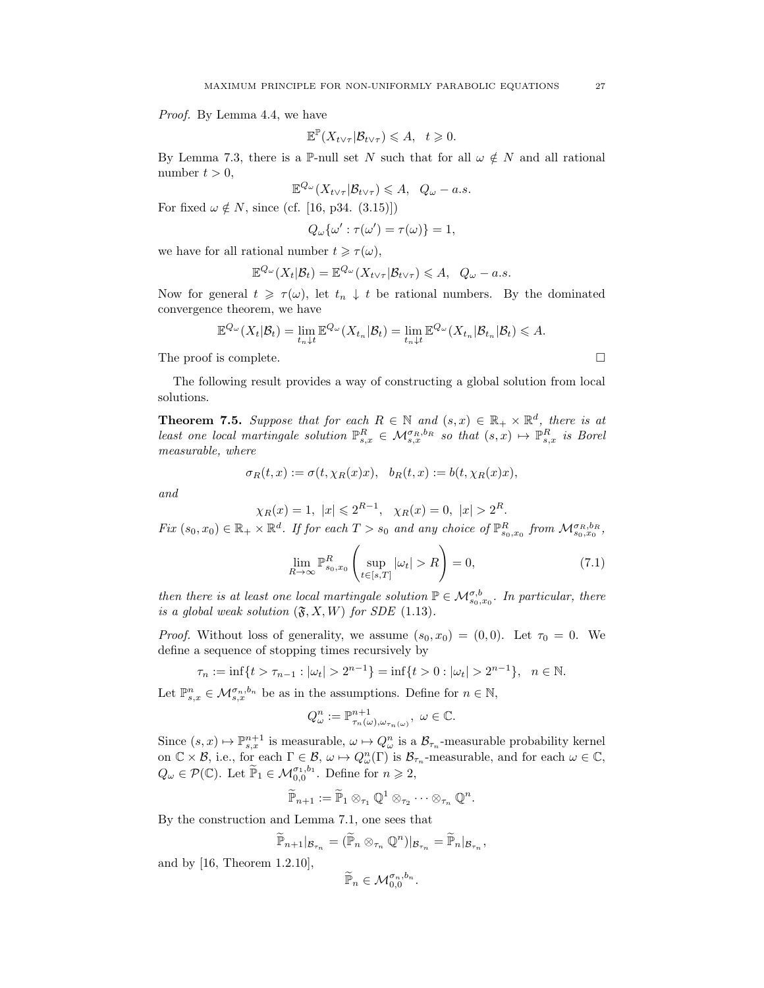Proof. By Lemma 4.4, we have

$$
\mathbb{E}^{\mathbb{P}}(X_{t\vee\tau}|\mathcal{B}_{t\vee\tau})\leqslant A, \quad t\geqslant 0.
$$

By Lemma 7.3, there is a P-null set N such that for all  $\omega \notin N$  and all rational number  $t > 0$ ,

$$
\mathbb{E}^{Q_{\omega}}(X_{t\vee\tau}|\mathcal{B}_{t\vee\tau})\leqslant A, \quad Q_{\omega}-a.s.
$$

For fixed  $\omega \notin N$ , since (cf. [16, p34. (3.15)])

$$
Q_{\omega}\{\omega':\tau({\omega}')=\tau({\omega})\}=1,
$$

we have for all rational number  $t \geq \tau(\omega)$ ,

$$
\mathbb{E}^{Q_{\omega}}(X_t|\mathcal{B}_t)=\mathbb{E}^{Q_{\omega}}(X_{t\vee\tau}|\mathcal{B}_{t\vee\tau})\leqslant A, \quad Q_{\omega}-a.s.
$$

Now for general  $t \geq \tau(\omega)$ , let  $t_n \downarrow t$  be rational numbers. By the dominated convergence theorem, we have

$$
\mathbb{E}^{Q_{\omega}}(X_t|\mathcal{B}_t) = \lim_{t_n \downarrow t} \mathbb{E}^{Q_{\omega}}(X_{t_n}|\mathcal{B}_t) = \lim_{t_n \downarrow t} \mathbb{E}^{Q_{\omega}}(X_{t_n}|\mathcal{B}_{t_n}|\mathcal{B}_t) \leqslant A.
$$

The proof is complete.  $\Box$ 

The following result provides a way of constructing a global solution from local solutions.

**Theorem 7.5.** Suppose that for each  $R \in \mathbb{N}$  and  $(s, x) \in \mathbb{R}_+ \times \mathbb{R}^d$ , there is at least one local martingale solution  $\mathbb{P}^R_{s,x} \in \mathcal{M}_{s,x}^{\sigma_R,b_R}$  so that  $(s,x) \mapsto \mathbb{P}^R_{s,x}$  is Borel measurable, where

$$
\sigma_R(t,x) := \sigma(t, \chi_R(x)x), \quad b_R(t,x) := b(t, \chi_R(x)x),
$$

and

$$
\chi_R(x) = 1, \ |x| \leq 2^{R-1}, \ \chi_R(x) = 0, \ |x| > 2^R.
$$

 $Fix(s_0, x_0) \in \mathbb{R}_+ \times \mathbb{R}^d$ . If for each  $T > s_0$  and any choice of  $\mathbb{P}^R_{s_0, x_0}$  from  $\mathcal{M}_{s_0, x_0}^{\sigma_R, b_R}$ ,

$$
\lim_{R \to \infty} \mathbb{P}^R_{s_0, x_0} \left( \sup_{t \in [s, T]} |\omega_t| > R \right) = 0,
$$
\n(7.1)

then there is at least one local martingale solution  $\mathbb{P} \in \mathcal{M}_{s_0,x_0}^{\sigma,b}$ . In particular, there is a global weak solution  $(\mathfrak{F}, X, W)$  for SDE (1.13).

*Proof.* Without loss of generality, we assume  $(s_0, x_0) = (0, 0)$ . Let  $\tau_0 = 0$ . We define a sequence of stopping times recursively by

$$
\tau_n := \inf\{t > \tau_{n-1} : |\omega_t| > 2^{n-1}\} = \inf\{t > 0 : |\omega_t| > 2^{n-1}\}, \quad n \in \mathbb{N}.
$$

Let  $\mathbb{P}_{s,x}^n \in \mathcal{M}_{s,x}^{\sigma_n,b_n}$  be as in the assumptions. Define for  $n \in \mathbb{N}$ ,

$$
Q_{\omega}^n := \mathbb{P}^{n+1}_{\tau_n(\omega), \omega_{\tau_n(\omega)}}, \ \omega \in \mathbb{C}.
$$

Since  $(s, x) \mapsto \mathbb{P}^{n+1}_{s,x}$  is measurable,  $\omega \mapsto Q^n_{\omega}$  is a  $\mathcal{B}_{\tau_n}$ -measurable probability kernel on  $\mathbb{C}\times\mathcal{B}$ , i.e., for each  $\Gamma\in\mathcal{B}$ ,  $\omega\mapsto Q_{\omega}^n(\Gamma)$  is  $\mathcal{B}_{\tau_n}$ -measurable, and for each  $\omega\in\mathbb{C}$ ,  $Q_{\omega} \in \mathcal{P}(\mathbb{C})$ . Let  $\widetilde{\mathbb{P}}_1 \in \mathcal{M}_{0,0}^{\sigma_1,b_1}$ . Define for  $n \geq 2$ ,

$$
\widetilde{\mathbb{P}}_{n+1} := \widetilde{\mathbb{P}}_1 \otimes_{\tau_1} \mathbb{Q}^1 \otimes_{\tau_2} \cdots \otimes_{\tau_n} \mathbb{Q}^n.
$$

By the construction and Lemma 7.1, one sees that

$$
\widetilde{\mathbb{P}}_{n+1}|_{\mathcal{B}_{\tau_n}} = (\widetilde{\mathbb{P}}_n \otimes_{\tau_n} \mathbb{Q}^n)|_{\mathcal{B}_{\tau_n}} = \widetilde{\mathbb{P}}_n|_{\mathcal{B}_{\tau_n}},
$$

and by [16, Theorem 1.2.10],

$$
\widetilde{\mathbb{P}}_n \in \mathcal{M}_{0,0}^{\sigma_n,b_n}
$$

.